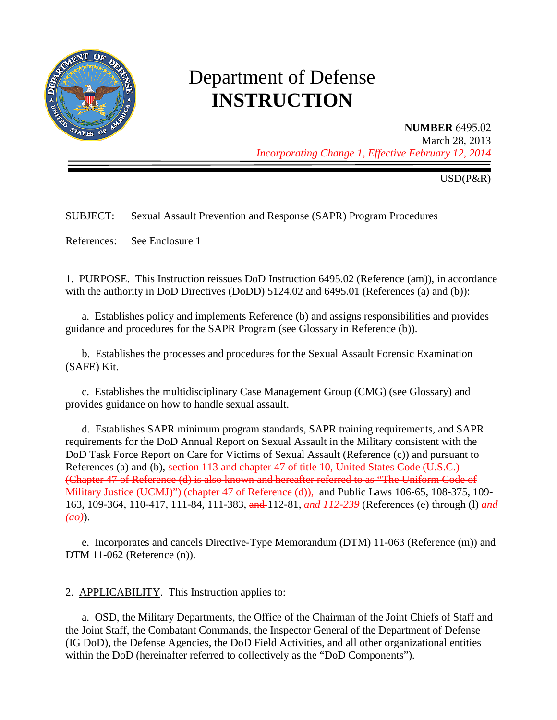

# Department of Defense **INSTRUCTION**

**NUMBER** 6495.02 March 28, 2013 *Incorporating Change 1, Effective February 12, 2014*

USD(P&R)

### SUBJECT: Sexual Assault Prevention and Response (SAPR) Program Procedures

References: See Enclosure 1

1. PURPOSE. This Instruction reissues DoD Instruction 6495.02 (Reference (am)), in accordance with the authority in DoD Directives (DoDD) 5124.02 and 6495.01 (References (a) and (b)):

a. Establishes policy and implements Reference (b) and assigns responsibilities and provides guidance and procedures for the SAPR Program (see Glossary in Reference (b)).

b. Establishes the processes and procedures for the Sexual Assault Forensic Examination (SAFE) Kit.

c. Establishes the multidisciplinary Case Management Group (CMG) (see Glossary) and provides guidance on how to handle sexual assault.

d. Establishes SAPR minimum program standards, SAPR training requirements, and SAPR requirements for the DoD Annual Report on Sexual Assault in the Military consistent with the DoD Task Force Report on Care for Victims of Sexual Assault (Reference (c)) and pursuant to References (a) and (b), section 113 and chapter 47 of title 10, United States Code (U.S.C.) (Chapter 47 of Reference (d) is also known and hereafter referred to as "The Uniform Code of Military Justice (UCMJ)") (chapter 47 of Reference (d)), and Public Laws 106-65, 108-375, 109-163, 109-364, 110-417, 111-84, 111-383, and 112-81, *and 112-239* (References (e) through (l) *and (ao)*).

e. Incorporates and cancels Directive-Type Memorandum (DTM) 11-063 (Reference (m)) and DTM 11-062 (Reference (n)).

2. APPLICABILITY. This Instruction applies to:

a. OSD, the Military Departments, the Office of the Chairman of the Joint Chiefs of Staff and the Joint Staff, the Combatant Commands, the Inspector General of the Department of Defense (IG DoD), the Defense Agencies, the DoD Field Activities, and all other organizational entities within the DoD (hereinafter referred to collectively as the "DoD Components").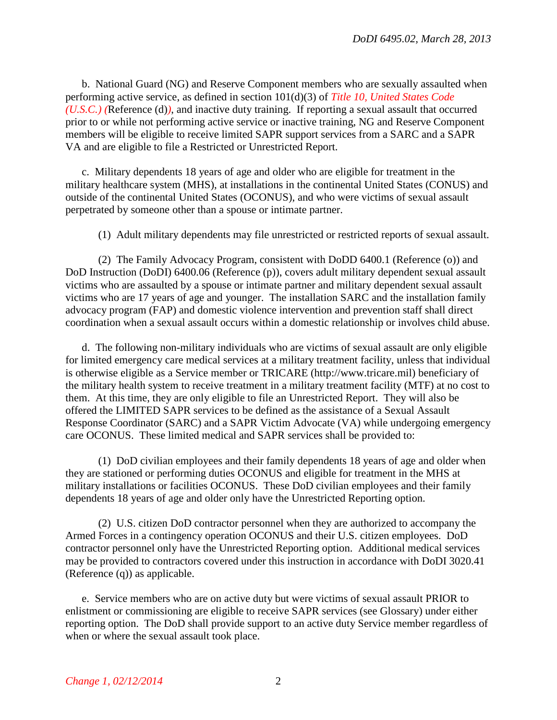b. National Guard (NG) and Reserve Component members who are sexually assaulted when performing active service, as defined in section 101(d)(3) of *Title 10, United States Code (U.S.C.) (*Reference (d)*)*, and inactive duty training. If reporting a sexual assault that occurred prior to or while not performing active service or inactive training, NG and Reserve Component members will be eligible to receive limited SAPR support services from a SARC and a SAPR VA and are eligible to file a Restricted or Unrestricted Report.

c. Military dependents 18 years of age and older who are eligible for treatment in the military healthcare system (MHS), at installations in the continental United States (CONUS) and outside of the continental United States (OCONUS), and who were victims of sexual assault perpetrated by someone other than a spouse or intimate partner.

(1) Adult military dependents may file unrestricted or restricted reports of sexual assault.

(2) The Family Advocacy Program, consistent with DoDD 6400.1 (Reference (o)) and DoD Instruction (DoDI) 6400.06 (Reference (p)), covers adult military dependent sexual assault victims who are assaulted by a spouse or intimate partner and military dependent sexual assault victims who are 17 years of age and younger. The installation SARC and the installation family advocacy program (FAP) and domestic violence intervention and prevention staff shall direct coordination when a sexual assault occurs within a domestic relationship or involves child abuse.

d. The following non-military individuals who are victims of sexual assault are only eligible for limited emergency care medical services at a military treatment facility, unless that individual is otherwise eligible as a Service member or TRICARE (http://www.tricare.mil) beneficiary of the military health system to receive treatment in a military treatment facility (MTF) at no cost to them. At this time, they are only eligible to file an Unrestricted Report. They will also be offered the LIMITED SAPR services to be defined as the assistance of a Sexual Assault Response Coordinator (SARC) and a SAPR Victim Advocate (VA) while undergoing emergency care OCONUS. These limited medical and SAPR services shall be provided to:

(1) DoD civilian employees and their family dependents 18 years of age and older when they are stationed or performing duties OCONUS and eligible for treatment in the MHS at military installations or facilities OCONUS. These DoD civilian employees and their family dependents 18 years of age and older only have the Unrestricted Reporting option.

(2) U.S. citizen DoD contractor personnel when they are authorized to accompany the Armed Forces in a contingency operation OCONUS and their U.S. citizen employees. DoD contractor personnel only have the Unrestricted Reporting option. Additional medical services may be provided to contractors covered under this instruction in accordance with DoDI 3020.41 (Reference (q)) as applicable.

e. Service members who are on active duty but were victims of sexual assault PRIOR to enlistment or commissioning are eligible to receive SAPR services (see Glossary) under either reporting option. The DoD shall provide support to an active duty Service member regardless of when or where the sexual assault took place.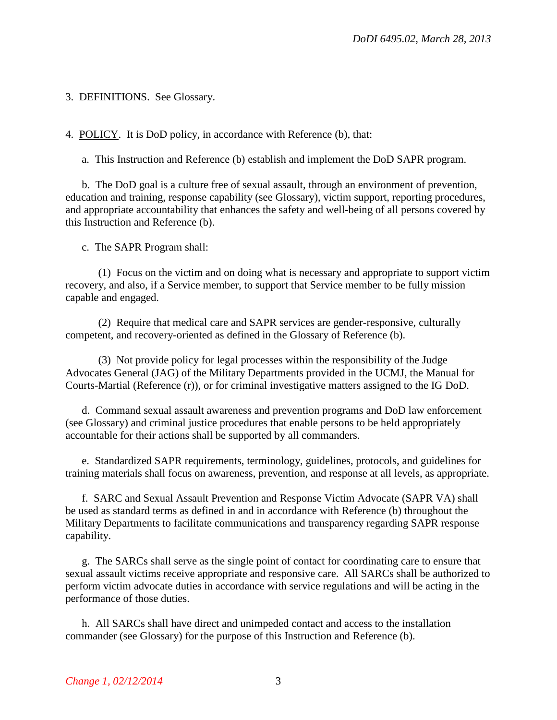3. DEFINITIONS. See Glossary.

4. POLICY. It is DoD policy, in accordance with Reference (b), that:

a. This Instruction and Reference (b) establish and implement the DoD SAPR program.

b. The DoD goal is a culture free of sexual assault, through an environment of prevention, education and training, response capability (see Glossary), victim support, reporting procedures, and appropriate accountability that enhances the safety and well-being of all persons covered by this Instruction and Reference (b).

c. The SAPR Program shall:

(1) Focus on the victim and on doing what is necessary and appropriate to support victim recovery, and also, if a Service member, to support that Service member to be fully mission capable and engaged.

(2) Require that medical care and SAPR services are gender-responsive, culturally competent, and recovery-oriented as defined in the Glossary of Reference (b).

(3) Not provide policy for legal processes within the responsibility of the Judge Advocates General (JAG) of the Military Departments provided in the UCMJ, the Manual for Courts-Martial (Reference (r)), or for criminal investigative matters assigned to the IG DoD.

d. Command sexual assault awareness and prevention programs and DoD law enforcement (see Glossary) and criminal justice procedures that enable persons to be held appropriately accountable for their actions shall be supported by all commanders.

e. Standardized SAPR requirements, terminology, guidelines, protocols, and guidelines for training materials shall focus on awareness, prevention, and response at all levels, as appropriate.

f. SARC and Sexual Assault Prevention and Response Victim Advocate (SAPR VA) shall be used as standard terms as defined in and in accordance with Reference (b) throughout the Military Departments to facilitate communications and transparency regarding SAPR response capability.

g. The SARCs shall serve as the single point of contact for coordinating care to ensure that sexual assault victims receive appropriate and responsive care. All SARCs shall be authorized to perform victim advocate duties in accordance with service regulations and will be acting in the performance of those duties.

h. All SARCs shall have direct and unimpeded contact and access to the installation commander (see Glossary) for the purpose of this Instruction and Reference (b).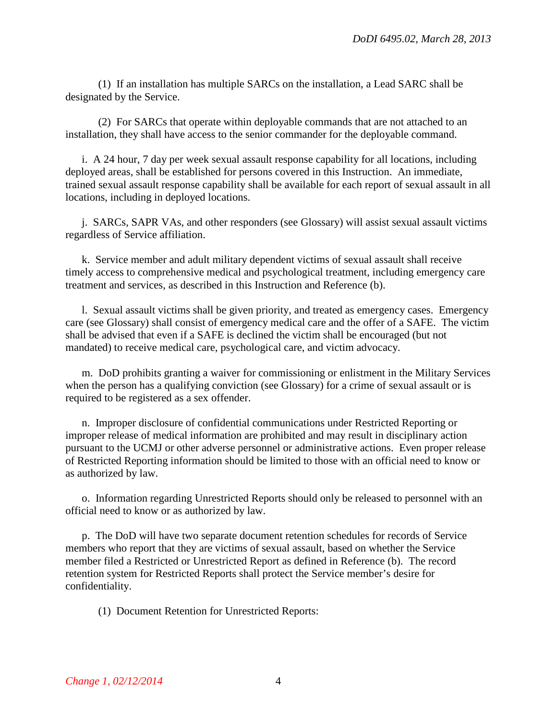(1) If an installation has multiple SARCs on the installation, a Lead SARC shall be designated by the Service.

(2) For SARCs that operate within deployable commands that are not attached to an installation, they shall have access to the senior commander for the deployable command.

i. A 24 hour, 7 day per week sexual assault response capability for all locations, including deployed areas, shall be established for persons covered in this Instruction. An immediate, trained sexual assault response capability shall be available for each report of sexual assault in all locations, including in deployed locations.

j. SARCs, SAPR VAs, and other responders (see Glossary) will assist sexual assault victims regardless of Service affiliation.

k. Service member and adult military dependent victims of sexual assault shall receive timely access to comprehensive medical and psychological treatment, including emergency care treatment and services, as described in this Instruction and Reference (b).

l. Sexual assault victims shall be given priority, and treated as emergency cases. Emergency care (see Glossary) shall consist of emergency medical care and the offer of a SAFE. The victim shall be advised that even if a SAFE is declined the victim shall be encouraged (but not mandated) to receive medical care, psychological care, and victim advocacy.

m. DoD prohibits granting a waiver for commissioning or enlistment in the Military Services when the person has a qualifying conviction (see Glossary) for a crime of sexual assault or is required to be registered as a sex offender.

n. Improper disclosure of confidential communications under Restricted Reporting or improper release of medical information are prohibited and may result in disciplinary action pursuant to the UCMJ or other adverse personnel or administrative actions. Even proper release of Restricted Reporting information should be limited to those with an official need to know or as authorized by law.

o. Information regarding Unrestricted Reports should only be released to personnel with an official need to know or as authorized by law.

p. The DoD will have two separate document retention schedules for records of Service members who report that they are victims of sexual assault, based on whether the Service member filed a Restricted or Unrestricted Report as defined in Reference (b). The record retention system for Restricted Reports shall protect the Service member's desire for confidentiality.

(1) Document Retention for Unrestricted Reports: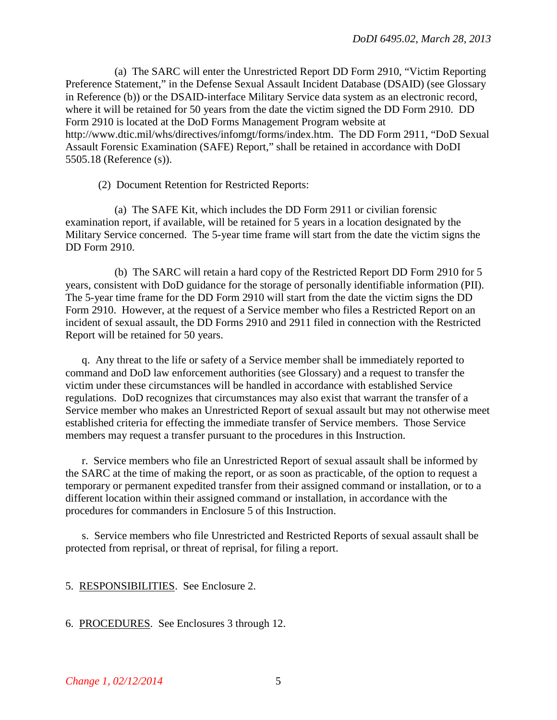(a) The SARC will enter the Unrestricted Report DD Form 2910, "Victim Reporting Preference Statement," in the Defense Sexual Assault Incident Database (DSAID) (see Glossary in Reference (b)) or the DSAID-interface Military Service data system as an electronic record, where it will be retained for 50 years from the date the victim signed the DD Form 2910. DD Form 2910 is located at the DoD Forms Management Program website at http://www.dtic.mil/whs/directives/infomgt/forms/index.htm. The DD Form 2911, "DoD Sexual Assault Forensic Examination (SAFE) Report," shall be retained in accordance with DoDI 5505.18 (Reference (s)).

(2) Document Retention for Restricted Reports:

(a) The SAFE Kit, which includes the DD Form 2911 or civilian forensic examination report, if available, will be retained for 5 years in a location designated by the Military Service concerned. The 5-year time frame will start from the date the victim signs the DD Form 2910.

(b) The SARC will retain a hard copy of the Restricted Report DD Form 2910 for 5 years, consistent with DoD guidance for the storage of personally identifiable information (PII). The 5-year time frame for the DD Form 2910 will start from the date the victim signs the DD Form 2910. However, at the request of a Service member who files a Restricted Report on an incident of sexual assault, the DD Forms 2910 and 2911 filed in connection with the Restricted Report will be retained for 50 years.

q. Any threat to the life or safety of a Service member shall be immediately reported to command and DoD law enforcement authorities (see Glossary) and a request to transfer the victim under these circumstances will be handled in accordance with established Service regulations. DoD recognizes that circumstances may also exist that warrant the transfer of a Service member who makes an Unrestricted Report of sexual assault but may not otherwise meet established criteria for effecting the immediate transfer of Service members. Those Service members may request a transfer pursuant to the procedures in this Instruction.

r. Service members who file an Unrestricted Report of sexual assault shall be informed by the SARC at the time of making the report, or as soon as practicable, of the option to request a temporary or permanent expedited transfer from their assigned command or installation, or to a different location within their assigned command or installation, in accordance with the procedures for commanders in Enclosure 5 of this Instruction.

s. Service members who file Unrestricted and Restricted Reports of sexual assault shall be protected from reprisal, or threat of reprisal, for filing a report.

5. RESPONSIBILITIES. See Enclosure 2.

6. PROCEDURES. See Enclosures 3 through 12.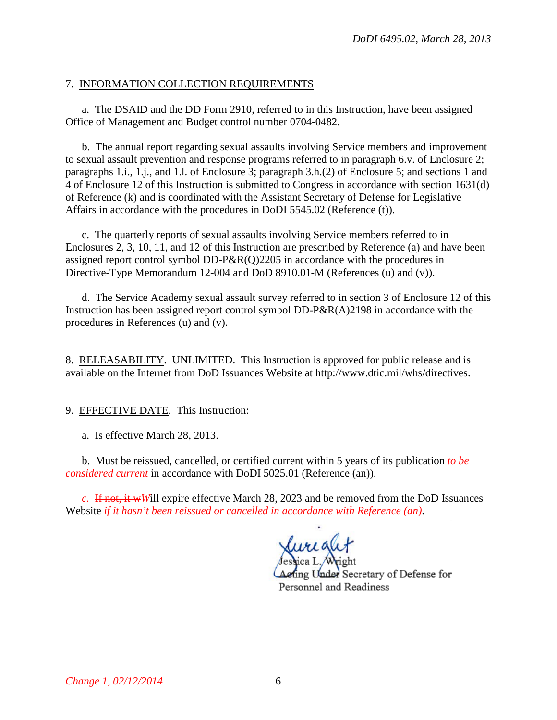#### 7. INFORMATION COLLECTION REQUIREMENTS

a. The DSAID and the DD Form 2910, referred to in this Instruction, have been assigned Office of Management and Budget control number 0704-0482.

b. The annual report regarding sexual assaults involving Service members and improvement to sexual assault prevention and response programs referred to in paragraph 6.v. of Enclosure 2; paragraphs 1.i., 1.j., and 1.l. of Enclosure 3; paragraph 3.h.(2) of Enclosure 5; and sections 1 and 4 of Enclosure 12 of this Instruction is submitted to Congress in accordance with section 1631(d) of Reference (k) and is coordinated with the Assistant Secretary of Defense for Legislative Affairs in accordance with the procedures in DoDI 5545.02 (Reference (t)).

c. The quarterly reports of sexual assaults involving Service members referred to in Enclosures 2, 3, 10, 11, and 12 of this Instruction are prescribed by Reference (a) and have been assigned report control symbol DD-P&R(Q)2205 in accordance with the procedures in Directive-Type Memorandum 12-004 and DoD 8910.01-M (References (u) and (v)).

d. The Service Academy sexual assault survey referred to in section 3 of Enclosure 12 of this Instruction has been assigned report control symbol DD-P&R(A)2198 in accordance with the procedures in References (u) and (v).

8. RELEASABILITY. UNLIMITED. This Instruction is approved for public release and is available on the Internet from DoD Issuances Website at http://www.dtic.mil/whs/directives.

9. EFFECTIVE DATE. This Instruction:

a. Is effective March 28, 2013.

b. Must be reissued, cancelled, or certified current within 5 years of its publication *to be considered current* in accordance with DoDI 5025.01 (Reference (an)).

*c.* If not, it w*W*ill expire effective March 28, 2023 and be removed from the DoD Issuances Website *if it hasn't been reissued or cancelled in accordance with Reference (an)*.

ing Under Secretary of Defense for Personnel and Readiness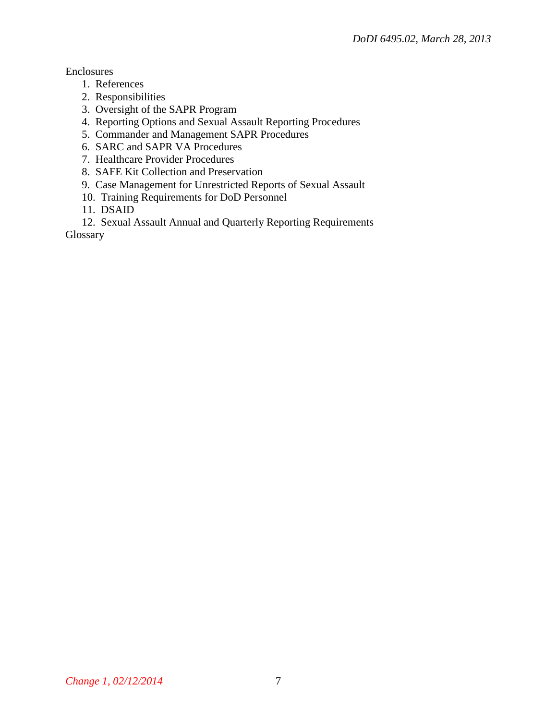## Enclosures

- 1. References
- 2. Responsibilities
- 3. Oversight of the SAPR Program
- 4. Reporting Options and Sexual Assault Reporting Procedures
- 5. Commander and Management SAPR Procedures
- 6. SARC and SAPR VA Procedures
- 7. Healthcare Provider Procedures
- 8. SAFE Kit Collection and Preservation
- 9. Case Management for Unrestricted Reports of Sexual Assault
- 10. Training Requirements for DoD Personnel
- 11. DSAID

12. Sexual Assault Annual and Quarterly Reporting Requirements

Glossary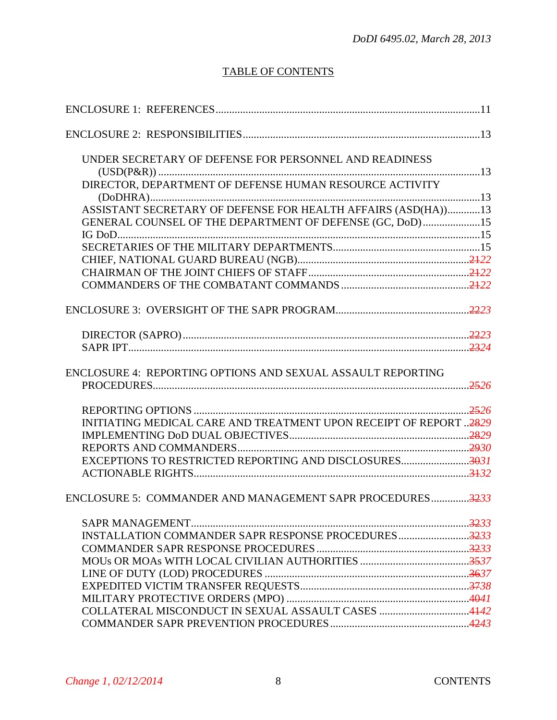## TABLE OF CONTENTS

| UNDER SECRETARY OF DEFENSE FOR PERSONNEL AND READINESS            |  |
|-------------------------------------------------------------------|--|
|                                                                   |  |
| DIRECTOR, DEPARTMENT OF DEFENSE HUMAN RESOURCE ACTIVITY           |  |
|                                                                   |  |
| ASSISTANT SECRETARY OF DEFENSE FOR HEALTH AFFAIRS (ASD(HA))13     |  |
| GENERAL COUNSEL OF THE DEPARTMENT OF DEFENSE (GC, DoD)15          |  |
|                                                                   |  |
|                                                                   |  |
|                                                                   |  |
|                                                                   |  |
|                                                                   |  |
|                                                                   |  |
|                                                                   |  |
|                                                                   |  |
|                                                                   |  |
|                                                                   |  |
| ENCLOSURE 4: REPORTING OPTIONS AND SEXUAL ASSAULT REPORTING       |  |
|                                                                   |  |
|                                                                   |  |
|                                                                   |  |
| INITIATING MEDICAL CARE AND TREATMENT UPON RECEIPT OF REPORT 2829 |  |
|                                                                   |  |
|                                                                   |  |
| EXCEPTIONS TO RESTRICTED REPORTING AND DISCLOSURES3031            |  |
|                                                                   |  |
|                                                                   |  |
| ENCLOSURE 5: COMMANDER AND MANAGEMENT SAPR PROCEDURES3233         |  |
|                                                                   |  |
| <b>INSTALLATION COMMANDER SAPR RESPONSE PROCEDURES3233</b>        |  |
|                                                                   |  |
|                                                                   |  |
|                                                                   |  |
|                                                                   |  |
|                                                                   |  |
| COLLATERAL MISCONDUCT IN SEXUAL ASSAULT CASES 4442                |  |
|                                                                   |  |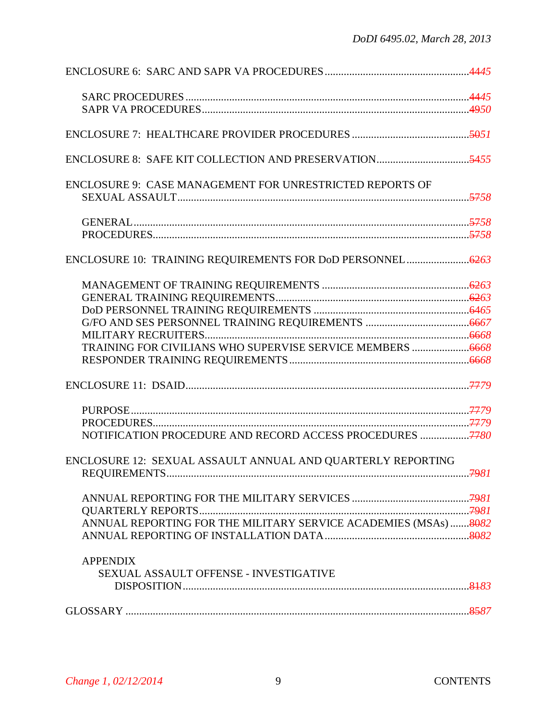| ENCLOSURE 9: CASE MANAGEMENT FOR UNRESTRICTED REPORTS OF         |      |
|------------------------------------------------------------------|------|
|                                                                  |      |
|                                                                  |      |
|                                                                  |      |
| ENCLOSURE 10: TRAINING REQUIREMENTS FOR DoD PERSONNEL 6263       |      |
|                                                                  |      |
|                                                                  |      |
|                                                                  |      |
|                                                                  |      |
|                                                                  |      |
| TRAINING FOR CIVILIANS WHO SUPERVISE SERVICE MEMBERS  6668       |      |
|                                                                  |      |
|                                                                  |      |
|                                                                  |      |
|                                                                  |      |
| NOTIFICATION PROCEDURE AND RECORD ACCESS PROCEDURES 7780         |      |
| ENCLOSURE 12: SEXUAL ASSAULT ANNUAL AND QUARTERLY REPORTING      |      |
|                                                                  | 7981 |
|                                                                  |      |
|                                                                  |      |
|                                                                  |      |
| ANNUAL REPORTING FOR THE MILITARY SERVICE ACADEMIES (MSAs)  8082 |      |
|                                                                  |      |
| <b>APPENDIX</b>                                                  |      |
| SEXUAL ASSAULT OFFENSE - INVESTIGATIVE                           |      |
|                                                                  |      |
|                                                                  |      |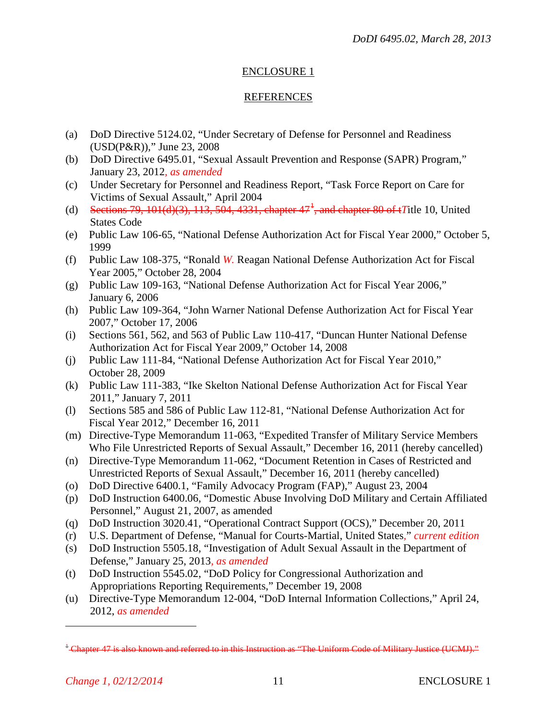## ENCLOSURE 1

### REFERENCES

- (a) DoD Directive 5124.02, "Under Secretary of Defense for Personnel and Readiness (USD(P&R))," June 23, 2008
- (b) DoD Directive 6495.01, "Sexual Assault Prevention and Response (SAPR) Program," January 23, 2012*, as amended*
- (c) Under Secretary for Personnel and Readiness Report, "Task Force Report on Care for Victims of Sexual Assault," April 2004
- (d) Sections 79,  $101(d)(3)$  $101(d)(3)$ ,  $113$ ,  $504$ ,  $4331$ , chapter  $47^{\frac{1}{2}}$ , and chapter  $80$  of  $\pm$ *T*itle 10, United States Code
- (e) Public Law 106-65, "National Defense Authorization Act for Fiscal Year 2000," October 5, 1999
- (f) Public Law 108-375, "Ronald *W.* Reagan National Defense Authorization Act for Fiscal Year 2005," October 28, 2004
- (g) Public Law 109-163, "National Defense Authorization Act for Fiscal Year 2006," January 6, 2006
- (h) Public Law 109-364, "John Warner National Defense Authorization Act for Fiscal Year 2007," October 17, 2006
- (i) Sections 561, 562, and 563 of Public Law 110-417, "Duncan Hunter National Defense Authorization Act for Fiscal Year 2009," October 14, 2008
- (j) Public Law 111-84, "National Defense Authorization Act for Fiscal Year 2010," October 28, 2009
- (k) Public Law 111-383, "Ike Skelton National Defense Authorization Act for Fiscal Year 2011," January 7, 2011
- (l) Sections 585 and 586 of Public Law 112-81, "National Defense Authorization Act for Fiscal Year 2012," December 16, 2011
- (m) Directive-Type Memorandum 11-063, "Expedited Transfer of Military Service Members Who File Unrestricted Reports of Sexual Assault," December 16, 2011 (hereby cancelled)
- (n) Directive-Type Memorandum 11-062, "Document Retention in Cases of Restricted and Unrestricted Reports of Sexual Assault," December 16, 2011 (hereby cancelled)
- (o) DoD Directive 6400.1, "Family Advocacy Program (FAP)," August 23, 2004
- (p) DoD Instruction 6400.06, "Domestic Abuse Involving DoD Military and Certain Affiliated Personnel," August 21, 2007, as amended
- (q) DoD Instruction 3020.41, "Operational Contract Support (OCS)," December 20, 2011
- (r) U.S. Department of Defense, "Manual for Courts-Martial, United States*,*" *current edition*
- (s) DoD Instruction 5505.18, "Investigation of Adult Sexual Assault in the Department of Defense," January 25, 2013*, as amended*
- (t) DoD Instruction 5545.02, "DoD Policy for Congressional Authorization and Appropriations Reporting Requirements," December 19, 2008
- (u) Directive-Type Memorandum 12-004, "DoD Internal Information Collections," April 24, 2012, *as amended*

 $\overline{a}$ 

<span id="page-10-0"></span><sup>&</sup>lt;sup>1</sup> Chapter 47 is also known and referred to in this Instruction as "The Uniform Code of Military Justice (UCMJ)."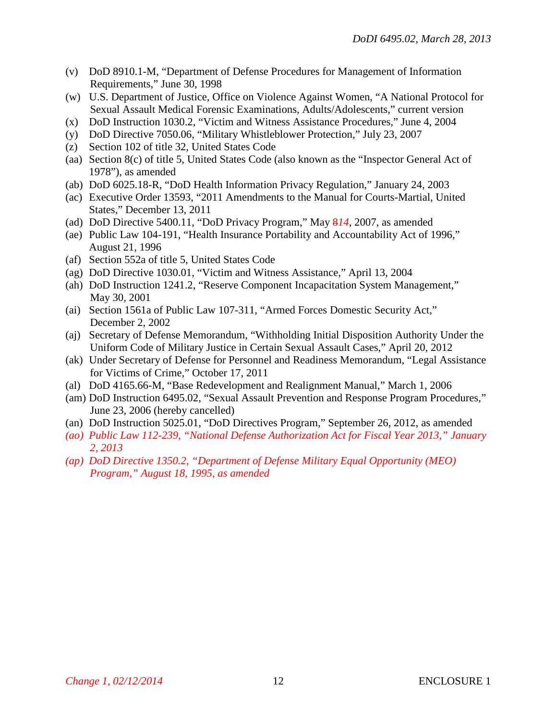- (v) DoD 8910.1-M, "Department of Defense Procedures for Management of Information Requirements," June 30, 1998
- (w) U.S. Department of Justice, Office on Violence Against Women, "A National Protocol for Sexual Assault Medical Forensic Examinations, Adults/Adolescents," current version
- (x) DoD Instruction 1030.2, "Victim and Witness Assistance Procedures," June 4, 2004
- (y) DoD Directive 7050.06, "Military Whistleblower Protection," July 23, 2007
- (z) Section 102 of title 32, United States Code
- (aa) Section 8(c) of title 5, United States Code (also known as the "Inspector General Act of 1978"), as amended
- (ab) DoD 6025.18-R, "DoD Health Information Privacy Regulation," January 24, 2003
- (ac) Executive Order 13593, "2011 Amendments to the Manual for Courts-Martial, United States," December 13, 2011
- (ad) DoD Directive 5400.11, "DoD Privacy Program," May 8*14*, 2007, as amended
- (ae) Public Law 104-191, "Health Insurance Portability and Accountability Act of 1996," August 21, 1996
- (af) Section 552a of title 5, United States Code
- (ag) DoD Directive 1030.01, "Victim and Witness Assistance," April 13, 2004
- (ah) DoD Instruction 1241.2, "Reserve Component Incapacitation System Management," May 30, 2001
- (ai) Section 1561a of Public Law 107-311, "Armed Forces Domestic Security Act," December 2, 2002
- (aj) Secretary of Defense Memorandum, "Withholding Initial Disposition Authority Under the Uniform Code of Military Justice in Certain Sexual Assault Cases," April 20, 2012
- (ak) Under Secretary of Defense for Personnel and Readiness Memorandum, "Legal Assistance for Victims of Crime," October 17, 2011
- (al) DoD 4165.66-M, "Base Redevelopment and Realignment Manual," March 1, 2006
- (am) DoD Instruction 6495.02, "Sexual Assault Prevention and Response Program Procedures," June 23, 2006 (hereby cancelled)
- (an) DoD Instruction 5025.01, "DoD Directives Program," September 26, 2012, as amended
- *(ao) Public Law 112-239, "National Defense Authorization Act for Fiscal Year 2013," January 2, 2013*
- *(ap) DoD Directive 1350.2, "Department of Defense Military Equal Opportunity (MEO) Program," August 18, 1995, as amended*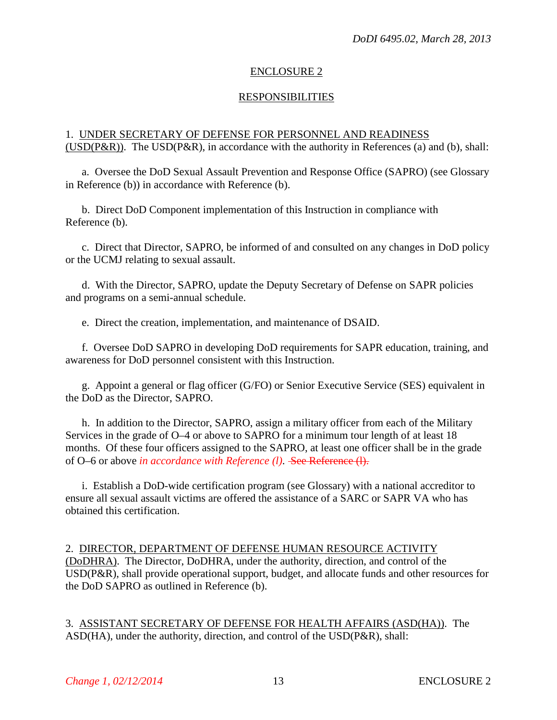## ENCLOSURE 2

## RESPONSIBILITIES

## 1. UNDER SECRETARY OF DEFENSE FOR PERSONNEL AND READINESS (USD( $P\&R$ )). The USD( $P\&R$ ), in accordance with the authority in References (a) and (b), shall:

a. Oversee the DoD Sexual Assault Prevention and Response Office (SAPRO) (see Glossary in Reference (b)) in accordance with Reference (b).

b. Direct DoD Component implementation of this Instruction in compliance with Reference (b).

c. Direct that Director, SAPRO, be informed of and consulted on any changes in DoD policy or the UCMJ relating to sexual assault.

d. With the Director, SAPRO, update the Deputy Secretary of Defense on SAPR policies and programs on a semi-annual schedule.

e. Direct the creation, implementation, and maintenance of DSAID.

f. Oversee DoD SAPRO in developing DoD requirements for SAPR education, training, and awareness for DoD personnel consistent with this Instruction.

g. Appoint a general or flag officer (G/FO) or Senior Executive Service (SES) equivalent in the DoD as the Director, SAPRO.

h. In addition to the Director, SAPRO, assign a military officer from each of the Military Services in the grade of O–4 or above to SAPRO for a minimum tour length of at least 18 months. Of these four officers assigned to the SAPRO, at least one officer shall be in the grade of O–6 or above *in accordance with Reference (l)*. See Reference (l).

i. Establish a DoD-wide certification program (see Glossary) with a national accreditor to ensure all sexual assault victims are offered the assistance of a SARC or SAPR VA who has obtained this certification.

2. DIRECTOR, DEPARTMENT OF DEFENSE HUMAN RESOURCE ACTIVITY (DoDHRA). The Director, DoDHRA, under the authority, direction, and control of the USD(P&R), shall provide operational support, budget, and allocate funds and other resources for the DoD SAPRO as outlined in Reference (b).

3. ASSISTANT SECRETARY OF DEFENSE FOR HEALTH AFFAIRS (ASD(HA)). The ASD(HA), under the authority, direction, and control of the USD(P&R), shall: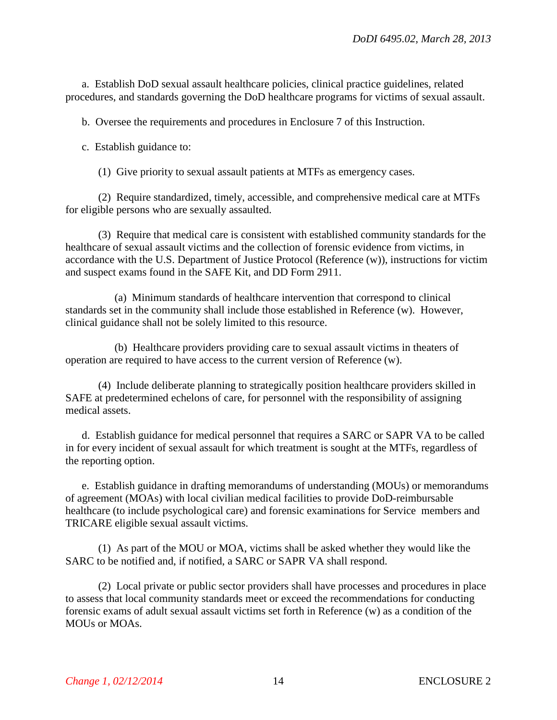a. Establish DoD sexual assault healthcare policies, clinical practice guidelines, related procedures, and standards governing the DoD healthcare programs for victims of sexual assault.

b. Oversee the requirements and procedures in Enclosure 7 of this Instruction.

c. Establish guidance to:

(1) Give priority to sexual assault patients at MTFs as emergency cases.

(2) Require standardized, timely, accessible, and comprehensive medical care at MTFs for eligible persons who are sexually assaulted.

(3) Require that medical care is consistent with established community standards for the healthcare of sexual assault victims and the collection of forensic evidence from victims, in accordance with the U.S. Department of Justice Protocol (Reference (w)), instructions for victim and suspect exams found in the SAFE Kit, and DD Form 2911.

(a) Minimum standards of healthcare intervention that correspond to clinical standards set in the community shall include those established in Reference (w). However, clinical guidance shall not be solely limited to this resource.

(b) Healthcare providers providing care to sexual assault victims in theaters of operation are required to have access to the current version of Reference (w).

(4) Include deliberate planning to strategically position healthcare providers skilled in SAFE at predetermined echelons of care, for personnel with the responsibility of assigning medical assets.

d. Establish guidance for medical personnel that requires a SARC or SAPR VA to be called in for every incident of sexual assault for which treatment is sought at the MTFs, regardless of the reporting option.

e. Establish guidance in drafting memorandums of understanding (MOUs) or memorandums of agreement (MOAs) with local civilian medical facilities to provide DoD-reimbursable healthcare (to include psychological care) and forensic examinations for Service members and TRICARE eligible sexual assault victims.

(1) As part of the MOU or MOA, victims shall be asked whether they would like the SARC to be notified and, if notified, a SARC or SAPR VA shall respond.

(2) Local private or public sector providers shall have processes and procedures in place to assess that local community standards meet or exceed the recommendations for conducting forensic exams of adult sexual assault victims set forth in Reference (w) as a condition of the MOUs or MOAs.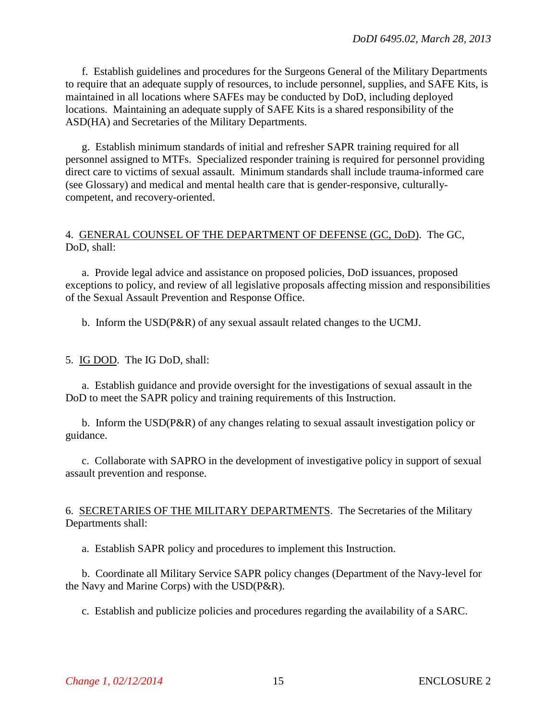f. Establish guidelines and procedures for the Surgeons General of the Military Departments to require that an adequate supply of resources, to include personnel, supplies, and SAFE Kits, is maintained in all locations where SAFEs may be conducted by DoD, including deployed locations. Maintaining an adequate supply of SAFE Kits is a shared responsibility of the ASD(HA) and Secretaries of the Military Departments.

g. Establish minimum standards of initial and refresher SAPR training required for all personnel assigned to MTFs. Specialized responder training is required for personnel providing direct care to victims of sexual assault. Minimum standards shall include trauma-informed care (see Glossary) and medical and mental health care that is gender-responsive, culturallycompetent, and recovery-oriented.

#### 4. GENERAL COUNSEL OF THE DEPARTMENT OF DEFENSE (GC, DoD). The GC, DoD, shall:

a. Provide legal advice and assistance on proposed policies, DoD issuances, proposed exceptions to policy, and review of all legislative proposals affecting mission and responsibilities of the Sexual Assault Prevention and Response Office.

b. Inform the USD(P&R) of any sexual assault related changes to the UCMJ.

5. IG DOD. The IG DoD, shall:

a. Establish guidance and provide oversight for the investigations of sexual assault in the DoD to meet the SAPR policy and training requirements of this Instruction.

b. Inform the USD(P&R) of any changes relating to sexual assault investigation policy or guidance.

c. Collaborate with SAPRO in the development of investigative policy in support of sexual assault prevention and response.

6. SECRETARIES OF THE MILITARY DEPARTMENTS. The Secretaries of the Military Departments shall:

a. Establish SAPR policy and procedures to implement this Instruction.

b. Coordinate all Military Service SAPR policy changes (Department of the Navy-level for the Navy and Marine Corps) with the USD(P&R).

c. Establish and publicize policies and procedures regarding the availability of a SARC.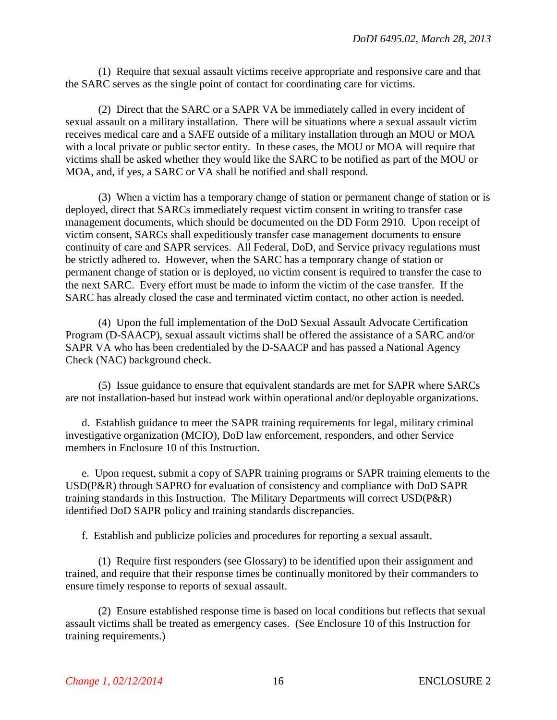(1) Require that sexual assault victims receive appropriate and responsive care and that the SARC serves as the single point of contact for coordinating care for victims.

(2) Direct that the SARC or a SAPR VA be immediately called in every incident of sexual assault on a military installation. There will be situations where a sexual assault victim receives medical care and a SAFE outside of a military installation through an MOU or MOA with a local private or public sector entity. In these cases, the MOU or MOA will require that victims shall be asked whether they would like the SARC to be notified as part of the MOU or MOA, and, if yes, a SARC or VA shall be notified and shall respond.

(3) When a victim has a temporary change of station or permanent change of station or is deployed, direct that SARCs immediately request victim consent in writing to transfer case management documents, which should be documented on the DD Form 2910. Upon receipt of victim consent, SARCs shall expeditiously transfer case management documents to ensure continuity of care and SAPR services. All Federal, DoD, and Service privacy regulations must be strictly adhered to. However, when the SARC has a temporary change of station or permanent change of station or is deployed, no victim consent is required to transfer the case to the next SARC. Every effort must be made to inform the victim of the case transfer. If the SARC has already closed the case and terminated victim contact, no other action is needed.

(4) Upon the full implementation of the DoD Sexual Assault Advocate Certification Program (D-SAACP), sexual assault victims shall be offered the assistance of a SARC and/or SAPR VA who has been credentialed by the D-SAACP and has passed a National Agency Check (NAC) background check.

(5) Issue guidance to ensure that equivalent standards are met for SAPR where SARCs are not installation-based but instead work within operational and/or deployable organizations.

d. Establish guidance to meet the SAPR training requirements for legal, military criminal investigative organization (MCIO), DoD law enforcement, responders, and other Service members in Enclosure 10 of this Instruction.

e. Upon request, submit a copy of SAPR training programs or SAPR training elements to the USD(P&R) through SAPRO for evaluation of consistency and compliance with DoD SAPR training standards in this Instruction. The Military Departments will correct USD(P&R) identified DoD SAPR policy and training standards discrepancies.

f. Establish and publicize policies and procedures for reporting a sexual assault.

(1) Require first responders (see Glossary) to be identified upon their assignment and trained, and require that their response times be continually monitored by their commanders to ensure timely response to reports of sexual assault.

(2) Ensure established response time is based on local conditions but reflects that sexual assault victims shall be treated as emergency cases. (See Enclosure 10 of this Instruction for training requirements.)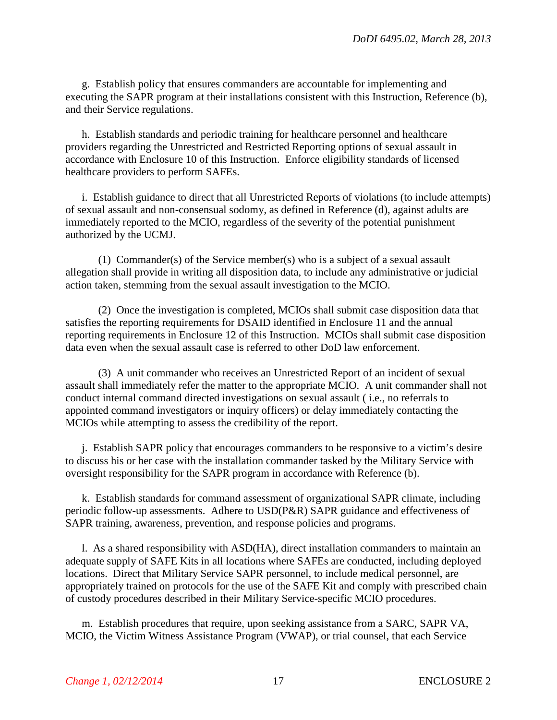g. Establish policy that ensures commanders are accountable for implementing and executing the SAPR program at their installations consistent with this Instruction, Reference (b), and their Service regulations.

h. Establish standards and periodic training for healthcare personnel and healthcare providers regarding the Unrestricted and Restricted Reporting options of sexual assault in accordance with Enclosure 10 of this Instruction. Enforce eligibility standards of licensed healthcare providers to perform SAFEs.

i. Establish guidance to direct that all Unrestricted Reports of violations (to include attempts) of sexual assault and non-consensual sodomy, as defined in Reference (d), against adults are immediately reported to the MCIO, regardless of the severity of the potential punishment authorized by the UCMJ.

(1) Commander(s) of the Service member(s) who is a subject of a sexual assault allegation shall provide in writing all disposition data, to include any administrative or judicial action taken, stemming from the sexual assault investigation to the MCIO.

(2) Once the investigation is completed, MCIOs shall submit case disposition data that satisfies the reporting requirements for DSAID identified in Enclosure 11 and the annual reporting requirements in Enclosure 12 of this Instruction. MCIOs shall submit case disposition data even when the sexual assault case is referred to other DoD law enforcement.

(3) A unit commander who receives an Unrestricted Report of an incident of sexual assault shall immediately refer the matter to the appropriate MCIO. A unit commander shall not conduct internal command directed investigations on sexual assault ( i.e., no referrals to appointed command investigators or inquiry officers) or delay immediately contacting the MCIOs while attempting to assess the credibility of the report.

j. Establish SAPR policy that encourages commanders to be responsive to a victim's desire to discuss his or her case with the installation commander tasked by the Military Service with oversight responsibility for the SAPR program in accordance with Reference (b).

k. Establish standards for command assessment of organizational SAPR climate, including periodic follow-up assessments. Adhere to USD(P&R) SAPR guidance and effectiveness of SAPR training, awareness, prevention, and response policies and programs.

l. As a shared responsibility with ASD(HA), direct installation commanders to maintain an adequate supply of SAFE Kits in all locations where SAFEs are conducted, including deployed locations. Direct that Military Service SAPR personnel, to include medical personnel, are appropriately trained on protocols for the use of the SAFE Kit and comply with prescribed chain of custody procedures described in their Military Service-specific MCIO procedures.

m. Establish procedures that require, upon seeking assistance from a SARC, SAPR VA, MCIO, the Victim Witness Assistance Program (VWAP), or trial counsel, that each Service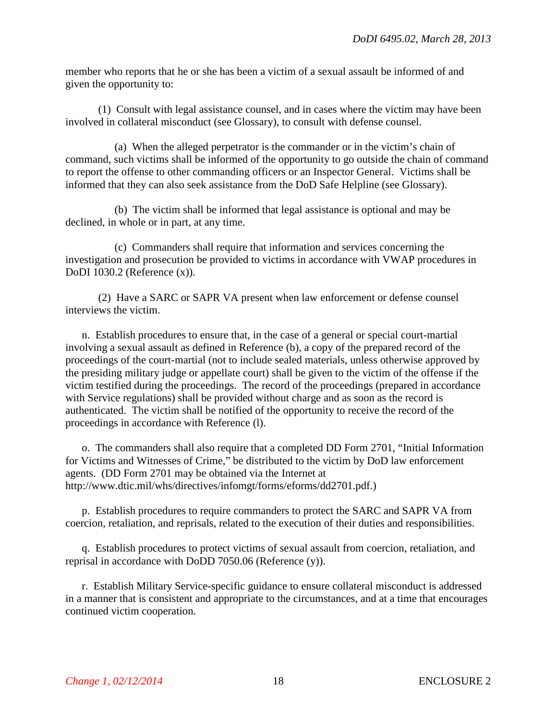member who reports that he or she has been a victim of a sexual assault be informed of and given the opportunity to:

(1) Consult with legal assistance counsel, and in cases where the victim may have been involved in collateral misconduct (see Glossary), to consult with defense counsel.

(a) When the alleged perpetrator is the commander or in the victim's chain of command, such victims shall be informed of the opportunity to go outside the chain of command to report the offense to other commanding officers or an Inspector General. Victims shall be informed that they can also seek assistance from the DoD Safe Helpline (see Glossary).

(b) The victim shall be informed that legal assistance is optional and may be declined, in whole or in part, at any time.

(c) Commanders shall require that information and services concerning the investigation and prosecution be provided to victims in accordance with VWAP procedures in DoDI 1030.2 (Reference (x)).

(2) Have a SARC or SAPR VA present when law enforcement or defense counsel interviews the victim.

n. Establish procedures to ensure that, in the case of a general or special court-martial involving a sexual assault as defined in Reference (b), a copy of the prepared record of the proceedings of the court-martial (not to include sealed materials, unless otherwise approved by the presiding military judge or appellate court) shall be given to the victim of the offense if the victim testified during the proceedings. The record of the proceedings (prepared in accordance with Service regulations) shall be provided without charge and as soon as the record is authenticated. The victim shall be notified of the opportunity to receive the record of the proceedings in accordance with Reference (l).

o. The commanders shall also require that a completed DD Form 2701, "Initial Information for Victims and Witnesses of Crime," be distributed to the victim by DoD law enforcement agents. (DD Form 2701 may be obtained via the Internet at [http://www.dtic.mil/whs/directives/infomgt/forms/eforms/dd2701.pdf.](http://www.dtic.mil/whs/directives/infomgt/forms/eforms/dd2701.pdf))

p. Establish procedures to require commanders to protect the SARC and SAPR VA from coercion, retaliation, and reprisals, related to the execution of their duties and responsibilities.

q. Establish procedures to protect victims of sexual assault from coercion, retaliation, and reprisal in accordance with DoDD 7050.06 (Reference (y)).

r. Establish Military Service-specific guidance to ensure collateral misconduct is addressed in a manner that is consistent and appropriate to the circumstances, and at a time that encourages continued victim cooperation.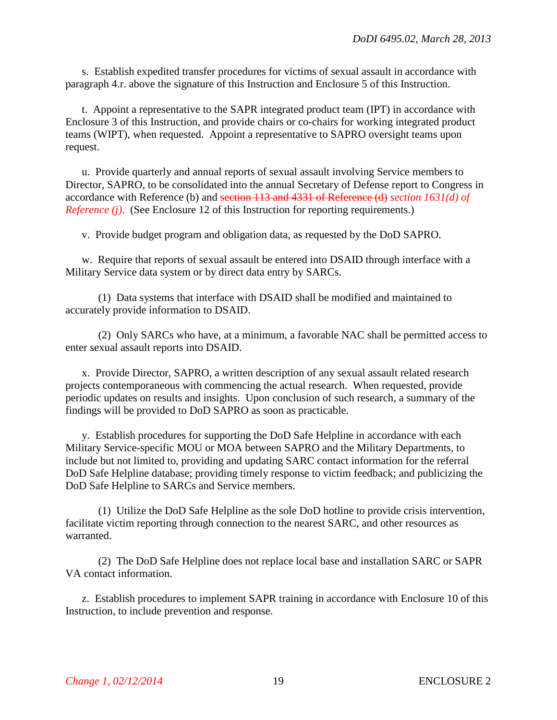s. Establish expedited transfer procedures for victims of sexual assault in accordance with paragraph 4.r. above the signature of this Instruction and Enclosure 5 of this Instruction.

t. Appoint a representative to the SAPR integrated product team (IPT) in accordance with Enclosure 3 of this Instruction, and provide chairs or co-chairs for working integrated product teams (WIPT), when requested. Appoint a representative to SAPRO oversight teams upon request.

u. Provide quarterly and annual reports of sexual assault involving Service members to Director, SAPRO, to be consolidated into the annual Secretary of Defense report to Congress in accordance with Reference (b) and section 113 and 4331 of Reference (d) *section 1631(d) of Reference (j).* (See Enclosure 12 of this Instruction for reporting requirements.)

v. Provide budget program and obligation data, as requested by the DoD SAPRO.

w. Require that reports of sexual assault be entered into DSAID through interface with a Military Service data system or by direct data entry by SARCs.

(1) Data systems that interface with DSAID shall be modified and maintained to accurately provide information to DSAID.

(2) Only SARCs who have, at a minimum, a favorable NAC shall be permitted access to enter sexual assault reports into DSAID.

x. Provide Director, SAPRO, a written description of any sexual assault related research projects contemporaneous with commencing the actual research. When requested, provide periodic updates on results and insights. Upon conclusion of such research, a summary of the findings will be provided to DoD SAPRO as soon as practicable.

y. Establish procedures for supporting the DoD Safe Helpline in accordance with each Military Service-specific MOU or MOA between SAPRO and the Military Departments, to include but not limited to, providing and updating SARC contact information for the referral DoD Safe Helpline database; providing timely response to victim feedback; and publicizing the DoD Safe Helpline to SARCs and Service members.

(1) Utilize the DoD Safe Helpline as the sole DoD hotline to provide crisis intervention, facilitate victim reporting through connection to the nearest SARC, and other resources as warranted.

(2) The DoD Safe Helpline does not replace local base and installation SARC or SAPR VA contact information.

z. Establish procedures to implement SAPR training in accordance with Enclosure 10 of this Instruction, to include prevention and response.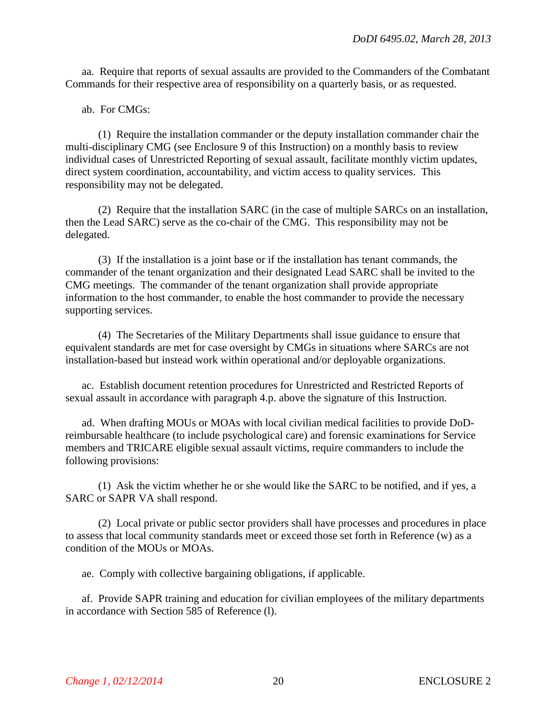aa. Require that reports of sexual assaults are provided to the Commanders of the Combatant Commands for their respective area of responsibility on a quarterly basis, or as requested.

ab. For CMGs:

(1) Require the installation commander or the deputy installation commander chair the multi-disciplinary CMG (see Enclosure 9 of this Instruction) on a monthly basis to review individual cases of Unrestricted Reporting of sexual assault, facilitate monthly victim updates, direct system coordination, accountability, and victim access to quality services. This responsibility may not be delegated.

(2) Require that the installation SARC (in the case of multiple SARCs on an installation, then the Lead SARC) serve as the co-chair of the CMG. This responsibility may not be delegated.

(3) If the installation is a joint base or if the installation has tenant commands, the commander of the tenant organization and their designated Lead SARC shall be invited to the CMG meetings. The commander of the tenant organization shall provide appropriate information to the host commander, to enable the host commander to provide the necessary supporting services.

(4) The Secretaries of the Military Departments shall issue guidance to ensure that equivalent standards are met for case oversight by CMGs in situations where SARCs are not installation-based but instead work within operational and/or deployable organizations.

ac. Establish document retention procedures for Unrestricted and Restricted Reports of sexual assault in accordance with paragraph 4.p. above the signature of this Instruction.

ad. When drafting MOUs or MOAs with local civilian medical facilities to provide DoDreimbursable healthcare (to include psychological care) and forensic examinations for Service members and TRICARE eligible sexual assault victims, require commanders to include the following provisions:

(1) Ask the victim whether he or she would like the SARC to be notified, and if yes, a SARC or SAPR VA shall respond.

(2) Local private or public sector providers shall have processes and procedures in place to assess that local community standards meet or exceed those set forth in Reference (w) as a condition of the MOUs or MOAs.

ae. Comply with collective bargaining obligations, if applicable.

af. Provide SAPR training and education for civilian employees of the military departments in accordance with Section 585 of Reference (l).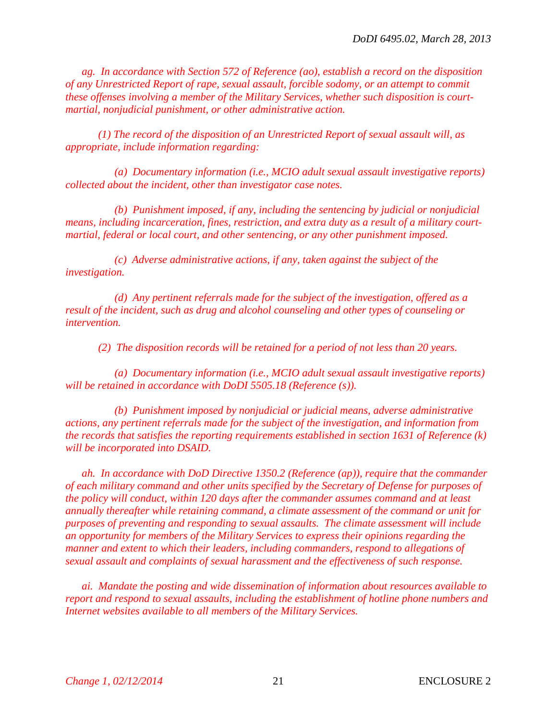*ag. In accordance with Section 572 of Reference (ao), establish a record on the disposition of any Unrestricted Report of rape, sexual assault, forcible sodomy, or an attempt to commit these offenses involving a member of the Military Services, whether such disposition is courtmartial, nonjudicial punishment, or other administrative action.*

*(1) The record of the disposition of an Unrestricted Report of sexual assault will, as appropriate, include information regarding:*

*(a) Documentary information (i.e., MCIO adult sexual assault investigative reports) collected about the incident, other than investigator case notes.*

*(b) Punishment imposed, if any, including the sentencing by judicial or nonjudicial means, including incarceration, fines, restriction, and extra duty as a result of a military courtmartial, federal or local court, and other sentencing, or any other punishment imposed.* 

*(c) Adverse administrative actions, if any, taken against the subject of the investigation.*

*(d) Any pertinent referrals made for the subject of the investigation, offered as a result of the incident, such as drug and alcohol counseling and other types of counseling or intervention.*

*(2) The disposition records will be retained for a period of not less than 20 years.* 

*(a) Documentary information (i.e., MCIO adult sexual assault investigative reports) will be retained in accordance with DoDI 5505.18 (Reference (s)).*

*(b) Punishment imposed by nonjudicial or judicial means, adverse administrative actions, any pertinent referrals made for the subject of the investigation, and information from the records that satisfies the reporting requirements established in section 1631 of Reference (k) will be incorporated into DSAID.*

*ah. In accordance with DoD Directive 1350.2 (Reference (ap)), require that the commander of each military command and other units specified by the Secretary of Defense for purposes of the policy will conduct, within 120 days after the commander assumes command and at least annually thereafter while retaining command, a climate assessment of the command or unit for purposes of preventing and responding to sexual assaults. The climate assessment will include an opportunity for members of the Military Services to express their opinions regarding the manner and extent to which their leaders, including commanders, respond to allegations of sexual assault and complaints of sexual harassment and the effectiveness of such response.*

*ai. Mandate the posting and wide dissemination of information about resources available to report and respond to sexual assaults, including the establishment of hotline phone numbers and Internet websites available to all members of the Military Services.*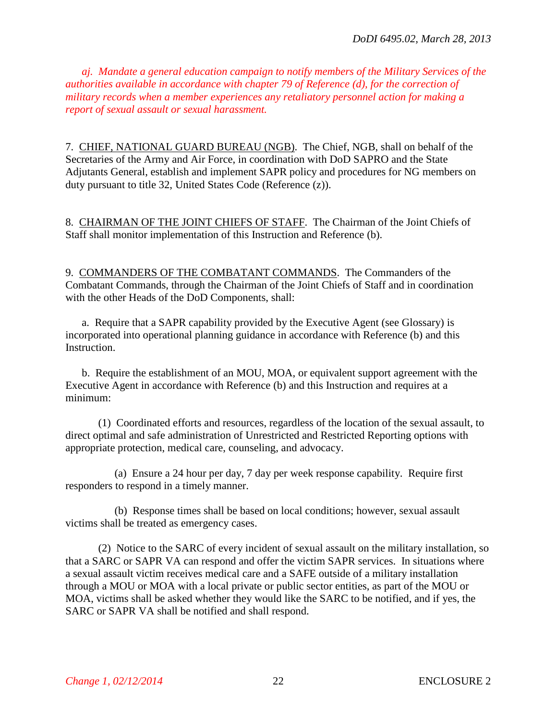*aj. Mandate a general education campaign to notify members of the Military Services of the authorities available in accordance with chapter 79 of Reference (d), for the correction of military records when a member experiences any retaliatory personnel action for making a report of sexual assault or sexual harassment.*

7. CHIEF, NATIONAL GUARD BUREAU (NGB). The Chief, NGB, shall on behalf of the Secretaries of the Army and Air Force, in coordination with DoD SAPRO and the State Adjutants General, establish and implement SAPR policy and procedures for NG members on duty pursuant to title 32, United States Code (Reference (z)).

8. CHAIRMAN OF THE JOINT CHIEFS OF STAFF. The Chairman of the Joint Chiefs of Staff shall monitor implementation of this Instruction and Reference (b).

9. COMMANDERS OF THE COMBATANT COMMANDS. The Commanders of the Combatant Commands, through the Chairman of the Joint Chiefs of Staff and in coordination with the other Heads of the DoD Components, shall:

a. Require that a SAPR capability provided by the Executive Agent (see Glossary) is incorporated into operational planning guidance in accordance with Reference (b) and this Instruction.

b. Require the establishment of an MOU, MOA, or equivalent support agreement with the Executive Agent in accordance with Reference (b) and this Instruction and requires at a minimum:

(1) Coordinated efforts and resources, regardless of the location of the sexual assault, to direct optimal and safe administration of Unrestricted and Restricted Reporting options with appropriate protection, medical care, counseling, and advocacy.

(a) Ensure a 24 hour per day, 7 day per week response capability. Require first responders to respond in a timely manner.

(b) Response times shall be based on local conditions; however, sexual assault victims shall be treated as emergency cases.

(2) Notice to the SARC of every incident of sexual assault on the military installation, so that a SARC or SAPR VA can respond and offer the victim SAPR services. In situations where a sexual assault victim receives medical care and a SAFE outside of a military installation through a MOU or MOA with a local private or public sector entities, as part of the MOU or MOA, victims shall be asked whether they would like the SARC to be notified, and if yes, the SARC or SAPR VA shall be notified and shall respond.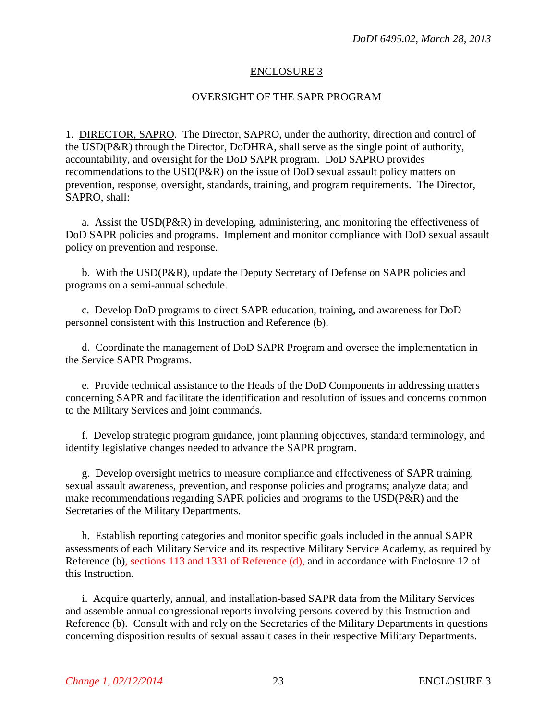## ENCLOSURE 3

## OVERSIGHT OF THE SAPR PROGRAM

1. DIRECTOR, SAPRO. The Director, SAPRO, under the authority, direction and control of the USD(P&R) through the Director, DoDHRA, shall serve as the single point of authority, accountability, and oversight for the DoD SAPR program. DoD SAPRO provides recommendations to the USD(P&R) on the issue of DoD sexual assault policy matters on prevention, response, oversight, standards, training, and program requirements. The Director, SAPRO, shall:

a. Assist the USD(P&R) in developing, administering, and monitoring the effectiveness of DoD SAPR policies and programs. Implement and monitor compliance with DoD sexual assault policy on prevention and response.

b. With the USD(P&R), update the Deputy Secretary of Defense on SAPR policies and programs on a semi-annual schedule.

c. Develop DoD programs to direct SAPR education, training, and awareness for DoD personnel consistent with this Instruction and Reference (b).

d. Coordinate the management of DoD SAPR Program and oversee the implementation in the Service SAPR Programs.

e. Provide technical assistance to the Heads of the DoD Components in addressing matters concerning SAPR and facilitate the identification and resolution of issues and concerns common to the Military Services and joint commands.

f. Develop strategic program guidance, joint planning objectives, standard terminology, and identify legislative changes needed to advance the SAPR program.

g. Develop oversight metrics to measure compliance and effectiveness of SAPR training, sexual assault awareness, prevention, and response policies and programs; analyze data; and make recommendations regarding SAPR policies and programs to the USD(P&R) and the Secretaries of the Military Departments.

h. Establish reporting categories and monitor specific goals included in the annual SAPR assessments of each Military Service and its respective Military Service Academy, as required by Reference (b), sections 113 and 1331 of Reference (d), and in accordance with Enclosure 12 of this Instruction.

i. Acquire quarterly, annual, and installation-based SAPR data from the Military Services and assemble annual congressional reports involving persons covered by this Instruction and Reference (b). Consult with and rely on the Secretaries of the Military Departments in questions concerning disposition results of sexual assault cases in their respective Military Departments.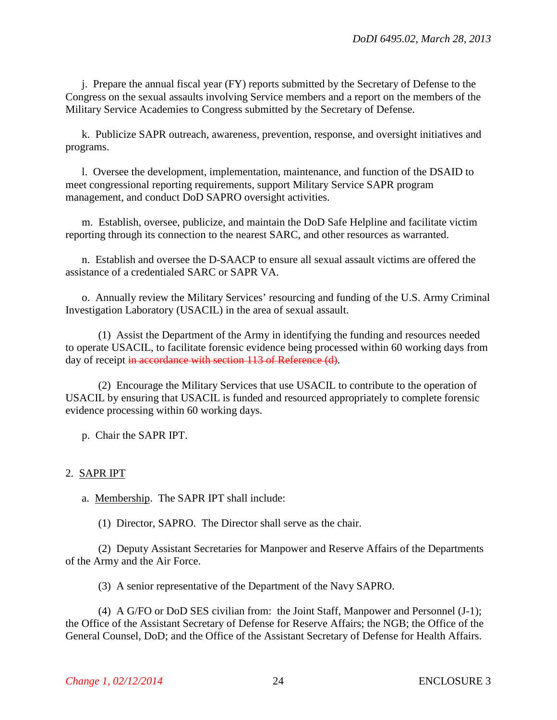j. Prepare the annual fiscal year (FY) reports submitted by the Secretary of Defense to the Congress on the sexual assaults involving Service members and a report on the members of the Military Service Academies to Congress submitted by the Secretary of Defense.

k. Publicize SAPR outreach, awareness, prevention, response, and oversight initiatives and programs.

l. Oversee the development, implementation, maintenance, and function of the DSAID to meet congressional reporting requirements, support Military Service SAPR program management, and conduct DoD SAPRO oversight activities.

m. Establish, oversee, publicize, and maintain the DoD Safe Helpline and facilitate victim reporting through its connection to the nearest SARC, and other resources as warranted.

n. Establish and oversee the D-SAACP to ensure all sexual assault victims are offered the assistance of a credentialed SARC or SAPR VA.

o. Annually review the Military Services' resourcing and funding of the U.S. Army Criminal Investigation Laboratory (USACIL) in the area of sexual assault.

(1) Assist the Department of the Army in identifying the funding and resources needed to operate USACIL, to facilitate forensic evidence being processed within 60 working days from day of receipt in accordance with section 113 of Reference (d).

(2) Encourage the Military Services that use USACIL to contribute to the operation of USACIL by ensuring that USACIL is funded and resourced appropriately to complete forensic evidence processing within 60 working days.

p. Chair the SAPR IPT.

### 2. SAPR IPT

a. Membership. The SAPR IPT shall include:

(1) Director, SAPRO. The Director shall serve as the chair.

(2) Deputy Assistant Secretaries for Manpower and Reserve Affairs of the Departments of the Army and the Air Force.

(3) A senior representative of the Department of the Navy SAPRO.

(4) A G/FO or DoD SES civilian from: the Joint Staff, Manpower and Personnel (J-1); the Office of the Assistant Secretary of Defense for Reserve Affairs; the NGB; the Office of the General Counsel, DoD; and the Office of the Assistant Secretary of Defense for Health Affairs.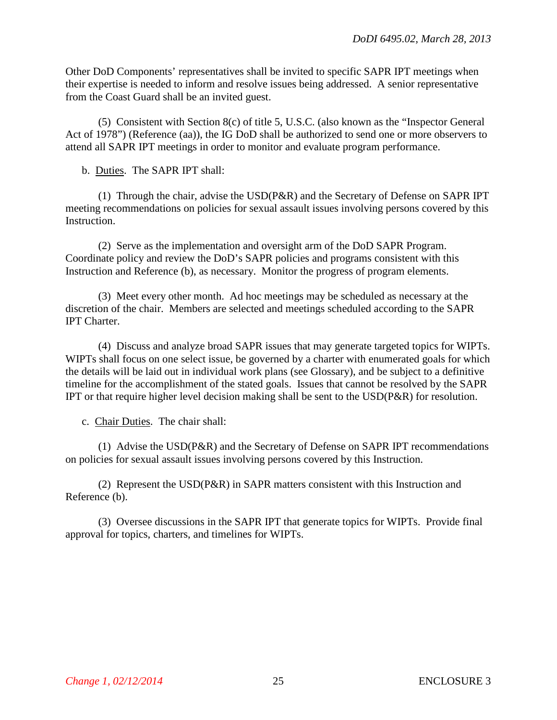Other DoD Components' representatives shall be invited to specific SAPR IPT meetings when their expertise is needed to inform and resolve issues being addressed. A senior representative from the Coast Guard shall be an invited guest.

(5) Consistent with Section 8(c) of title 5, U.S.C. (also known as the "Inspector General Act of 1978") (Reference (aa)), the IG DoD shall be authorized to send one or more observers to attend all SAPR IPT meetings in order to monitor and evaluate program performance.

b. Duties. The SAPR IPT shall:

(1) Through the chair, advise the USD(P&R) and the Secretary of Defense on SAPR IPT meeting recommendations on policies for sexual assault issues involving persons covered by this Instruction.

(2) Serve as the implementation and oversight arm of the DoD SAPR Program. Coordinate policy and review the DoD's SAPR policies and programs consistent with this Instruction and Reference (b), as necessary. Monitor the progress of program elements.

(3) Meet every other month. Ad hoc meetings may be scheduled as necessary at the discretion of the chair. Members are selected and meetings scheduled according to the SAPR IPT Charter.

(4) Discuss and analyze broad SAPR issues that may generate targeted topics for WIPTs. WIPTs shall focus on one select issue, be governed by a charter with enumerated goals for which the details will be laid out in individual work plans (see Glossary), and be subject to a definitive timeline for the accomplishment of the stated goals. Issues that cannot be resolved by the SAPR IPT or that require higher level decision making shall be sent to the USD(P&R) for resolution.

c. Chair Duties. The chair shall:

(1) Advise the USD(P&R) and the Secretary of Defense on SAPR IPT recommendations on policies for sexual assault issues involving persons covered by this Instruction.

(2) Represent the USD(P&R) in SAPR matters consistent with this Instruction and Reference (b).

(3) Oversee discussions in the SAPR IPT that generate topics for WIPTs. Provide final approval for topics, charters, and timelines for WIPTs.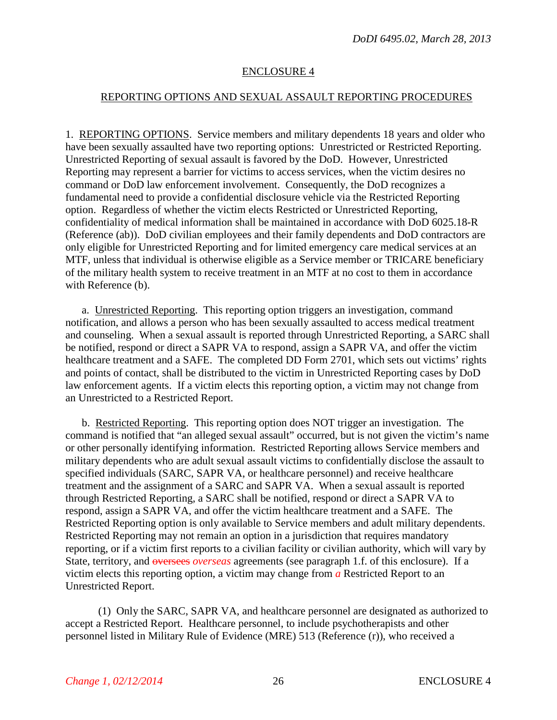## ENCLOSURE 4

### REPORTING OPTIONS AND SEXUAL ASSAULT REPORTING PROCEDURES

1. REPORTING OPTIONS. Service members and military dependents 18 years and older who have been sexually assaulted have two reporting options: Unrestricted or Restricted Reporting. Unrestricted Reporting of sexual assault is favored by the DoD. However, Unrestricted Reporting may represent a barrier for victims to access services, when the victim desires no command or DoD law enforcement involvement. Consequently, the DoD recognizes a fundamental need to provide a confidential disclosure vehicle via the Restricted Reporting option. Regardless of whether the victim elects Restricted or Unrestricted Reporting, confidentiality of medical information shall be maintained in accordance with DoD 6025.18-R (Reference (ab)). DoD civilian employees and their family dependents and DoD contractors are only eligible for Unrestricted Reporting and for limited emergency care medical services at an MTF, unless that individual is otherwise eligible as a Service member or TRICARE beneficiary of the military health system to receive treatment in an MTF at no cost to them in accordance with Reference (b).

a. Unrestricted Reporting. This reporting option triggers an investigation, command notification, and allows a person who has been sexually assaulted to access medical treatment and counseling. When a sexual assault is reported through Unrestricted Reporting, a SARC shall be notified, respond or direct a SAPR VA to respond, assign a SAPR VA, and offer the victim healthcare treatment and a SAFE. The completed DD Form 2701, which sets out victims' rights and points of contact, shall be distributed to the victim in Unrestricted Reporting cases by DoD law enforcement agents. If a victim elects this reporting option, a victim may not change from an Unrestricted to a Restricted Report.

b. Restricted Reporting. This reporting option does NOT trigger an investigation. The command is notified that "an alleged sexual assault" occurred, but is not given the victim's name or other personally identifying information. Restricted Reporting allows Service members and military dependents who are adult sexual assault victims to confidentially disclose the assault to specified individuals (SARC, SAPR VA, or healthcare personnel) and receive healthcare treatment and the assignment of a SARC and SAPR VA. When a sexual assault is reported through Restricted Reporting, a SARC shall be notified, respond or direct a SAPR VA to respond, assign a SAPR VA, and offer the victim healthcare treatment and a SAFE. The Restricted Reporting option is only available to Service members and adult military dependents. Restricted Reporting may not remain an option in a jurisdiction that requires mandatory reporting, or if a victim first reports to a civilian facility or civilian authority, which will vary by State, territory, and oversees *overseas* agreements (see paragraph 1.f. of this enclosure). If a victim elects this reporting option, a victim may change from *a* Restricted Report to an Unrestricted Report.

(1) Only the SARC, SAPR VA, and healthcare personnel are designated as authorized to accept a Restricted Report. Healthcare personnel, to include psychotherapists and other personnel listed in Military Rule of Evidence (MRE) 513 (Reference (r)), who received a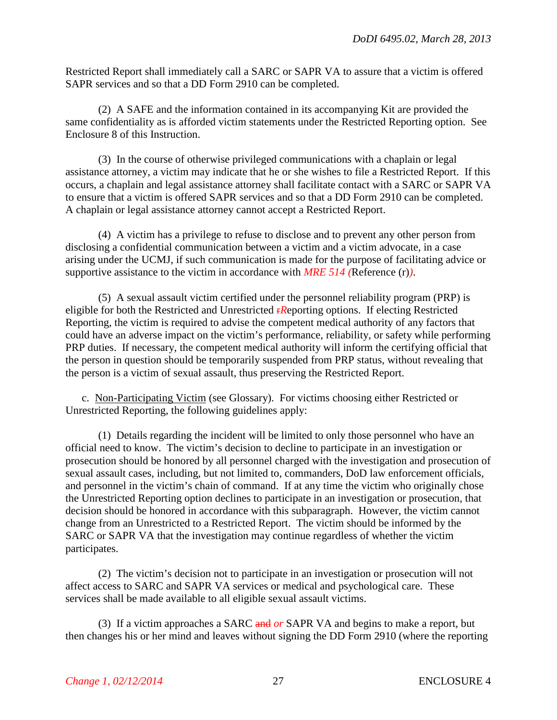Restricted Report shall immediately call a SARC or SAPR VA to assure that a victim is offered SAPR services and so that a DD Form 2910 can be completed.

(2) A SAFE and the information contained in its accompanying Kit are provided the same confidentiality as is afforded victim statements under the Restricted Reporting option. See Enclosure 8 of this Instruction.

(3) In the course of otherwise privileged communications with a chaplain or legal assistance attorney, a victim may indicate that he or she wishes to file a Restricted Report. If this occurs, a chaplain and legal assistance attorney shall facilitate contact with a SARC or SAPR VA to ensure that a victim is offered SAPR services and so that a DD Form 2910 can be completed. A chaplain or legal assistance attorney cannot accept a Restricted Report.

(4) A victim has a privilege to refuse to disclose and to prevent any other person from disclosing a confidential communication between a victim and a victim advocate, in a case arising under the UCMJ, if such communication is made for the purpose of facilitating advice or supportive assistance to the victim in accordance with *MRE 514 (*Reference (r)*)*.

(5) A sexual assault victim certified under the personnel reliability program (PRP) is eligible for both the Restricted and Unrestricted r*R*eporting options. If electing Restricted Reporting, the victim is required to advise the competent medical authority of any factors that could have an adverse impact on the victim's performance, reliability, or safety while performing PRP duties. If necessary, the competent medical authority will inform the certifying official that the person in question should be temporarily suspended from PRP status, without revealing that the person is a victim of sexual assault, thus preserving the Restricted Report.

c. Non-Participating Victim (see Glossary). For victims choosing either Restricted or Unrestricted Reporting, the following guidelines apply:

(1) Details regarding the incident will be limited to only those personnel who have an official need to know. The victim's decision to decline to participate in an investigation or prosecution should be honored by all personnel charged with the investigation and prosecution of sexual assault cases, including, but not limited to, commanders, DoD law enforcement officials, and personnel in the victim's chain of command. If at any time the victim who originally chose the Unrestricted Reporting option declines to participate in an investigation or prosecution, that decision should be honored in accordance with this subparagraph. However, the victim cannot change from an Unrestricted to a Restricted Report. The victim should be informed by the SARC or SAPR VA that the investigation may continue regardless of whether the victim participates.

(2) The victim's decision not to participate in an investigation or prosecution will not affect access to SARC and SAPR VA services or medical and psychological care. These services shall be made available to all eligible sexual assault victims.

(3) If a victim approaches a SARC and *or* SAPR VA and begins to make a report, but then changes his or her mind and leaves without signing the DD Form 2910 (where the reporting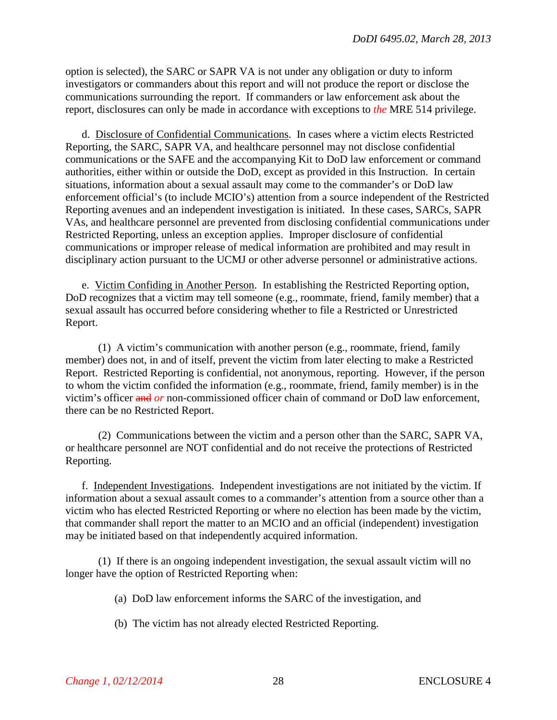option is selected), the SARC or SAPR VA is not under any obligation or duty to inform investigators or commanders about this report and will not produce the report or disclose the communications surrounding the report. If commanders or law enforcement ask about the report, disclosures can only be made in accordance with exceptions to *the* MRE 514 privilege.

d. Disclosure of Confidential Communications. In cases where a victim elects Restricted Reporting, the SARC, SAPR VA, and healthcare personnel may not disclose confidential communications or the SAFE and the accompanying Kit to DoD law enforcement or command authorities, either within or outside the DoD, except as provided in this Instruction. In certain situations, information about a sexual assault may come to the commander's or DoD law enforcement official's (to include MCIO's) attention from a source independent of the Restricted Reporting avenues and an independent investigation is initiated. In these cases, SARCs, SAPR VAs, and healthcare personnel are prevented from disclosing confidential communications under Restricted Reporting, unless an exception applies. Improper disclosure of confidential communications or improper release of medical information are prohibited and may result in disciplinary action pursuant to the UCMJ or other adverse personnel or administrative actions.

e. Victim Confiding in Another Person. In establishing the Restricted Reporting option, DoD recognizes that a victim may tell someone (e.g., roommate, friend, family member) that a sexual assault has occurred before considering whether to file a Restricted or Unrestricted Report.

(1) A victim's communication with another person (e.g., roommate, friend, family member) does not, in and of itself, prevent the victim from later electing to make a Restricted Report. Restricted Reporting is confidential, not anonymous, reporting. However, if the person to whom the victim confided the information (e.g., roommate, friend, family member) is in the victim's officer and *or* non-commissioned officer chain of command or DoD law enforcement, there can be no Restricted Report.

(2) Communications between the victim and a person other than the SARC, SAPR VA, or healthcare personnel are NOT confidential and do not receive the protections of Restricted Reporting.

f. Independent Investigations. Independent investigations are not initiated by the victim. If information about a sexual assault comes to a commander's attention from a source other than a victim who has elected Restricted Reporting or where no election has been made by the victim, that commander shall report the matter to an MCIO and an official (independent) investigation may be initiated based on that independently acquired information.

(1) If there is an ongoing independent investigation, the sexual assault victim will no longer have the option of Restricted Reporting when:

- (a) DoD law enforcement informs the SARC of the investigation, and
- (b) The victim has not already elected Restricted Reporting.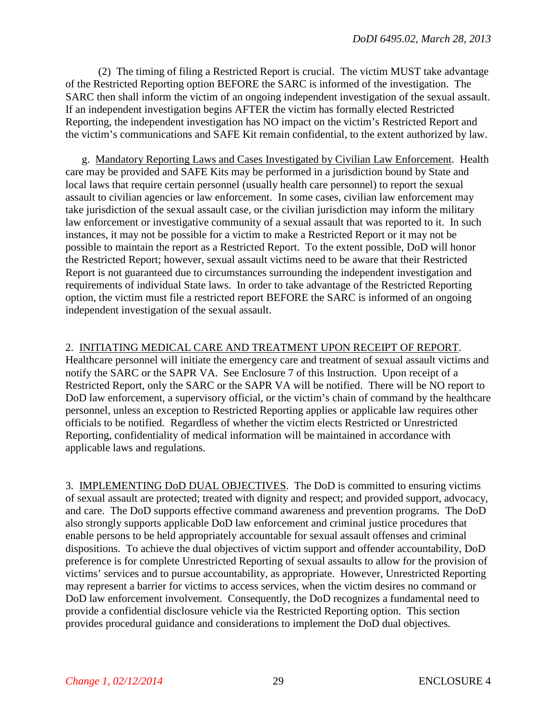(2) The timing of filing a Restricted Report is crucial. The victim MUST take advantage of the Restricted Reporting option BEFORE the SARC is informed of the investigation. The SARC then shall inform the victim of an ongoing independent investigation of the sexual assault. If an independent investigation begins AFTER the victim has formally elected Restricted Reporting, the independent investigation has NO impact on the victim's Restricted Report and the victim's communications and SAFE Kit remain confidential, to the extent authorized by law.

g. Mandatory Reporting Laws and Cases Investigated by Civilian Law Enforcement. Health care may be provided and SAFE Kits may be performed in a jurisdiction bound by State and local laws that require certain personnel (usually health care personnel) to report the sexual assault to civilian agencies or law enforcement. In some cases, civilian law enforcement may take jurisdiction of the sexual assault case, or the civilian jurisdiction may inform the military law enforcement or investigative community of a sexual assault that was reported to it. In such instances, it may not be possible for a victim to make a Restricted Report or it may not be possible to maintain the report as a Restricted Report. To the extent possible, DoD will honor the Restricted Report; however, sexual assault victims need to be aware that their Restricted Report is not guaranteed due to circumstances surrounding the independent investigation and requirements of individual State laws. In order to take advantage of the Restricted Reporting option, the victim must file a restricted report BEFORE the SARC is informed of an ongoing independent investigation of the sexual assault.

## 2. INITIATING MEDICAL CARE AND TREATMENT UPON RECEIPT OF REPORT.

Healthcare personnel will initiate the emergency care and treatment of sexual assault victims and notify the SARC or the SAPR VA. See Enclosure 7 of this Instruction. Upon receipt of a Restricted Report, only the SARC or the SAPR VA will be notified. There will be NO report to DoD law enforcement, a supervisory official, or the victim's chain of command by the healthcare personnel, unless an exception to Restricted Reporting applies or applicable law requires other officials to be notified. Regardless of whether the victim elects Restricted or Unrestricted Reporting, confidentiality of medical information will be maintained in accordance with applicable laws and regulations.

3. IMPLEMENTING DoD DUAL OBJECTIVES. The DoD is committed to ensuring victims of sexual assault are protected; treated with dignity and respect; and provided support, advocacy, and care. The DoD supports effective command awareness and prevention programs. The DoD also strongly supports applicable DoD law enforcement and criminal justice procedures that enable persons to be held appropriately accountable for sexual assault offenses and criminal dispositions. To achieve the dual objectives of victim support and offender accountability, DoD preference is for complete Unrestricted Reporting of sexual assaults to allow for the provision of victims' services and to pursue accountability, as appropriate. However, Unrestricted Reporting may represent a barrier for victims to access services, when the victim desires no command or DoD law enforcement involvement. Consequently, the DoD recognizes a fundamental need to provide a confidential disclosure vehicle via the Restricted Reporting option. This section provides procedural guidance and considerations to implement the DoD dual objectives.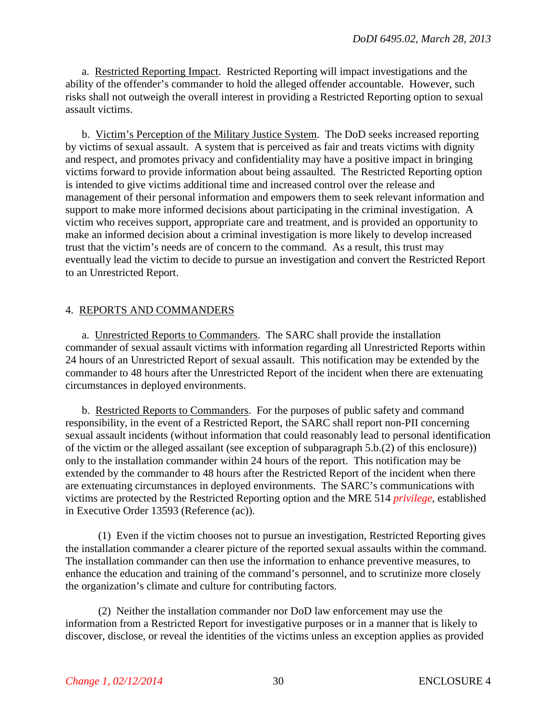a. Restricted Reporting Impact. Restricted Reporting will impact investigations and the ability of the offender's commander to hold the alleged offender accountable. However, such risks shall not outweigh the overall interest in providing a Restricted Reporting option to sexual assault victims.

b. Victim's Perception of the Military Justice System. The DoD seeks increased reporting by victims of sexual assault. A system that is perceived as fair and treats victims with dignity and respect, and promotes privacy and confidentiality may have a positive impact in bringing victims forward to provide information about being assaulted. The Restricted Reporting option is intended to give victims additional time and increased control over the release and management of their personal information and empowers them to seek relevant information and support to make more informed decisions about participating in the criminal investigation. A victim who receives support, appropriate care and treatment, and is provided an opportunity to make an informed decision about a criminal investigation is more likely to develop increased trust that the victim's needs are of concern to the command. As a result, this trust may eventually lead the victim to decide to pursue an investigation and convert the Restricted Report to an Unrestricted Report.

### 4. REPORTS AND COMMANDERS

a. Unrestricted Reports to Commanders. The SARC shall provide the installation commander of sexual assault victims with information regarding all Unrestricted Reports within 24 hours of an Unrestricted Report of sexual assault. This notification may be extended by the commander to 48 hours after the Unrestricted Report of the incident when there are extenuating circumstances in deployed environments.

b. Restricted Reports to Commanders. For the purposes of public safety and command responsibility, in the event of a Restricted Report, the SARC shall report non-PII concerning sexual assault incidents (without information that could reasonably lead to personal identification of the victim or the alleged assailant (see exception of subparagraph 5.b.(2) of this enclosure)) only to the installation commander within 24 hours of the report. This notification may be extended by the commander to 48 hours after the Restricted Report of the incident when there are extenuating circumstances in deployed environments. The SARC's communications with victims are protected by the Restricted Reporting option and the MRE 514 *privilege*, established in Executive Order 13593 (Reference (ac)).

(1) Even if the victim chooses not to pursue an investigation, Restricted Reporting gives the installation commander a clearer picture of the reported sexual assaults within the command. The installation commander can then use the information to enhance preventive measures, to enhance the education and training of the command's personnel, and to scrutinize more closely the organization's climate and culture for contributing factors.

(2) Neither the installation commander nor DoD law enforcement may use the information from a Restricted Report for investigative purposes or in a manner that is likely to discover, disclose, or reveal the identities of the victims unless an exception applies as provided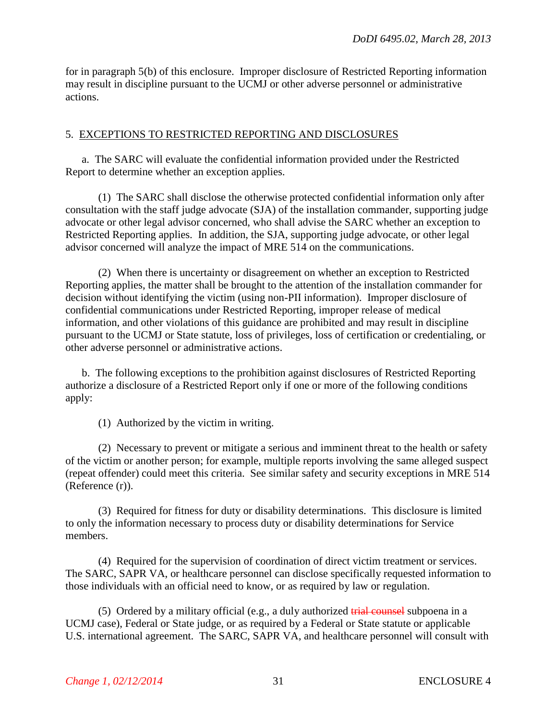for in paragraph 5(b) of this enclosure. Improper disclosure of Restricted Reporting information may result in discipline pursuant to the UCMJ or other adverse personnel or administrative actions.

## 5. EXCEPTIONS TO RESTRICTED REPORTING AND DISCLOSURES

a. The SARC will evaluate the confidential information provided under the Restricted Report to determine whether an exception applies.

(1) The SARC shall disclose the otherwise protected confidential information only after consultation with the staff judge advocate (SJA) of the installation commander, supporting judge advocate or other legal advisor concerned, who shall advise the SARC whether an exception to Restricted Reporting applies. In addition, the SJA, supporting judge advocate, or other legal advisor concerned will analyze the impact of MRE 514 on the communications.

(2) When there is uncertainty or disagreement on whether an exception to Restricted Reporting applies, the matter shall be brought to the attention of the installation commander for decision without identifying the victim (using non-PII information). Improper disclosure of confidential communications under Restricted Reporting, improper release of medical information, and other violations of this guidance are prohibited and may result in discipline pursuant to the UCMJ or State statute, loss of privileges, loss of certification or credentialing, or other adverse personnel or administrative actions.

b. The following exceptions to the prohibition against disclosures of Restricted Reporting authorize a disclosure of a Restricted Report only if one or more of the following conditions apply:

(1) Authorized by the victim in writing.

(2) Necessary to prevent or mitigate a serious and imminent threat to the health or safety of the victim or another person; for example, multiple reports involving the same alleged suspect (repeat offender) could meet this criteria. See similar safety and security exceptions in MRE 514 (Reference (r)).

(3) Required for fitness for duty or disability determinations. This disclosure is limited to only the information necessary to process duty or disability determinations for Service members.

(4) Required for the supervision of coordination of direct victim treatment or services. The SARC, SAPR VA, or healthcare personnel can disclose specifically requested information to those individuals with an official need to know, or as required by law or regulation.

(5) Ordered by a military official (e.g., a duly authorized  $\frac{1}{1 + \text{ rad}}$  counsel subpoena in a UCMJ case), Federal or State judge, or as required by a Federal or State statute or applicable U.S. international agreement. The SARC, SAPR VA, and healthcare personnel will consult with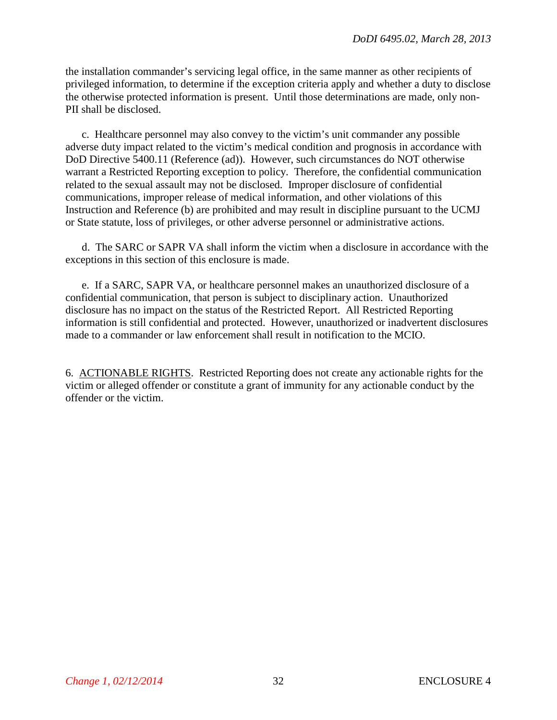the installation commander's servicing legal office, in the same manner as other recipients of privileged information, to determine if the exception criteria apply and whether a duty to disclose the otherwise protected information is present. Until those determinations are made, only non-PII shall be disclosed.

c. Healthcare personnel may also convey to the victim's unit commander any possible adverse duty impact related to the victim's medical condition and prognosis in accordance with DoD Directive 5400.11 (Reference (ad)). However, such circumstances do NOT otherwise warrant a Restricted Reporting exception to policy. Therefore, the confidential communication related to the sexual assault may not be disclosed. Improper disclosure of confidential communications, improper release of medical information, and other violations of this Instruction and Reference (b) are prohibited and may result in discipline pursuant to the UCMJ or State statute, loss of privileges, or other adverse personnel or administrative actions.

d. The SARC or SAPR VA shall inform the victim when a disclosure in accordance with the exceptions in this section of this enclosure is made.

e. If a SARC, SAPR VA, or healthcare personnel makes an unauthorized disclosure of a confidential communication, that person is subject to disciplinary action. Unauthorized disclosure has no impact on the status of the Restricted Report. All Restricted Reporting information is still confidential and protected. However, unauthorized or inadvertent disclosures made to a commander or law enforcement shall result in notification to the MCIO.

6. ACTIONABLE RIGHTS. Restricted Reporting does not create any actionable rights for the victim or alleged offender or constitute a grant of immunity for any actionable conduct by the offender or the victim.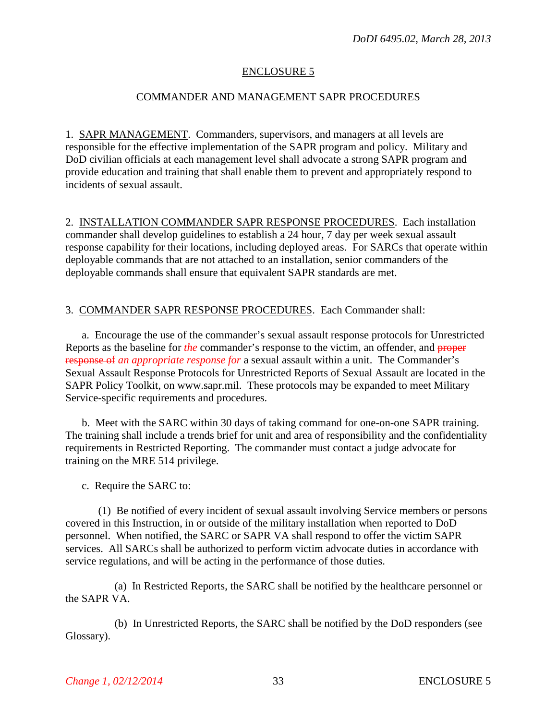## ENCLOSURE 5

## COMMANDER AND MANAGEMENT SAPR PROCEDURES

1. SAPR MANAGEMENT. Commanders, supervisors, and managers at all levels are responsible for the effective implementation of the SAPR program and policy. Military and DoD civilian officials at each management level shall advocate a strong SAPR program and provide education and training that shall enable them to prevent and appropriately respond to incidents of sexual assault.

2. INSTALLATION COMMANDER SAPR RESPONSE PROCEDURES. Each installation commander shall develop guidelines to establish a 24 hour, 7 day per week sexual assault response capability for their locations, including deployed areas. For SARCs that operate within deployable commands that are not attached to an installation, senior commanders of the deployable commands shall ensure that equivalent SAPR standards are met.

## 3. COMMANDER SAPR RESPONSE PROCEDURES. Each Commander shall:

a. Encourage the use of the commander's sexual assault response protocols for Unrestricted Reports as the baseline for *the* commander's response to the victim, an offender, and proper response of *an appropriate response for* a sexual assault within a unit. The Commander's Sexual Assault Response Protocols for Unrestricted Reports of Sexual Assault are located in the SAPR Policy Toolkit, on www.sapr.mil. These protocols may be expanded to meet Military Service-specific requirements and procedures.

b. Meet with the SARC within 30 days of taking command for one-on-one SAPR training. The training shall include a trends brief for unit and area of responsibility and the confidentiality requirements in Restricted Reporting. The commander must contact a judge advocate for training on the MRE 514 privilege.

c. Require the SARC to:

(1) Be notified of every incident of sexual assault involving Service members or persons covered in this Instruction, in or outside of the military installation when reported to DoD personnel. When notified, the SARC or SAPR VA shall respond to offer the victim SAPR services. All SARCs shall be authorized to perform victim advocate duties in accordance with service regulations, and will be acting in the performance of those duties.

(a) In Restricted Reports, the SARC shall be notified by the healthcare personnel or the SAPR VA.

(b) In Unrestricted Reports, the SARC shall be notified by the DoD responders (see Glossary).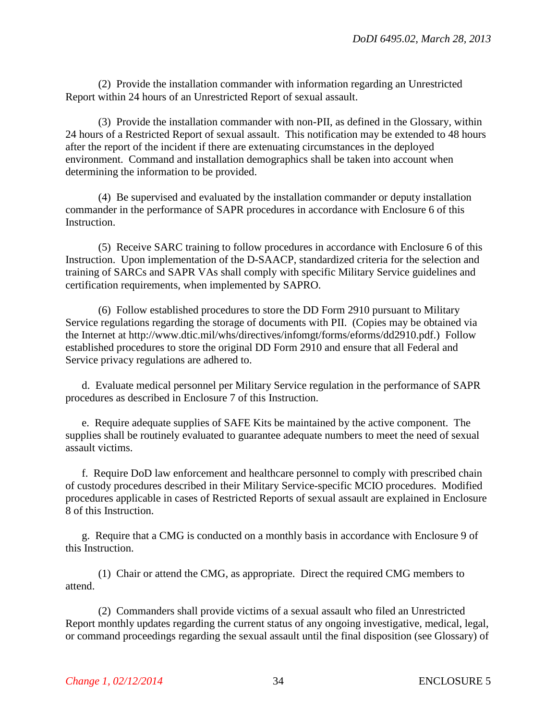(2) Provide the installation commander with information regarding an Unrestricted Report within 24 hours of an Unrestricted Report of sexual assault.

(3) Provide the installation commander with non-PII, as defined in the Glossary, within 24 hours of a Restricted Report of sexual assault. This notification may be extended to 48 hours after the report of the incident if there are extenuating circumstances in the deployed environment. Command and installation demographics shall be taken into account when determining the information to be provided.

(4) Be supervised and evaluated by the installation commander or deputy installation commander in the performance of SAPR procedures in accordance with Enclosure 6 of this Instruction.

(5) Receive SARC training to follow procedures in accordance with Enclosure 6 of this Instruction. Upon implementation of the D-SAACP, standardized criteria for the selection and training of SARCs and SAPR VAs shall comply with specific Military Service guidelines and certification requirements, when implemented by SAPRO.

(6) Follow established procedures to store the DD Form 2910 pursuant to Military Service regulations regarding the storage of documents with PII. (Copies may be obtained via the Internet at http://www.dtic.mil/whs/directives/infomgt/forms/eforms/dd2910.pdf.) Follow established procedures to store the original DD Form 2910 and ensure that all Federal and Service privacy regulations are adhered to.

d. Evaluate medical personnel per Military Service regulation in the performance of SAPR procedures as described in Enclosure 7 of this Instruction.

e. Require adequate supplies of SAFE Kits be maintained by the active component. The supplies shall be routinely evaluated to guarantee adequate numbers to meet the need of sexual assault victims.

f. Require DoD law enforcement and healthcare personnel to comply with prescribed chain of custody procedures described in their Military Service-specific MCIO procedures. Modified procedures applicable in cases of Restricted Reports of sexual assault are explained in Enclosure 8 of this Instruction.

g. Require that a CMG is conducted on a monthly basis in accordance with Enclosure 9 of this Instruction.

(1) Chair or attend the CMG, as appropriate. Direct the required CMG members to attend.

(2) Commanders shall provide victims of a sexual assault who filed an Unrestricted Report monthly updates regarding the current status of any ongoing investigative, medical, legal, or command proceedings regarding the sexual assault until the final disposition (see Glossary) of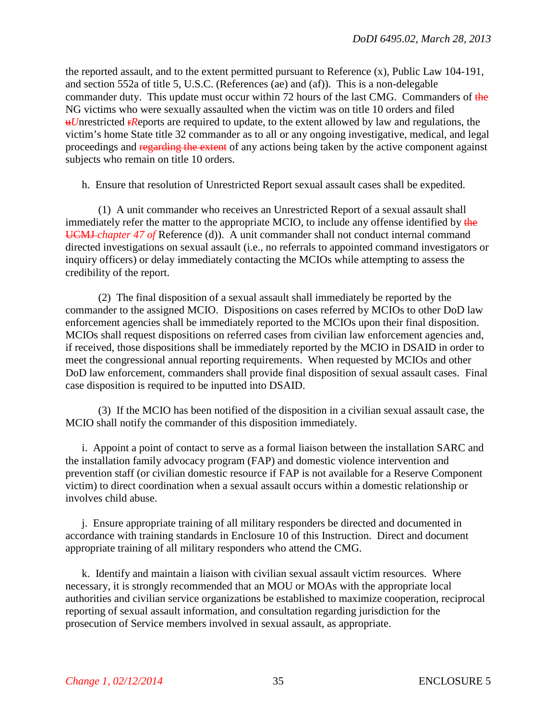the reported assault, and to the extent permitted pursuant to Reference (x), Public Law 104-191, and section 552a of title 5, U.S.C. (References (ae) and (af)). This is a non-delegable commander duty. This update must occur within 72 hours of the last CMG. Commanders of the NG victims who were sexually assaulted when the victim was on title 10 orders and filed **u**Unrestricted **r**Reports are required to update, to the extent allowed by law and regulations, the victim's home State title 32 commander as to all or any ongoing investigative, medical, and legal proceedings and regarding the extent of any actions being taken by the active component against subjects who remain on title 10 orders.

h. Ensure that resolution of Unrestricted Report sexual assault cases shall be expedited.

(1) A unit commander who receives an Unrestricted Report of a sexual assault shall immediately refer the matter to the appropriate MCIO, to include any offense identified by the UCMJ *chapter 47 of* Reference (d)). A unit commander shall not conduct internal command directed investigations on sexual assault (i.e., no referrals to appointed command investigators or inquiry officers) or delay immediately contacting the MCIOs while attempting to assess the credibility of the report.

(2) The final disposition of a sexual assault shall immediately be reported by the commander to the assigned MCIO. Dispositions on cases referred by MCIOs to other DoD law enforcement agencies shall be immediately reported to the MCIOs upon their final disposition. MCIOs shall request dispositions on referred cases from civilian law enforcement agencies and, if received, those dispositions shall be immediately reported by the MCIO in DSAID in order to meet the congressional annual reporting requirements. When requested by MCIOs and other DoD law enforcement, commanders shall provide final disposition of sexual assault cases. Final case disposition is required to be inputted into DSAID.

(3) If the MCIO has been notified of the disposition in a civilian sexual assault case, the MCIO shall notify the commander of this disposition immediately.

i. Appoint a point of contact to serve as a formal liaison between the installation SARC and the installation family advocacy program (FAP) and domestic violence intervention and prevention staff (or civilian domestic resource if FAP is not available for a Reserve Component victim) to direct coordination when a sexual assault occurs within a domestic relationship or involves child abuse.

j. Ensure appropriate training of all military responders be directed and documented in accordance with training standards in Enclosure 10 of this Instruction. Direct and document appropriate training of all military responders who attend the CMG.

k. Identify and maintain a liaison with civilian sexual assault victim resources. Where necessary, it is strongly recommended that an MOU or MOAs with the appropriate local authorities and civilian service organizations be established to maximize cooperation, reciprocal reporting of sexual assault information, and consultation regarding jurisdiction for the prosecution of Service members involved in sexual assault, as appropriate.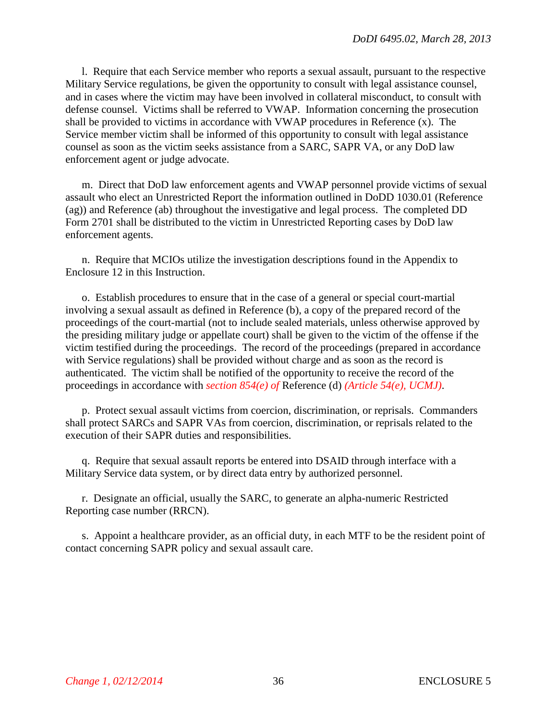l. Require that each Service member who reports a sexual assault, pursuant to the respective Military Service regulations, be given the opportunity to consult with legal assistance counsel, and in cases where the victim may have been involved in collateral misconduct, to consult with defense counsel. Victims shall be referred to VWAP. Information concerning the prosecution shall be provided to victims in accordance with VWAP procedures in Reference (x). The Service member victim shall be informed of this opportunity to consult with legal assistance counsel as soon as the victim seeks assistance from a SARC, SAPR VA, or any DoD law enforcement agent or judge advocate.

m. Direct that DoD law enforcement agents and VWAP personnel provide victims of sexual assault who elect an Unrestricted Report the information outlined in DoDD 1030.01 (Reference (ag)) and Reference (ab) throughout the investigative and legal process. The completed DD Form 2701 shall be distributed to the victim in Unrestricted Reporting cases by DoD law enforcement agents.

n. Require that MCIOs utilize the investigation descriptions found in the Appendix to Enclosure 12 in this Instruction.

o. Establish procedures to ensure that in the case of a general or special court-martial involving a sexual assault as defined in Reference (b), a copy of the prepared record of the proceedings of the court-martial (not to include sealed materials, unless otherwise approved by the presiding military judge or appellate court) shall be given to the victim of the offense if the victim testified during the proceedings. The record of the proceedings (prepared in accordance with Service regulations) shall be provided without charge and as soon as the record is authenticated. The victim shall be notified of the opportunity to receive the record of the proceedings in accordance with *section 854(e) of* Reference (d) *(Article 54(e), UCMJ)*.

p. Protect sexual assault victims from coercion, discrimination, or reprisals. Commanders shall protect SARCs and SAPR VAs from coercion, discrimination, or reprisals related to the execution of their SAPR duties and responsibilities.

q. Require that sexual assault reports be entered into DSAID through interface with a Military Service data system, or by direct data entry by authorized personnel.

r. Designate an official, usually the SARC, to generate an alpha-numeric Restricted Reporting case number (RRCN).

s. Appoint a healthcare provider, as an official duty, in each MTF to be the resident point of contact concerning SAPR policy and sexual assault care.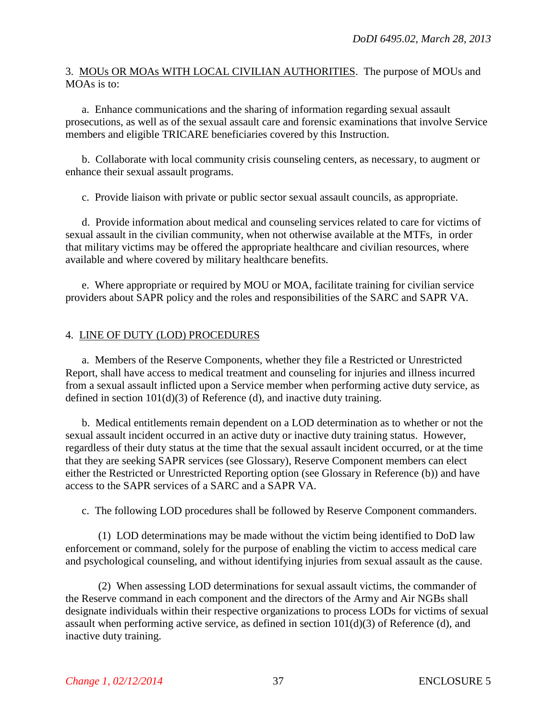### 3. MOUs OR MOAs WITH LOCAL CIVILIAN AUTHORITIES. The purpose of MOUs and MOAs is to:

a. Enhance communications and the sharing of information regarding sexual assault prosecutions, as well as of the sexual assault care and forensic examinations that involve Service members and eligible TRICARE beneficiaries covered by this Instruction.

b. Collaborate with local community crisis counseling centers, as necessary, to augment or enhance their sexual assault programs.

c. Provide liaison with private or public sector sexual assault councils, as appropriate.

d. Provide information about medical and counseling services related to care for victims of sexual assault in the civilian community, when not otherwise available at the MTFs, in order that military victims may be offered the appropriate healthcare and civilian resources, where available and where covered by military healthcare benefits.

e. Where appropriate or required by MOU or MOA, facilitate training for civilian service providers about SAPR policy and the roles and responsibilities of the SARC and SAPR VA.

### 4. LINE OF DUTY (LOD) PROCEDURES

a. Members of the Reserve Components, whether they file a Restricted or Unrestricted Report, shall have access to medical treatment and counseling for injuries and illness incurred from a sexual assault inflicted upon a Service member when performing active duty service, as defined in section 101(d)(3) of Reference (d), and inactive duty training.

b. Medical entitlements remain dependent on a LOD determination as to whether or not the sexual assault incident occurred in an active duty or inactive duty training status. However, regardless of their duty status at the time that the sexual assault incident occurred, or at the time that they are seeking SAPR services (see Glossary), Reserve Component members can elect either the Restricted or Unrestricted Reporting option (see Glossary in Reference (b)) and have access to the SAPR services of a SARC and a SAPR VA.

c. The following LOD procedures shall be followed by Reserve Component commanders.

(1) LOD determinations may be made without the victim being identified to DoD law enforcement or command, solely for the purpose of enabling the victim to access medical care and psychological counseling, and without identifying injuries from sexual assault as the cause.

(2) When assessing LOD determinations for sexual assault victims, the commander of the Reserve command in each component and the directors of the Army and Air NGBs shall designate individuals within their respective organizations to process LODs for victims of sexual assault when performing active service, as defined in section  $101(d)(3)$  of Reference (d), and inactive duty training.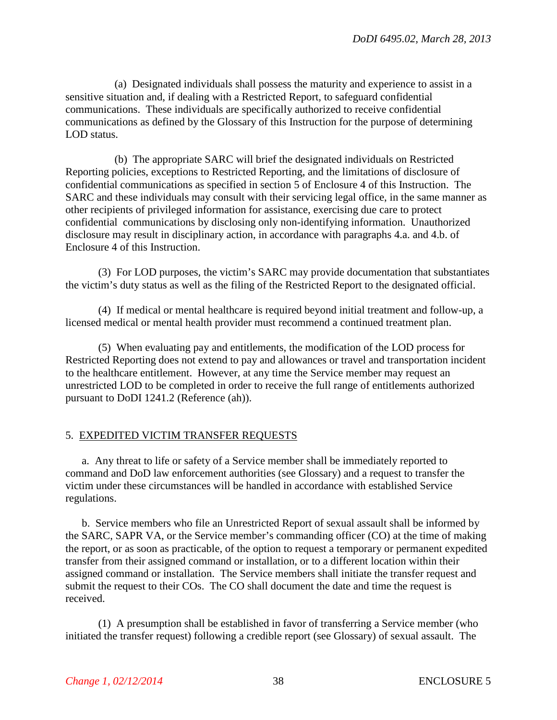(a) Designated individuals shall possess the maturity and experience to assist in a sensitive situation and, if dealing with a Restricted Report, to safeguard confidential communications. These individuals are specifically authorized to receive confidential communications as defined by the Glossary of this Instruction for the purpose of determining LOD status.

(b) The appropriate SARC will brief the designated individuals on Restricted Reporting policies, exceptions to Restricted Reporting, and the limitations of disclosure of confidential communications as specified in section 5 of Enclosure 4 of this Instruction. The SARC and these individuals may consult with their servicing legal office, in the same manner as other recipients of privileged information for assistance, exercising due care to protect confidential communications by disclosing only non-identifying information. Unauthorized disclosure may result in disciplinary action, in accordance with paragraphs 4.a. and 4.b. of Enclosure 4 of this Instruction.

(3) For LOD purposes, the victim's SARC may provide documentation that substantiates the victim's duty status as well as the filing of the Restricted Report to the designated official.

(4) If medical or mental healthcare is required beyond initial treatment and follow-up, a licensed medical or mental health provider must recommend a continued treatment plan.

(5) When evaluating pay and entitlements, the modification of the LOD process for Restricted Reporting does not extend to pay and allowances or travel and transportation incident to the healthcare entitlement. However, at any time the Service member may request an unrestricted LOD to be completed in order to receive the full range of entitlements authorized pursuant to DoDI 1241.2 (Reference (ah)).

# 5. EXPEDITED VICTIM TRANSFER REQUESTS

a. Any threat to life or safety of a Service member shall be immediately reported to command and DoD law enforcement authorities (see Glossary) and a request to transfer the victim under these circumstances will be handled in accordance with established Service regulations.

b. Service members who file an Unrestricted Report of sexual assault shall be informed by the SARC, SAPR VA, or the Service member's commanding officer (CO) at the time of making the report, or as soon as practicable, of the option to request a temporary or permanent expedited transfer from their assigned command or installation, or to a different location within their assigned command or installation. The Service members shall initiate the transfer request and submit the request to their COs. The CO shall document the date and time the request is received.

(1) A presumption shall be established in favor of transferring a Service member (who initiated the transfer request) following a credible report (see Glossary) of sexual assault. The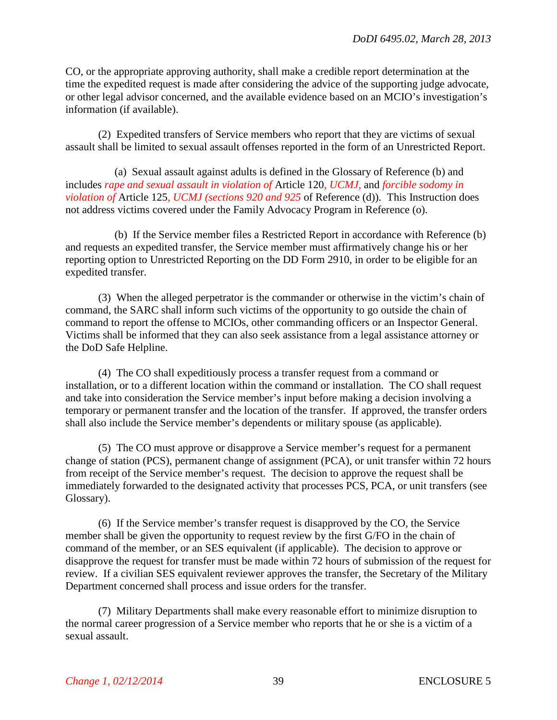CO, or the appropriate approving authority, shall make a credible report determination at the time the expedited request is made after considering the advice of the supporting judge advocate, or other legal advisor concerned, and the available evidence based on an MCIO's investigation's information (if available).

(2) Expedited transfers of Service members who report that they are victims of sexual assault shall be limited to sexual assault offenses reported in the form of an Unrestricted Report.

(a) Sexual assault against adults is defined in the Glossary of Reference (b) and includes *rape and sexual assault in violation of* Article 120*, UCMJ,* and *forcible sodomy in violation of* Article 125*, UCMJ (sections 920 and 925* of Reference (d)). This Instruction does not address victims covered under the Family Advocacy Program in Reference (o).

(b) If the Service member files a Restricted Report in accordance with Reference (b) and requests an expedited transfer, the Service member must affirmatively change his or her reporting option to Unrestricted Reporting on the DD Form 2910, in order to be eligible for an expedited transfer.

(3) When the alleged perpetrator is the commander or otherwise in the victim's chain of command, the SARC shall inform such victims of the opportunity to go outside the chain of command to report the offense to MCIOs, other commanding officers or an Inspector General. Victims shall be informed that they can also seek assistance from a legal assistance attorney or the DoD Safe Helpline.

(4) The CO shall expeditiously process a transfer request from a command or installation, or to a different location within the command or installation. The CO shall request and take into consideration the Service member's input before making a decision involving a temporary or permanent transfer and the location of the transfer. If approved, the transfer orders shall also include the Service member's dependents or military spouse (as applicable).

(5) The CO must approve or disapprove a Service member's request for a permanent change of station (PCS), permanent change of assignment (PCA), or unit transfer within 72 hours from receipt of the Service member's request. The decision to approve the request shall be immediately forwarded to the designated activity that processes PCS, PCA, or unit transfers (see Glossary).

(6) If the Service member's transfer request is disapproved by the CO, the Service member shall be given the opportunity to request review by the first G/FO in the chain of command of the member, or an SES equivalent (if applicable). The decision to approve or disapprove the request for transfer must be made within 72 hours of submission of the request for review. If a civilian SES equivalent reviewer approves the transfer, the Secretary of the Military Department concerned shall process and issue orders for the transfer.

(7) Military Departments shall make every reasonable effort to minimize disruption to the normal career progression of a Service member who reports that he or she is a victim of a sexual assault.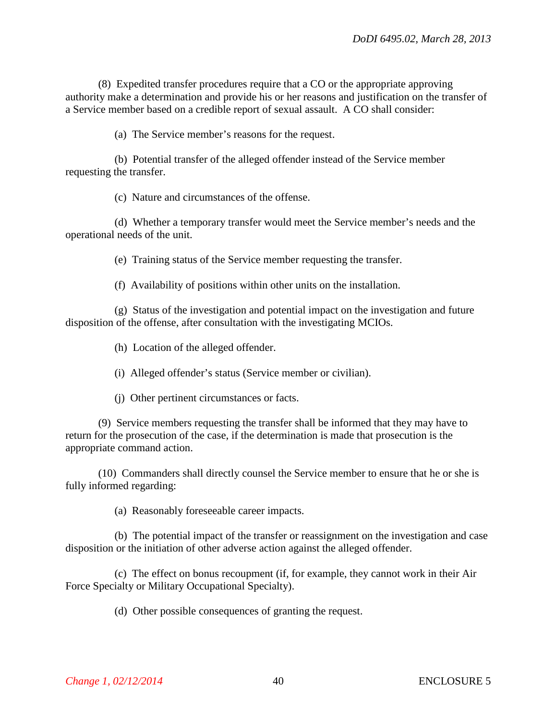(8) Expedited transfer procedures require that a CO or the appropriate approving authority make a determination and provide his or her reasons and justification on the transfer of a Service member based on a credible report of sexual assault. A CO shall consider:

(a) The Service member's reasons for the request.

(b) Potential transfer of the alleged offender instead of the Service member requesting the transfer.

(c) Nature and circumstances of the offense.

(d) Whether a temporary transfer would meet the Service member's needs and the operational needs of the unit.

(e) Training status of the Service member requesting the transfer.

(f) Availability of positions within other units on the installation.

(g) Status of the investigation and potential impact on the investigation and future disposition of the offense, after consultation with the investigating MCIOs.

(h) Location of the alleged offender.

(i) Alleged offender's status (Service member or civilian).

(j) Other pertinent circumstances or facts.

(9) Service members requesting the transfer shall be informed that they may have to return for the prosecution of the case, if the determination is made that prosecution is the appropriate command action.

(10) Commanders shall directly counsel the Service member to ensure that he or she is fully informed regarding:

(a) Reasonably foreseeable career impacts.

(b) The potential impact of the transfer or reassignment on the investigation and case disposition or the initiation of other adverse action against the alleged offender.

(c) The effect on bonus recoupment (if, for example, they cannot work in their Air Force Specialty or Military Occupational Specialty).

(d) Other possible consequences of granting the request.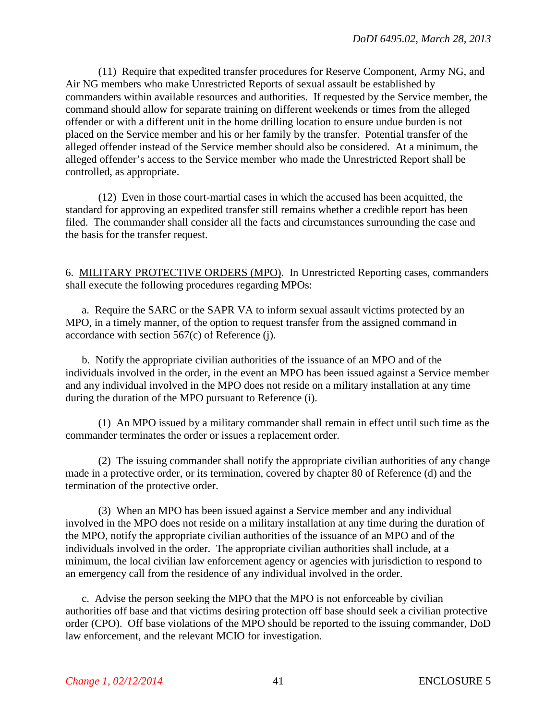(11) Require that expedited transfer procedures for Reserve Component, Army NG, and Air NG members who make Unrestricted Reports of sexual assault be established by commanders within available resources and authorities. If requested by the Service member, the command should allow for separate training on different weekends or times from the alleged offender or with a different unit in the home drilling location to ensure undue burden is not placed on the Service member and his or her family by the transfer. Potential transfer of the alleged offender instead of the Service member should also be considered. At a minimum, the alleged offender's access to the Service member who made the Unrestricted Report shall be controlled, as appropriate.

(12) Even in those court-martial cases in which the accused has been acquitted, the standard for approving an expedited transfer still remains whether a credible report has been filed. The commander shall consider all the facts and circumstances surrounding the case and the basis for the transfer request.

6. MILITARY PROTECTIVE ORDERS (MPO). In Unrestricted Reporting cases, commanders shall execute the following procedures regarding MPOs:

a. Require the SARC or the SAPR VA to inform sexual assault victims protected by an MPO, in a timely manner, of the option to request transfer from the assigned command in accordance with section 567(c) of Reference (j).

b. Notify the appropriate civilian authorities of the issuance of an MPO and of the individuals involved in the order, in the event an MPO has been issued against a Service member and any individual involved in the MPO does not reside on a military installation at any time during the duration of the MPO pursuant to Reference (i).

(1) An MPO issued by a military commander shall remain in effect until such time as the commander terminates the order or issues a replacement order.

(2) The issuing commander shall notify the appropriate civilian authorities of any change made in a protective order, or its termination, covered by chapter 80 of Reference (d) and the termination of the protective order.

(3) When an MPO has been issued against a Service member and any individual involved in the MPO does not reside on a military installation at any time during the duration of the MPO, notify the appropriate civilian authorities of the issuance of an MPO and of the individuals involved in the order. The appropriate civilian authorities shall include, at a minimum, the local civilian law enforcement agency or agencies with jurisdiction to respond to an emergency call from the residence of any individual involved in the order.

c. Advise the person seeking the MPO that the MPO is not enforceable by civilian authorities off base and that victims desiring protection off base should seek a civilian protective order (CPO). Off base violations of the MPO should be reported to the issuing commander, DoD law enforcement, and the relevant MCIO for investigation.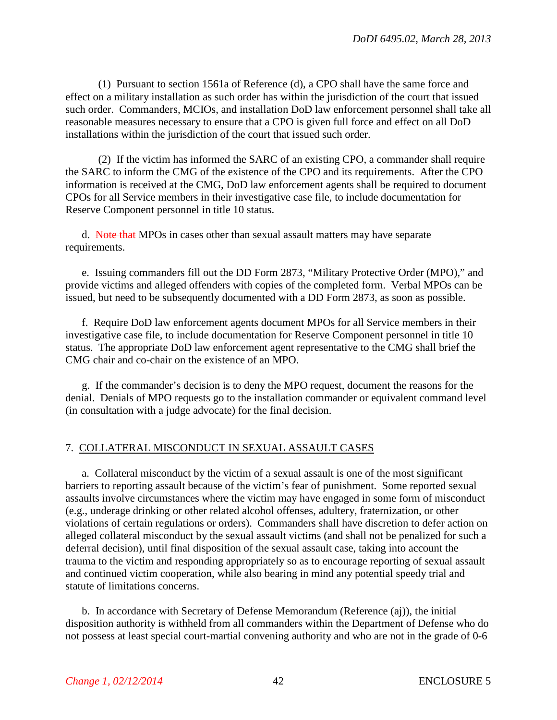(1) Pursuant to section 1561a of Reference (d), a CPO shall have the same force and effect on a military installation as such order has within the jurisdiction of the court that issued such order. Commanders, MCIOs, and installation DoD law enforcement personnel shall take all reasonable measures necessary to ensure that a CPO is given full force and effect on all DoD installations within the jurisdiction of the court that issued such order.

(2) If the victim has informed the SARC of an existing CPO, a commander shall require the SARC to inform the CMG of the existence of the CPO and its requirements. After the CPO information is received at the CMG, DoD law enforcement agents shall be required to document CPOs for all Service members in their investigative case file, to include documentation for Reserve Component personnel in title 10 status.

d. Note that MPOs in cases other than sexual assault matters may have separate requirements.

e. Issuing commanders fill out the DD Form 2873, "Military Protective Order (MPO)," and provide victims and alleged offenders with copies of the completed form. Verbal MPOs can be issued, but need to be subsequently documented with a DD Form 2873, as soon as possible.

f. Require DoD law enforcement agents document MPOs for all Service members in their investigative case file, to include documentation for Reserve Component personnel in title 10 status. The appropriate DoD law enforcement agent representative to the CMG shall brief the CMG chair and co-chair on the existence of an MPO.

g. If the commander's decision is to deny the MPO request, document the reasons for the denial. Denials of MPO requests go to the installation commander or equivalent command level (in consultation with a judge advocate) for the final decision.

# 7. COLLATERAL MISCONDUCT IN SEXUAL ASSAULT CASES

a. Collateral misconduct by the victim of a sexual assault is one of the most significant barriers to reporting assault because of the victim's fear of punishment. Some reported sexual assaults involve circumstances where the victim may have engaged in some form of misconduct (e.g., underage drinking or other related alcohol offenses, adultery, fraternization, or other violations of certain regulations or orders). Commanders shall have discretion to defer action on alleged collateral misconduct by the sexual assault victims (and shall not be penalized for such a deferral decision), until final disposition of the sexual assault case, taking into account the trauma to the victim and responding appropriately so as to encourage reporting of sexual assault and continued victim cooperation, while also bearing in mind any potential speedy trial and statute of limitations concerns.

b. In accordance with Secretary of Defense Memorandum (Reference (aj)), the initial disposition authority is withheld from all commanders within the Department of Defense who do not possess at least special court-martial convening authority and who are not in the grade of 0-6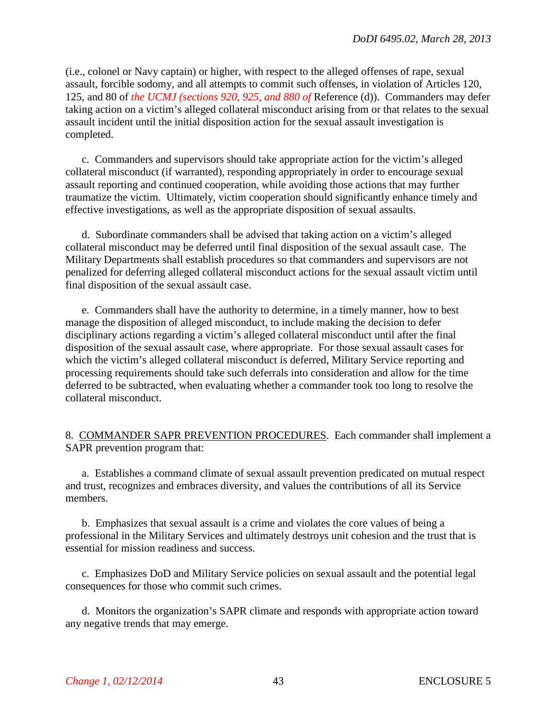(i.e., colonel or Navy captain) or higher, with respect to the alleged offenses of rape, sexual assault, forcible sodomy, and all attempts to commit such offenses, in violation of Articles 120, 125, and 80 of *the UCMJ (sections 920, 925, and 880 of* Reference (d)). Commanders may defer taking action on a victim's alleged collateral misconduct arising from or that relates to the sexual assault incident until the initial disposition action for the sexual assault investigation is completed.

c. Commanders and supervisors should take appropriate action for the victim's alleged collateral misconduct (if warranted), responding appropriately in order to encourage sexual assault reporting and continued cooperation, while avoiding those actions that may further traumatize the victim. Ultimately, victim cooperation should significantly enhance timely and effective investigations, as well as the appropriate disposition of sexual assaults.

d. Subordinate commanders shall be advised that taking action on a victim's alleged collateral misconduct may be deferred until final disposition of the sexual assault case. The Military Departments shall establish procedures so that commanders and supervisors are not penalized for deferring alleged collateral misconduct actions for the sexual assault victim until final disposition of the sexual assault case.

e. Commanders shall have the authority to determine, in a timely manner, how to best manage the disposition of alleged misconduct, to include making the decision to defer disciplinary actions regarding a victim's alleged collateral misconduct until after the final disposition of the sexual assault case, where appropriate. For those sexual assault cases for which the victim's alleged collateral misconduct is deferred, Military Service reporting and processing requirements should take such deferrals into consideration and allow for the time deferred to be subtracted, when evaluating whether a commander took too long to resolve the collateral misconduct.

8. COMMANDER SAPR PREVENTION PROCEDURES. Each commander shall implement a SAPR prevention program that:

a. Establishes a command climate of sexual assault prevention predicated on mutual respect and trust, recognizes and embraces diversity, and values the contributions of all its Service members.

b. Emphasizes that sexual assault is a crime and violates the core values of being a professional in the Military Services and ultimately destroys unit cohesion and the trust that is essential for mission readiness and success.

c. Emphasizes DoD and Military Service policies on sexual assault and the potential legal consequences for those who commit such crimes.

d. Monitors the organization's SAPR climate and responds with appropriate action toward any negative trends that may emerge.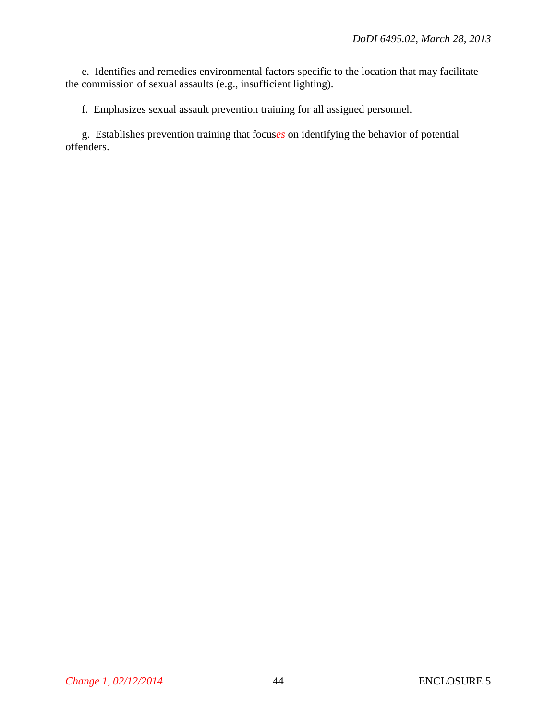e. Identifies and remedies environmental factors specific to the location that may facilitate the commission of sexual assaults (e.g., insufficient lighting).

f. Emphasizes sexual assault prevention training for all assigned personnel.

g. Establishes prevention training that focus*es* on identifying the behavior of potential offenders.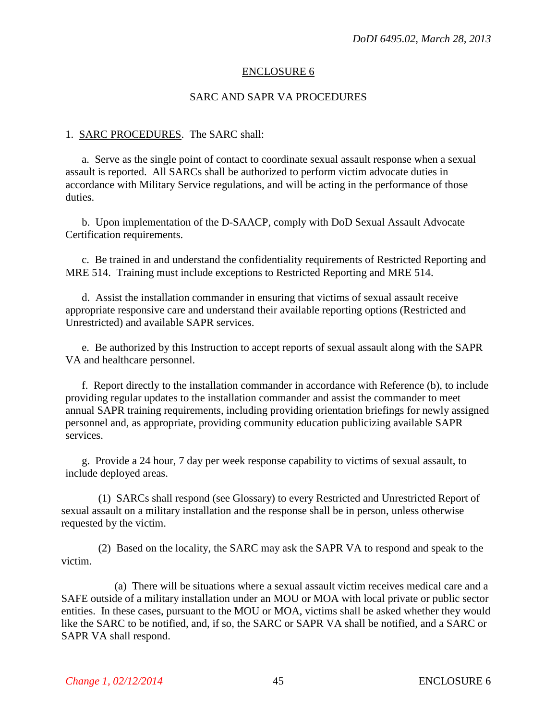### ENCLOSURE 6

#### SARC AND SAPR VA PROCEDURES

#### 1. SARC PROCEDURES. The SARC shall:

a. Serve as the single point of contact to coordinate sexual assault response when a sexual assault is reported. All SARCs shall be authorized to perform victim advocate duties in accordance with Military Service regulations, and will be acting in the performance of those duties.

b. Upon implementation of the D-SAACP, comply with DoD Sexual Assault Advocate Certification requirements.

c. Be trained in and understand the confidentiality requirements of Restricted Reporting and MRE 514. Training must include exceptions to Restricted Reporting and MRE 514.

d. Assist the installation commander in ensuring that victims of sexual assault receive appropriate responsive care and understand their available reporting options (Restricted and Unrestricted) and available SAPR services.

e. Be authorized by this Instruction to accept reports of sexual assault along with the SAPR VA and healthcare personnel.

f. Report directly to the installation commander in accordance with Reference (b), to include providing regular updates to the installation commander and assist the commander to meet annual SAPR training requirements, including providing orientation briefings for newly assigned personnel and, as appropriate, providing community education publicizing available SAPR services.

g. Provide a 24 hour, 7 day per week response capability to victims of sexual assault, to include deployed areas.

(1) SARCs shall respond (see Glossary) to every Restricted and Unrestricted Report of sexual assault on a military installation and the response shall be in person, unless otherwise requested by the victim.

(2) Based on the locality, the SARC may ask the SAPR VA to respond and speak to the victim.

(a) There will be situations where a sexual assault victim receives medical care and a SAFE outside of a military installation under an MOU or MOA with local private or public sector entities. In these cases, pursuant to the MOU or MOA, victims shall be asked whether they would like the SARC to be notified, and, if so, the SARC or SAPR VA shall be notified, and a SARC or SAPR VA shall respond.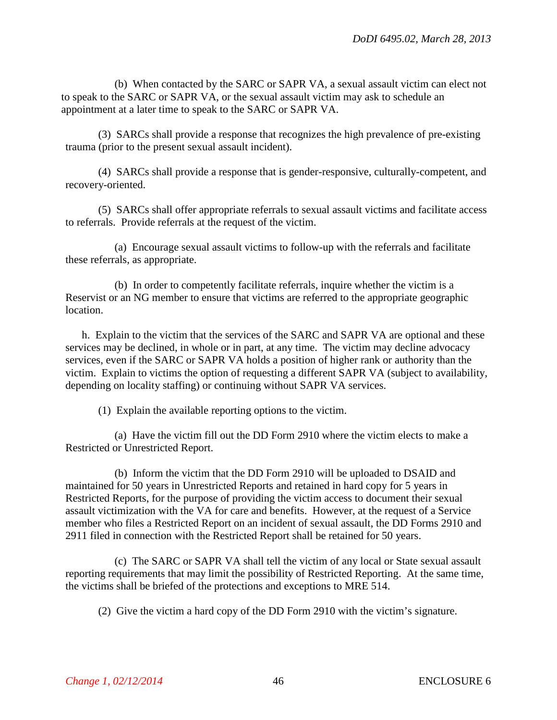(b) When contacted by the SARC or SAPR VA, a sexual assault victim can elect not to speak to the SARC or SAPR VA, or the sexual assault victim may ask to schedule an appointment at a later time to speak to the SARC or SAPR VA.

(3) SARCs shall provide a response that recognizes the high prevalence of pre-existing trauma (prior to the present sexual assault incident).

(4) SARCs shall provide a response that is gender-responsive, culturally-competent, and recovery-oriented.

(5) SARCs shall offer appropriate referrals to sexual assault victims and facilitate access to referrals. Provide referrals at the request of the victim.

(a) Encourage sexual assault victims to follow-up with the referrals and facilitate these referrals, as appropriate.

(b) In order to competently facilitate referrals, inquire whether the victim is a Reservist or an NG member to ensure that victims are referred to the appropriate geographic location.

h. Explain to the victim that the services of the SARC and SAPR VA are optional and these services may be declined, in whole or in part, at any time. The victim may decline advocacy services, even if the SARC or SAPR VA holds a position of higher rank or authority than the victim. Explain to victims the option of requesting a different SAPR VA (subject to availability, depending on locality staffing) or continuing without SAPR VA services.

(1) Explain the available reporting options to the victim.

(a) Have the victim fill out the DD Form 2910 where the victim elects to make a Restricted or Unrestricted Report.

(b) Inform the victim that the DD Form 2910 will be uploaded to DSAID and maintained for 50 years in Unrestricted Reports and retained in hard copy for 5 years in Restricted Reports, for the purpose of providing the victim access to document their sexual assault victimization with the VA for care and benefits. However, at the request of a Service member who files a Restricted Report on an incident of sexual assault, the DD Forms 2910 and 2911 filed in connection with the Restricted Report shall be retained for 50 years.

(c) The SARC or SAPR VA shall tell the victim of any local or State sexual assault reporting requirements that may limit the possibility of Restricted Reporting. At the same time, the victims shall be briefed of the protections and exceptions to MRE 514.

(2) Give the victim a hard copy of the DD Form 2910 with the victim's signature.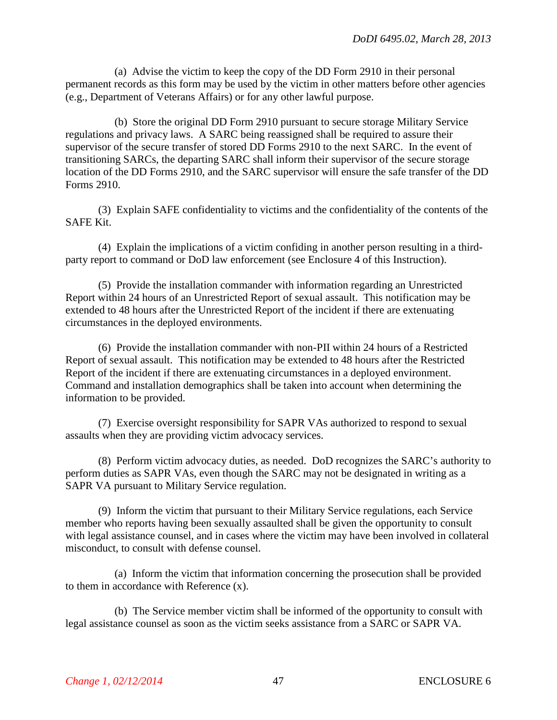(a) Advise the victim to keep the copy of the DD Form 2910 in their personal permanent records as this form may be used by the victim in other matters before other agencies (e.g., Department of Veterans Affairs) or for any other lawful purpose.

(b) Store the original DD Form 2910 pursuant to secure storage Military Service regulations and privacy laws. A SARC being reassigned shall be required to assure their supervisor of the secure transfer of stored DD Forms 2910 to the next SARC. In the event of transitioning SARCs, the departing SARC shall inform their supervisor of the secure storage location of the DD Forms 2910, and the SARC supervisor will ensure the safe transfer of the DD Forms 2910.

(3) Explain SAFE confidentiality to victims and the confidentiality of the contents of the SAFE Kit.

(4) Explain the implications of a victim confiding in another person resulting in a thirdparty report to command or DoD law enforcement (see Enclosure 4 of this Instruction).

(5) Provide the installation commander with information regarding an Unrestricted Report within 24 hours of an Unrestricted Report of sexual assault. This notification may be extended to 48 hours after the Unrestricted Report of the incident if there are extenuating circumstances in the deployed environments.

(6) Provide the installation commander with non-PII within 24 hours of a Restricted Report of sexual assault. This notification may be extended to 48 hours after the Restricted Report of the incident if there are extenuating circumstances in a deployed environment. Command and installation demographics shall be taken into account when determining the information to be provided.

(7) Exercise oversight responsibility for SAPR VAs authorized to respond to sexual assaults when they are providing victim advocacy services.

(8) Perform victim advocacy duties, as needed. DoD recognizes the SARC's authority to perform duties as SAPR VAs, even though the SARC may not be designated in writing as a SAPR VA pursuant to Military Service regulation.

(9) Inform the victim that pursuant to their Military Service regulations, each Service member who reports having been sexually assaulted shall be given the opportunity to consult with legal assistance counsel, and in cases where the victim may have been involved in collateral misconduct, to consult with defense counsel.

(a) Inform the victim that information concerning the prosecution shall be provided to them in accordance with Reference (x).

(b) The Service member victim shall be informed of the opportunity to consult with legal assistance counsel as soon as the victim seeks assistance from a SARC or SAPR VA.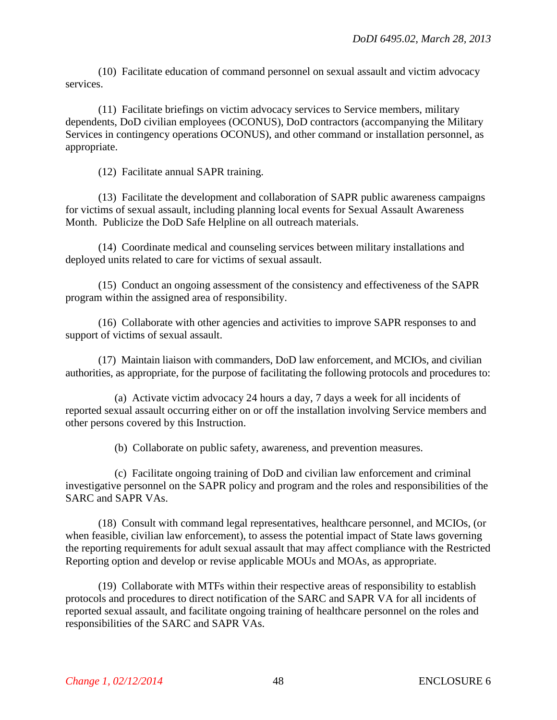(10) Facilitate education of command personnel on sexual assault and victim advocacy services.

(11) Facilitate briefings on victim advocacy services to Service members, military dependents, DoD civilian employees (OCONUS), DoD contractors (accompanying the Military Services in contingency operations OCONUS), and other command or installation personnel, as appropriate.

(12) Facilitate annual SAPR training.

(13) Facilitate the development and collaboration of SAPR public awareness campaigns for victims of sexual assault, including planning local events for Sexual Assault Awareness Month. Publicize the DoD Safe Helpline on all outreach materials.

(14) Coordinate medical and counseling services between military installations and deployed units related to care for victims of sexual assault.

(15) Conduct an ongoing assessment of the consistency and effectiveness of the SAPR program within the assigned area of responsibility.

(16) Collaborate with other agencies and activities to improve SAPR responses to and support of victims of sexual assault.

(17) Maintain liaison with commanders, DoD law enforcement, and MCIOs, and civilian authorities, as appropriate, for the purpose of facilitating the following protocols and procedures to:

(a) Activate victim advocacy 24 hours a day, 7 days a week for all incidents of reported sexual assault occurring either on or off the installation involving Service members and other persons covered by this Instruction.

(b) Collaborate on public safety, awareness, and prevention measures.

(c) Facilitate ongoing training of DoD and civilian law enforcement and criminal investigative personnel on the SAPR policy and program and the roles and responsibilities of the SARC and SAPR VAs.

(18) Consult with command legal representatives, healthcare personnel, and MCIOs, (or when feasible, civilian law enforcement), to assess the potential impact of State laws governing the reporting requirements for adult sexual assault that may affect compliance with the Restricted Reporting option and develop or revise applicable MOUs and MOAs, as appropriate.

(19) Collaborate with MTFs within their respective areas of responsibility to establish protocols and procedures to direct notification of the SARC and SAPR VA for all incidents of reported sexual assault, and facilitate ongoing training of healthcare personnel on the roles and responsibilities of the SARC and SAPR VAs.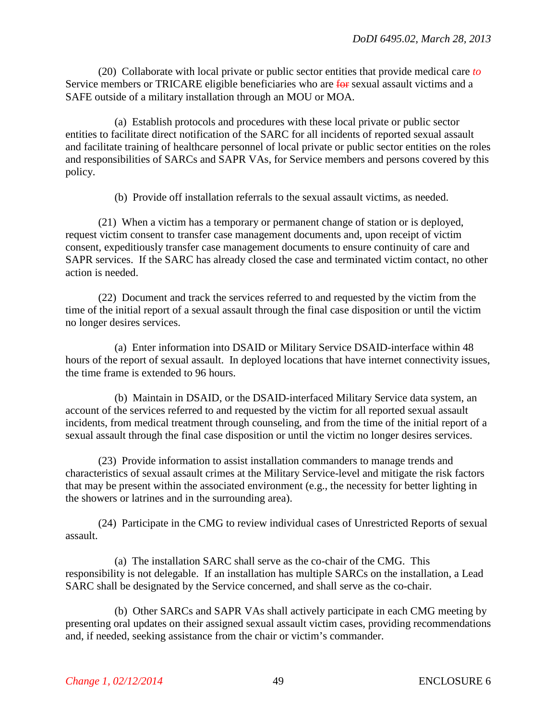(20) Collaborate with local private or public sector entities that provide medical care *to* Service members or TRICARE eligible beneficiaries who are for sexual assault victims and a SAFE outside of a military installation through an MOU or MOA.

(a) Establish protocols and procedures with these local private or public sector entities to facilitate direct notification of the SARC for all incidents of reported sexual assault and facilitate training of healthcare personnel of local private or public sector entities on the roles and responsibilities of SARCs and SAPR VAs, for Service members and persons covered by this policy.

(b) Provide off installation referrals to the sexual assault victims, as needed.

(21) When a victim has a temporary or permanent change of station or is deployed, request victim consent to transfer case management documents and, upon receipt of victim consent, expeditiously transfer case management documents to ensure continuity of care and SAPR services. If the SARC has already closed the case and terminated victim contact, no other action is needed.

(22) Document and track the services referred to and requested by the victim from the time of the initial report of a sexual assault through the final case disposition or until the victim no longer desires services.

(a) Enter information into DSAID or Military Service DSAID-interface within 48 hours of the report of sexual assault. In deployed locations that have internet connectivity issues, the time frame is extended to 96 hours.

(b) Maintain in DSAID, or the DSAID-interfaced Military Service data system, an account of the services referred to and requested by the victim for all reported sexual assault incidents, from medical treatment through counseling, and from the time of the initial report of a sexual assault through the final case disposition or until the victim no longer desires services.

(23) Provide information to assist installation commanders to manage trends and characteristics of sexual assault crimes at the Military Service-level and mitigate the risk factors that may be present within the associated environment (e.g., the necessity for better lighting in the showers or latrines and in the surrounding area).

(24) Participate in the CMG to review individual cases of Unrestricted Reports of sexual assault.

(a) The installation SARC shall serve as the co-chair of the CMG. This responsibility is not delegable. If an installation has multiple SARCs on the installation, a Lead SARC shall be designated by the Service concerned, and shall serve as the co-chair.

(b) Other SARCs and SAPR VAs shall actively participate in each CMG meeting by presenting oral updates on their assigned sexual assault victim cases, providing recommendations and, if needed, seeking assistance from the chair or victim's commander.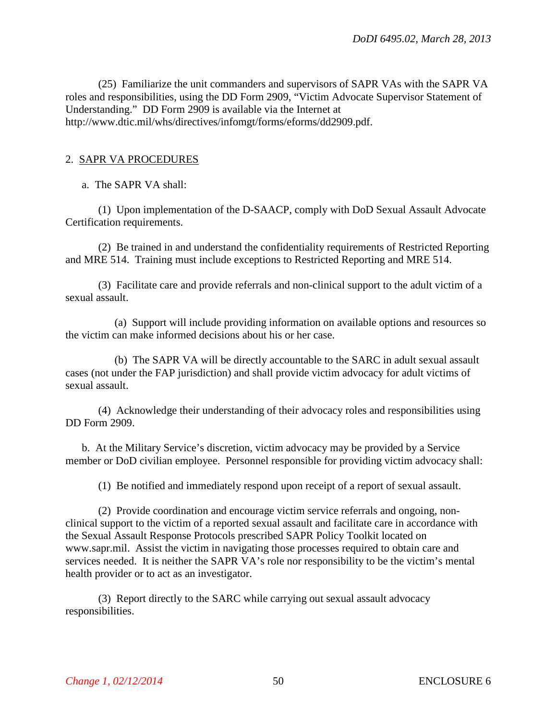(25) Familiarize the unit commanders and supervisors of SAPR VAs with the SAPR VA roles and responsibilities, using the DD Form 2909, "Victim Advocate Supervisor Statement of Understanding." DD Form 2909 is available via the Internet at http://www.dtic.mil/whs/directives/infomgt/forms/eforms/dd2909.pdf.

## 2. SAPR VA PROCEDURES

a. The SAPR VA shall:

(1) Upon implementation of the D-SAACP, comply with DoD Sexual Assault Advocate Certification requirements.

(2) Be trained in and understand the confidentiality requirements of Restricted Reporting and MRE 514. Training must include exceptions to Restricted Reporting and MRE 514.

(3) Facilitate care and provide referrals and non-clinical support to the adult victim of a sexual assault.

(a) Support will include providing information on available options and resources so the victim can make informed decisions about his or her case.

(b) The SAPR VA will be directly accountable to the SARC in adult sexual assault cases (not under the FAP jurisdiction) and shall provide victim advocacy for adult victims of sexual assault.

(4) Acknowledge their understanding of their advocacy roles and responsibilities using DD Form 2909.

b. At the Military Service's discretion, victim advocacy may be provided by a Service member or DoD civilian employee. Personnel responsible for providing victim advocacy shall:

(1) Be notified and immediately respond upon receipt of a report of sexual assault.

(2) Provide coordination and encourage victim service referrals and ongoing, nonclinical support to the victim of a reported sexual assault and facilitate care in accordance with the Sexual Assault Response Protocols prescribed SAPR Policy Toolkit located on www.sapr.mil. Assist the victim in navigating those processes required to obtain care and services needed. It is neither the SAPR VA's role nor responsibility to be the victim's mental health provider or to act as an investigator.

(3) Report directly to the SARC while carrying out sexual assault advocacy responsibilities.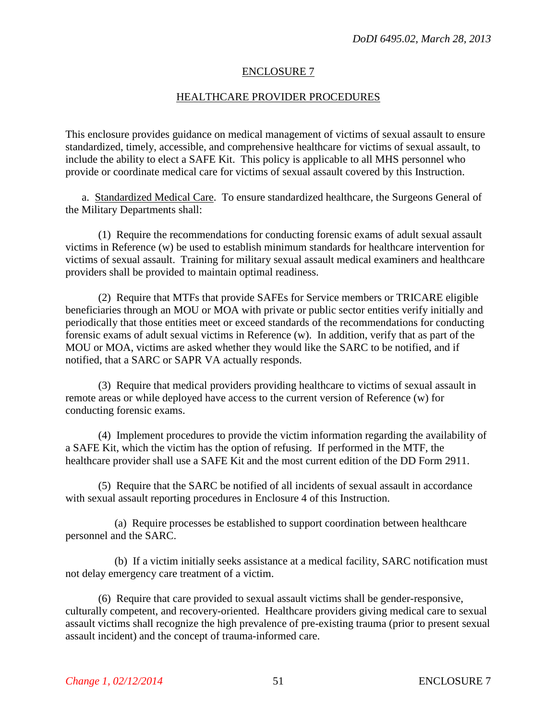### ENCLOSURE 7

## HEALTHCARE PROVIDER PROCEDURES

This enclosure provides guidance on medical management of victims of sexual assault to ensure standardized, timely, accessible, and comprehensive healthcare for victims of sexual assault, to include the ability to elect a SAFE Kit. This policy is applicable to all MHS personnel who provide or coordinate medical care for victims of sexual assault covered by this Instruction.

a. Standardized Medical Care. To ensure standardized healthcare, the Surgeons General of the Military Departments shall:

(1) Require the recommendations for conducting forensic exams of adult sexual assault victims in Reference (w) be used to establish minimum standards for healthcare intervention for victims of sexual assault. Training for military sexual assault medical examiners and healthcare providers shall be provided to maintain optimal readiness.

(2) Require that MTFs that provide SAFEs for Service members or TRICARE eligible beneficiaries through an MOU or MOA with private or public sector entities verify initially and periodically that those entities meet or exceed standards of the recommendations for conducting forensic exams of adult sexual victims in Reference (w). In addition, verify that as part of the MOU or MOA, victims are asked whether they would like the SARC to be notified, and if notified, that a SARC or SAPR VA actually responds.

(3) Require that medical providers providing healthcare to victims of sexual assault in remote areas or while deployed have access to the current version of Reference (w) for conducting forensic exams.

(4) Implement procedures to provide the victim information regarding the availability of a SAFE Kit, which the victim has the option of refusing. If performed in the MTF, the healthcare provider shall use a SAFE Kit and the most current edition of the DD Form 2911.

(5) Require that the SARC be notified of all incidents of sexual assault in accordance with sexual assault reporting procedures in Enclosure 4 of this Instruction.

(a) Require processes be established to support coordination between healthcare personnel and the SARC.

(b) If a victim initially seeks assistance at a medical facility, SARC notification must not delay emergency care treatment of a victim.

(6) Require that care provided to sexual assault victims shall be gender-responsive, culturally competent, and recovery-oriented. Healthcare providers giving medical care to sexual assault victims shall recognize the high prevalence of pre-existing trauma (prior to present sexual assault incident) and the concept of trauma-informed care.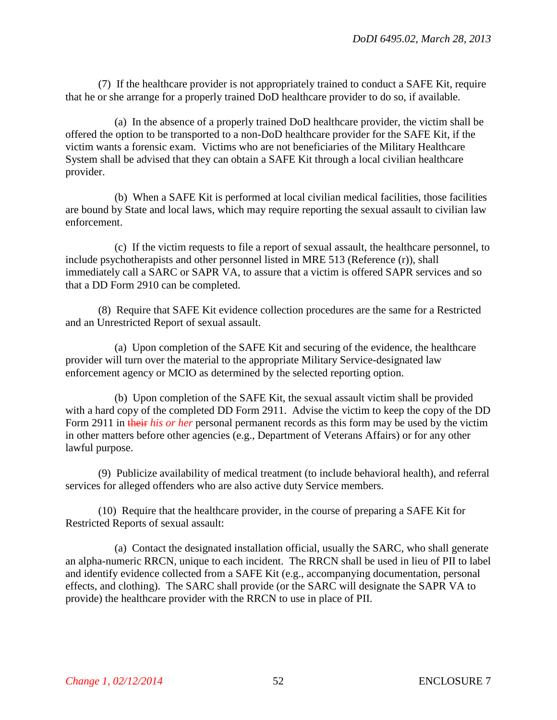(7) If the healthcare provider is not appropriately trained to conduct a SAFE Kit, require that he or she arrange for a properly trained DoD healthcare provider to do so, if available.

(a) In the absence of a properly trained DoD healthcare provider, the victim shall be offered the option to be transported to a non-DoD healthcare provider for the SAFE Kit, if the victim wants a forensic exam. Victims who are not beneficiaries of the Military Healthcare System shall be advised that they can obtain a SAFE Kit through a local civilian healthcare provider.

(b) When a SAFE Kit is performed at local civilian medical facilities, those facilities are bound by State and local laws, which may require reporting the sexual assault to civilian law enforcement.

(c) If the victim requests to file a report of sexual assault, the healthcare personnel, to include psychotherapists and other personnel listed in MRE 513 (Reference (r)), shall immediately call a SARC or SAPR VA, to assure that a victim is offered SAPR services and so that a DD Form 2910 can be completed.

(8) Require that SAFE Kit evidence collection procedures are the same for a Restricted and an Unrestricted Report of sexual assault.

(a) Upon completion of the SAFE Kit and securing of the evidence, the healthcare provider will turn over the material to the appropriate Military Service-designated law enforcement agency or MCIO as determined by the selected reporting option.

(b) Upon completion of the SAFE Kit, the sexual assault victim shall be provided with a hard copy of the completed DD Form 2911. Advise the victim to keep the copy of the DD Form 2911 in their *his or her* personal permanent records as this form may be used by the victim in other matters before other agencies (e.g., Department of Veterans Affairs) or for any other lawful purpose.

(9) Publicize availability of medical treatment (to include behavioral health), and referral services for alleged offenders who are also active duty Service members.

(10) Require that the healthcare provider, in the course of preparing a SAFE Kit for Restricted Reports of sexual assault:

(a) Contact the designated installation official, usually the SARC, who shall generate an alpha-numeric RRCN, unique to each incident. The RRCN shall be used in lieu of PII to label and identify evidence collected from a SAFE Kit (e.g., accompanying documentation, personal effects, and clothing). The SARC shall provide (or the SARC will designate the SAPR VA to provide) the healthcare provider with the RRCN to use in place of PII.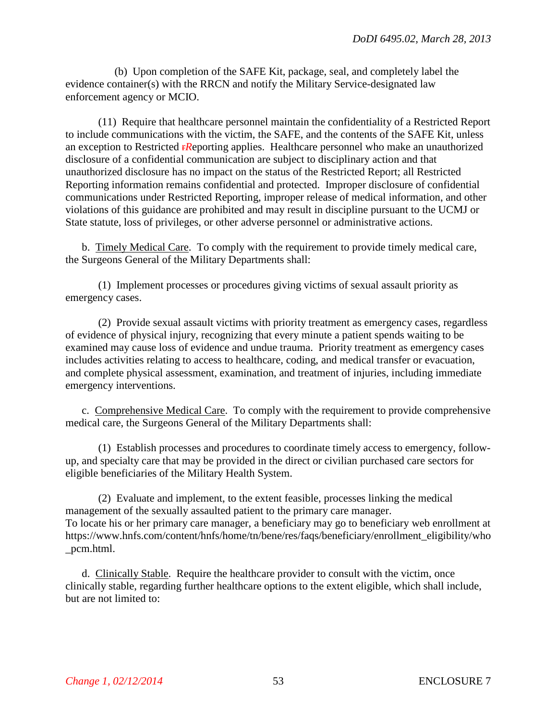(b) Upon completion of the SAFE Kit, package, seal, and completely label the evidence container(s) with the RRCN and notify the Military Service-designated law enforcement agency or MCIO.

(11) Require that healthcare personnel maintain the confidentiality of a Restricted Report to include communications with the victim, the SAFE, and the contents of the SAFE Kit, unless an exception to Restricted r*R*eporting applies. Healthcare personnel who make an unauthorized disclosure of a confidential communication are subject to disciplinary action and that unauthorized disclosure has no impact on the status of the Restricted Report; all Restricted Reporting information remains confidential and protected. Improper disclosure of confidential communications under Restricted Reporting, improper release of medical information, and other violations of this guidance are prohibited and may result in discipline pursuant to the UCMJ or State statute, loss of privileges, or other adverse personnel or administrative actions.

b. Timely Medical Care. To comply with the requirement to provide timely medical care, the Surgeons General of the Military Departments shall:

(1) Implement processes or procedures giving victims of sexual assault priority as emergency cases.

(2) Provide sexual assault victims with priority treatment as emergency cases, regardless of evidence of physical injury, recognizing that every minute a patient spends waiting to be examined may cause loss of evidence and undue trauma. Priority treatment as emergency cases includes activities relating to access to healthcare, coding, and medical transfer or evacuation, and complete physical assessment, examination, and treatment of injuries, including immediate emergency interventions.

c. Comprehensive Medical Care. To comply with the requirement to provide comprehensive medical care, the Surgeons General of the Military Departments shall:

(1) Establish processes and procedures to coordinate timely access to emergency, followup, and specialty care that may be provided in the direct or civilian purchased care sectors for eligible beneficiaries of the Military Health System.

(2) Evaluate and implement, to the extent feasible, processes linking the medical management of the sexually assaulted patient to the primary care manager. To locate his or her primary care manager, a beneficiary may go to beneficiary web enrollment at https://www.hnfs.com/content/hnfs/home/tn/bene/res/faqs/beneficiary/enrollment\_eligibility/who \_pcm.html.

d. Clinically Stable. Require the healthcare provider to consult with the victim, once clinically stable, regarding further healthcare options to the extent eligible, which shall include, but are not limited to: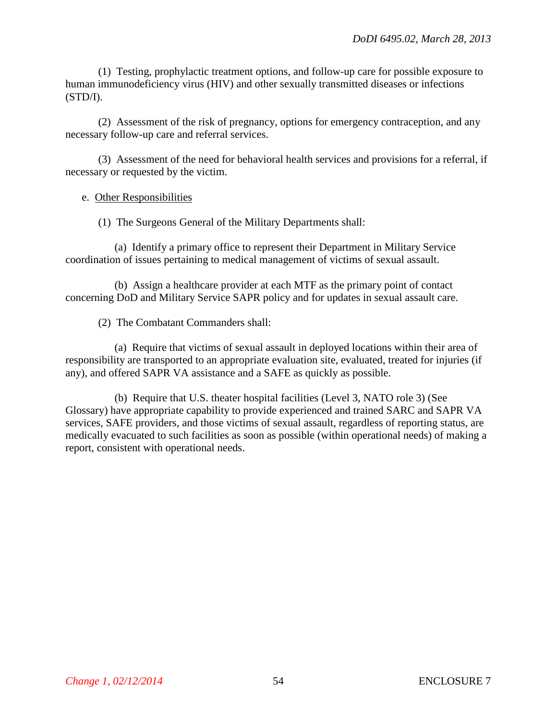(1) Testing, prophylactic treatment options, and follow-up care for possible exposure to human immunodeficiency virus (HIV) and other sexually transmitted diseases or infections (STD/I).

(2) Assessment of the risk of pregnancy, options for emergency contraception, and any necessary follow-up care and referral services.

(3) Assessment of the need for behavioral health services and provisions for a referral, if necessary or requested by the victim.

e. Other Responsibilities

(1) The Surgeons General of the Military Departments shall:

(a) Identify a primary office to represent their Department in Military Service coordination of issues pertaining to medical management of victims of sexual assault.

(b) Assign a healthcare provider at each MTF as the primary point of contact concerning DoD and Military Service SAPR policy and for updates in sexual assault care.

(2) The Combatant Commanders shall:

(a) Require that victims of sexual assault in deployed locations within their area of responsibility are transported to an appropriate evaluation site, evaluated, treated for injuries (if any), and offered SAPR VA assistance and a SAFE as quickly as possible.

(b) Require that U.S. theater hospital facilities (Level 3, NATO role 3) (See Glossary) have appropriate capability to provide experienced and trained SARC and SAPR VA services, SAFE providers, and those victims of sexual assault, regardless of reporting status, are medically evacuated to such facilities as soon as possible (within operational needs) of making a report, consistent with operational needs.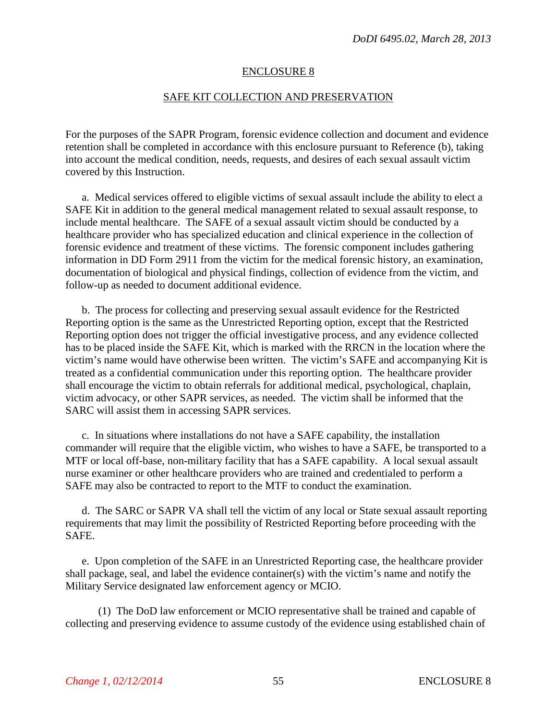#### ENCLOSURE 8

#### SAFE KIT COLLECTION AND PRESERVATION

For the purposes of the SAPR Program, forensic evidence collection and document and evidence retention shall be completed in accordance with this enclosure pursuant to Reference (b), taking into account the medical condition, needs, requests, and desires of each sexual assault victim covered by this Instruction.

a. Medical services offered to eligible victims of sexual assault include the ability to elect a SAFE Kit in addition to the general medical management related to sexual assault response, to include mental healthcare. The SAFE of a sexual assault victim should be conducted by a healthcare provider who has specialized education and clinical experience in the collection of forensic evidence and treatment of these victims. The forensic component includes gathering information in DD Form 2911 from the victim for the medical forensic history, an examination, documentation of biological and physical findings, collection of evidence from the victim, and follow-up as needed to document additional evidence.

b. The process for collecting and preserving sexual assault evidence for the Restricted Reporting option is the same as the Unrestricted Reporting option, except that the Restricted Reporting option does not trigger the official investigative process, and any evidence collected has to be placed inside the SAFE Kit, which is marked with the RRCN in the location where the victim's name would have otherwise been written. The victim's SAFE and accompanying Kit is treated as a confidential communication under this reporting option. The healthcare provider shall encourage the victim to obtain referrals for additional medical, psychological, chaplain, victim advocacy, or other SAPR services, as needed. The victim shall be informed that the SARC will assist them in accessing SAPR services.

c. In situations where installations do not have a SAFE capability, the installation commander will require that the eligible victim, who wishes to have a SAFE, be transported to a MTF or local off-base, non-military facility that has a SAFE capability. A local sexual assault nurse examiner or other healthcare providers who are trained and credentialed to perform a SAFE may also be contracted to report to the MTF to conduct the examination.

d. The SARC or SAPR VA shall tell the victim of any local or State sexual assault reporting requirements that may limit the possibility of Restricted Reporting before proceeding with the SAFE.

e. Upon completion of the SAFE in an Unrestricted Reporting case, the healthcare provider shall package, seal, and label the evidence container(s) with the victim's name and notify the Military Service designated law enforcement agency or MCIO.

(1) The DoD law enforcement or MCIO representative shall be trained and capable of collecting and preserving evidence to assume custody of the evidence using established chain of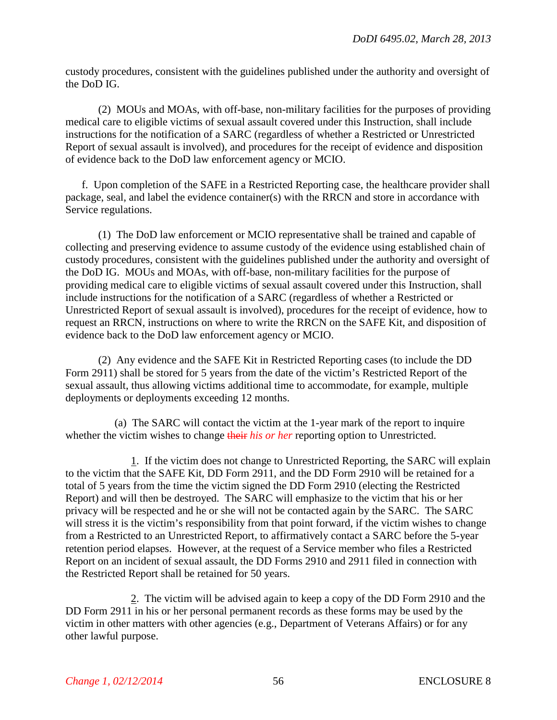custody procedures, consistent with the guidelines published under the authority and oversight of the DoD IG.

(2) MOUs and MOAs, with off-base, non-military facilities for the purposes of providing medical care to eligible victims of sexual assault covered under this Instruction, shall include instructions for the notification of a SARC (regardless of whether a Restricted or Unrestricted Report of sexual assault is involved), and procedures for the receipt of evidence and disposition of evidence back to the DoD law enforcement agency or MCIO.

f. Upon completion of the SAFE in a Restricted Reporting case, the healthcare provider shall package, seal, and label the evidence container(s) with the RRCN and store in accordance with Service regulations.

(1) The DoD law enforcement or MCIO representative shall be trained and capable of collecting and preserving evidence to assume custody of the evidence using established chain of custody procedures, consistent with the guidelines published under the authority and oversight of the DoD IG. MOUs and MOAs, with off-base, non-military facilities for the purpose of providing medical care to eligible victims of sexual assault covered under this Instruction, shall include instructions for the notification of a SARC (regardless of whether a Restricted or Unrestricted Report of sexual assault is involved), procedures for the receipt of evidence, how to request an RRCN, instructions on where to write the RRCN on the SAFE Kit, and disposition of evidence back to the DoD law enforcement agency or MCIO.

(2) Any evidence and the SAFE Kit in Restricted Reporting cases (to include the DD Form 2911) shall be stored for 5 years from the date of the victim's Restricted Report of the sexual assault, thus allowing victims additional time to accommodate, for example, multiple deployments or deployments exceeding 12 months.

(a) The SARC will contact the victim at the 1-year mark of the report to inquire whether the victim wishes to change their *his or her* reporting option to Unrestricted.

1. If the victim does not change to Unrestricted Reporting, the SARC will explain to the victim that the SAFE Kit, DD Form 2911, and the DD Form 2910 will be retained for a total of 5 years from the time the victim signed the DD Form 2910 (electing the Restricted Report) and will then be destroyed. The SARC will emphasize to the victim that his or her privacy will be respected and he or she will not be contacted again by the SARC. The SARC will stress it is the victim's responsibility from that point forward, if the victim wishes to change from a Restricted to an Unrestricted Report, to affirmatively contact a SARC before the 5-year retention period elapses. However, at the request of a Service member who files a Restricted Report on an incident of sexual assault, the DD Forms 2910 and 2911 filed in connection with the Restricted Report shall be retained for 50 years.

2. The victim will be advised again to keep a copy of the DD Form 2910 and the DD Form 2911 in his or her personal permanent records as these forms may be used by the victim in other matters with other agencies (e.g., Department of Veterans Affairs) or for any other lawful purpose.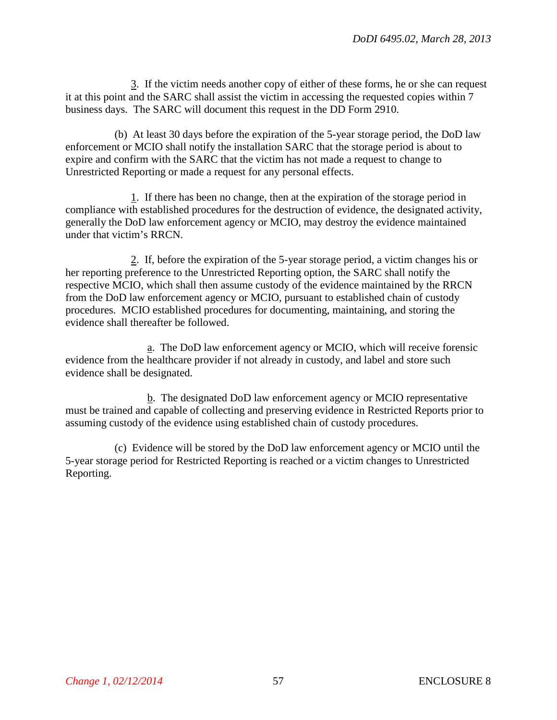3. If the victim needs another copy of either of these forms, he or she can request it at this point and the SARC shall assist the victim in accessing the requested copies within 7 business days. The SARC will document this request in the DD Form 2910.

(b) At least 30 days before the expiration of the 5-year storage period, the DoD law enforcement or MCIO shall notify the installation SARC that the storage period is about to expire and confirm with the SARC that the victim has not made a request to change to Unrestricted Reporting or made a request for any personal effects.

1. If there has been no change, then at the expiration of the storage period in compliance with established procedures for the destruction of evidence, the designated activity, generally the DoD law enforcement agency or MCIO, may destroy the evidence maintained under that victim's RRCN.

2. If, before the expiration of the 5-year storage period, a victim changes his or her reporting preference to the Unrestricted Reporting option, the SARC shall notify the respective MCIO, which shall then assume custody of the evidence maintained by the RRCN from the DoD law enforcement agency or MCIO, pursuant to established chain of custody procedures. MCIO established procedures for documenting, maintaining, and storing the evidence shall thereafter be followed.

a. The DoD law enforcement agency or MCIO, which will receive forensic evidence from the healthcare provider if not already in custody, and label and store such evidence shall be designated.

b. The designated DoD law enforcement agency or MCIO representative must be trained and capable of collecting and preserving evidence in Restricted Reports prior to assuming custody of the evidence using established chain of custody procedures.

(c) Evidence will be stored by the DoD law enforcement agency or MCIO until the 5-year storage period for Restricted Reporting is reached or a victim changes to Unrestricted Reporting.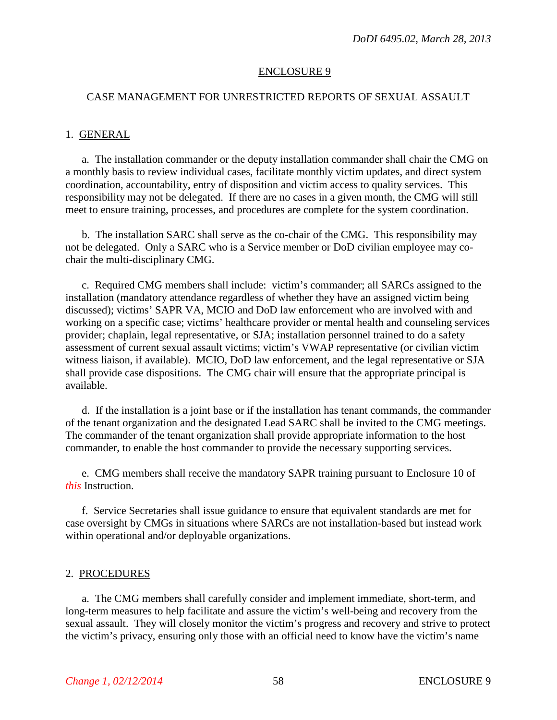#### ENCLOSURE 9

#### CASE MANAGEMENT FOR UNRESTRICTED REPORTS OF SEXUAL ASSAULT

#### 1. GENERAL

a. The installation commander or the deputy installation commander shall chair the CMG on a monthly basis to review individual cases, facilitate monthly victim updates, and direct system coordination, accountability, entry of disposition and victim access to quality services. This responsibility may not be delegated. If there are no cases in a given month, the CMG will still meet to ensure training, processes, and procedures are complete for the system coordination.

b. The installation SARC shall serve as the co-chair of the CMG. This responsibility may not be delegated. Only a SARC who is a Service member or DoD civilian employee may cochair the multi-disciplinary CMG.

c. Required CMG members shall include: victim's commander; all SARCs assigned to the installation (mandatory attendance regardless of whether they have an assigned victim being discussed); victims' SAPR VA, MCIO and DoD law enforcement who are involved with and working on a specific case; victims' healthcare provider or mental health and counseling services provider; chaplain, legal representative, or SJA; installation personnel trained to do a safety assessment of current sexual assault victims; victim's VWAP representative (or civilian victim witness liaison, if available). MCIO, DoD law enforcement, and the legal representative or SJA shall provide case dispositions. The CMG chair will ensure that the appropriate principal is available.

d. If the installation is a joint base or if the installation has tenant commands, the commander of the tenant organization and the designated Lead SARC shall be invited to the CMG meetings. The commander of the tenant organization shall provide appropriate information to the host commander, to enable the host commander to provide the necessary supporting services.

e. CMG members shall receive the mandatory SAPR training pursuant to Enclosure 10 of *this* Instruction.

f. Service Secretaries shall issue guidance to ensure that equivalent standards are met for case oversight by CMGs in situations where SARCs are not installation-based but instead work within operational and/or deployable organizations.

### 2. PROCEDURES

a. The CMG members shall carefully consider and implement immediate, short-term, and long-term measures to help facilitate and assure the victim's well-being and recovery from the sexual assault. They will closely monitor the victim's progress and recovery and strive to protect the victim's privacy, ensuring only those with an official need to know have the victim's name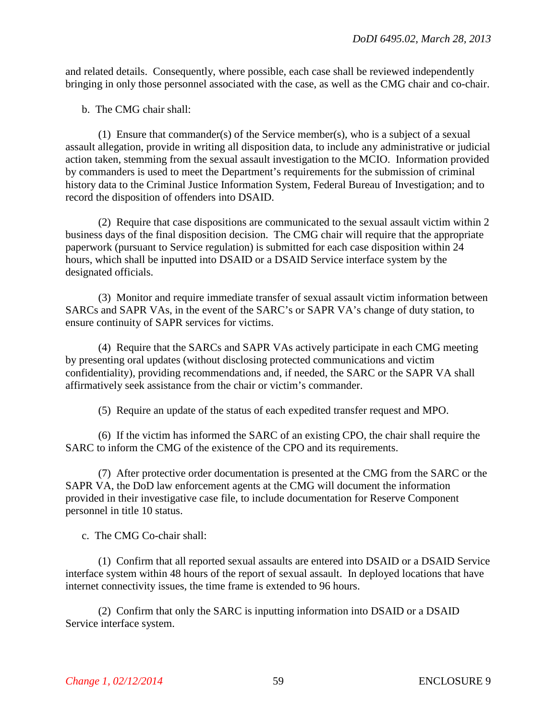and related details. Consequently, where possible, each case shall be reviewed independently bringing in only those personnel associated with the case, as well as the CMG chair and co-chair.

b. The CMG chair shall:

(1) Ensure that commander(s) of the Service member(s), who is a subject of a sexual assault allegation, provide in writing all disposition data, to include any administrative or judicial action taken, stemming from the sexual assault investigation to the MCIO. Information provided by commanders is used to meet the Department's requirements for the submission of criminal history data to the Criminal Justice Information System, Federal Bureau of Investigation; and to record the disposition of offenders into DSAID.

(2) Require that case dispositions are communicated to the sexual assault victim within 2 business days of the final disposition decision. The CMG chair will require that the appropriate paperwork (pursuant to Service regulation) is submitted for each case disposition within 24 hours, which shall be inputted into DSAID or a DSAID Service interface system by the designated officials.

(3) Monitor and require immediate transfer of sexual assault victim information between SARCs and SAPR VAs, in the event of the SARC's or SAPR VA's change of duty station, to ensure continuity of SAPR services for victims.

(4) Require that the SARCs and SAPR VAs actively participate in each CMG meeting by presenting oral updates (without disclosing protected communications and victim confidentiality), providing recommendations and, if needed, the SARC or the SAPR VA shall affirmatively seek assistance from the chair or victim's commander.

(5) Require an update of the status of each expedited transfer request and MPO.

(6) If the victim has informed the SARC of an existing CPO, the chair shall require the SARC to inform the CMG of the existence of the CPO and its requirements.

(7) After protective order documentation is presented at the CMG from the SARC or the SAPR VA, the DoD law enforcement agents at the CMG will document the information provided in their investigative case file, to include documentation for Reserve Component personnel in title 10 status.

c. The CMG Co-chair shall:

(1) Confirm that all reported sexual assaults are entered into DSAID or a DSAID Service interface system within 48 hours of the report of sexual assault. In deployed locations that have internet connectivity issues, the time frame is extended to 96 hours.

(2) Confirm that only the SARC is inputting information into DSAID or a DSAID Service interface system.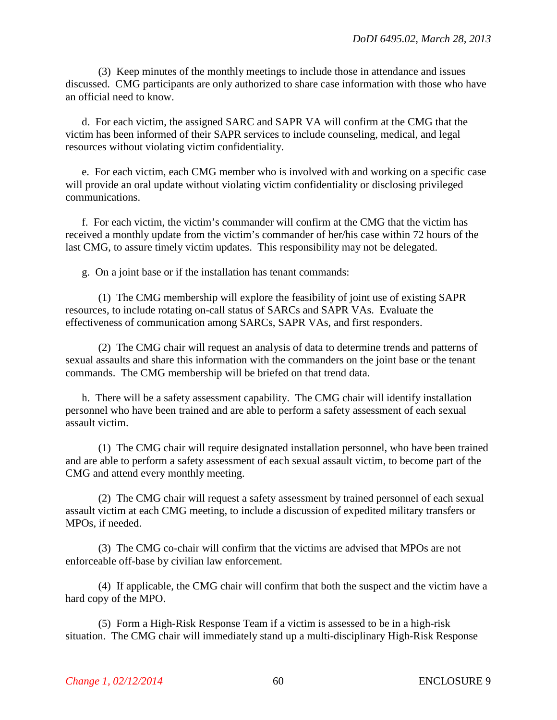(3) Keep minutes of the monthly meetings to include those in attendance and issues discussed. CMG participants are only authorized to share case information with those who have an official need to know.

d. For each victim, the assigned SARC and SAPR VA will confirm at the CMG that the victim has been informed of their SAPR services to include counseling, medical, and legal resources without violating victim confidentiality.

e. For each victim, each CMG member who is involved with and working on a specific case will provide an oral update without violating victim confidentiality or disclosing privileged communications.

f. For each victim, the victim's commander will confirm at the CMG that the victim has received a monthly update from the victim's commander of her/his case within 72 hours of the last CMG, to assure timely victim updates. This responsibility may not be delegated.

g. On a joint base or if the installation has tenant commands:

(1) The CMG membership will explore the feasibility of joint use of existing SAPR resources, to include rotating on-call status of SARCs and SAPR VAs. Evaluate the effectiveness of communication among SARCs, SAPR VAs, and first responders.

(2) The CMG chair will request an analysis of data to determine trends and patterns of sexual assaults and share this information with the commanders on the joint base or the tenant commands. The CMG membership will be briefed on that trend data.

h. There will be a safety assessment capability. The CMG chair will identify installation personnel who have been trained and are able to perform a safety assessment of each sexual assault victim.

(1) The CMG chair will require designated installation personnel, who have been trained and are able to perform a safety assessment of each sexual assault victim, to become part of the CMG and attend every monthly meeting.

(2) The CMG chair will request a safety assessment by trained personnel of each sexual assault victim at each CMG meeting, to include a discussion of expedited military transfers or MPOs, if needed.

(3) The CMG co-chair will confirm that the victims are advised that MPOs are not enforceable off-base by civilian law enforcement.

(4) If applicable, the CMG chair will confirm that both the suspect and the victim have a hard copy of the MPO.

(5) Form a High-Risk Response Team if a victim is assessed to be in a high-risk situation. The CMG chair will immediately stand up a multi-disciplinary High-Risk Response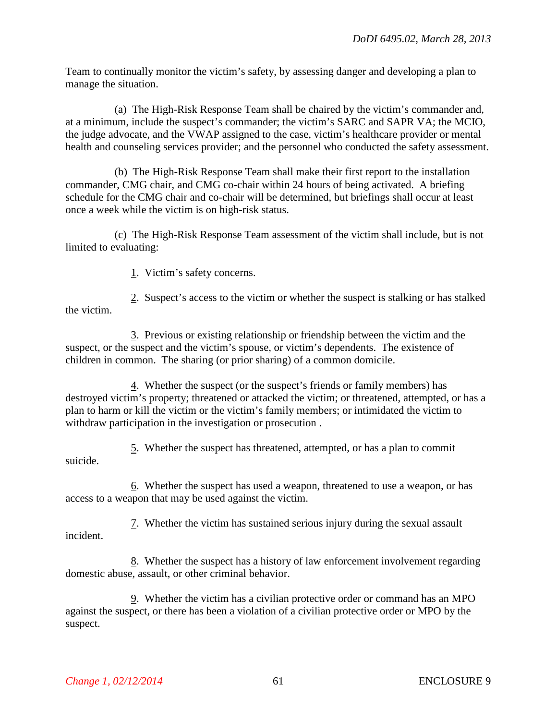Team to continually monitor the victim's safety, by assessing danger and developing a plan to manage the situation.

(a) The High-Risk Response Team shall be chaired by the victim's commander and, at a minimum, include the suspect's commander; the victim's SARC and SAPR VA; the MCIO, the judge advocate, and the VWAP assigned to the case, victim's healthcare provider or mental health and counseling services provider; and the personnel who conducted the safety assessment.

(b) The High-Risk Response Team shall make their first report to the installation commander, CMG chair, and CMG co-chair within 24 hours of being activated. A briefing schedule for the CMG chair and co-chair will be determined, but briefings shall occur at least once a week while the victim is on high-risk status.

(c) The High-Risk Response Team assessment of the victim shall include, but is not limited to evaluating:

1. Victim's safety concerns.

2. Suspect's access to the victim or whether the suspect is stalking or has stalked the victim.

3. Previous or existing relationship or friendship between the victim and the suspect, or the suspect and the victim's spouse, or victim's dependents. The existence of children in common. The sharing (or prior sharing) of a common domicile.

4. Whether the suspect (or the suspect's friends or family members) has destroyed victim's property; threatened or attacked the victim; or threatened, attempted, or has a plan to harm or kill the victim or the victim's family members; or intimidated the victim to withdraw participation in the investigation or prosecution .

5. Whether the suspect has threatened, attempted, or has a plan to commit suicide.

6. Whether the suspect has used a weapon, threatened to use a weapon, or has access to a weapon that may be used against the victim.

7. Whether the victim has sustained serious injury during the sexual assault incident.

8. Whether the suspect has a history of law enforcement involvement regarding domestic abuse, assault, or other criminal behavior.

9. Whether the victim has a civilian protective order or command has an MPO against the suspect, or there has been a violation of a civilian protective order or MPO by the suspect.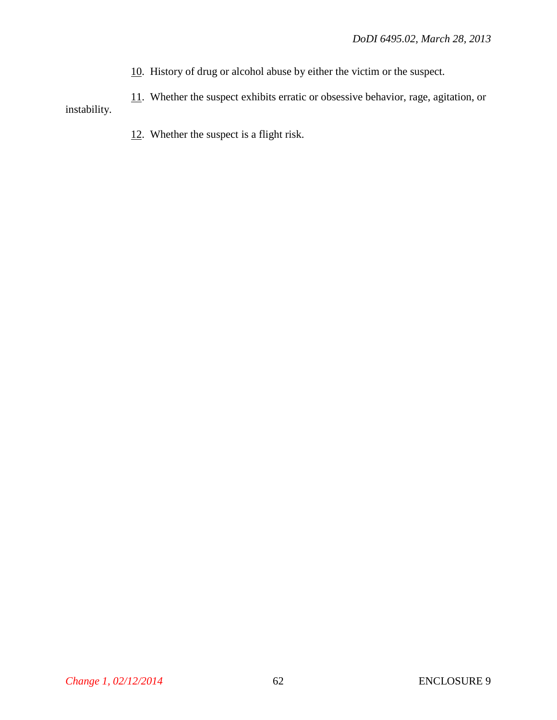10. History of drug or alcohol abuse by either the victim or the suspect.

11. Whether the suspect exhibits erratic or obsessive behavior, rage, agitation, or instability.

12. Whether the suspect is a flight risk.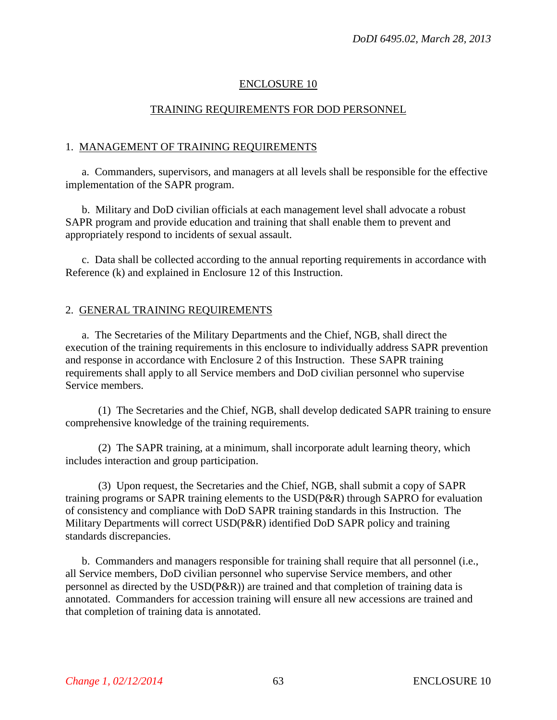## ENCLOSURE 10

#### TRAINING REQUIREMENTS FOR DOD PERSONNEL

#### 1. MANAGEMENT OF TRAINING REQUIREMENTS

a. Commanders, supervisors, and managers at all levels shall be responsible for the effective implementation of the SAPR program.

b. Military and DoD civilian officials at each management level shall advocate a robust SAPR program and provide education and training that shall enable them to prevent and appropriately respond to incidents of sexual assault.

c. Data shall be collected according to the annual reporting requirements in accordance with Reference (k) and explained in Enclosure 12 of this Instruction.

### 2. GENERAL TRAINING REQUIREMENTS

a. The Secretaries of the Military Departments and the Chief, NGB, shall direct the execution of the training requirements in this enclosure to individually address SAPR prevention and response in accordance with Enclosure 2 of this Instruction. These SAPR training requirements shall apply to all Service members and DoD civilian personnel who supervise Service members.

(1) The Secretaries and the Chief, NGB, shall develop dedicated SAPR training to ensure comprehensive knowledge of the training requirements.

(2) The SAPR training, at a minimum, shall incorporate adult learning theory, which includes interaction and group participation.

(3) Upon request, the Secretaries and the Chief, NGB, shall submit a copy of SAPR training programs or SAPR training elements to the USD(P&R) through SAPRO for evaluation of consistency and compliance with DoD SAPR training standards in this Instruction. The Military Departments will correct USD(P&R) identified DoD SAPR policy and training standards discrepancies.

b. Commanders and managers responsible for training shall require that all personnel (i.e., all Service members, DoD civilian personnel who supervise Service members, and other personnel as directed by the USD(P&R)) are trained and that completion of training data is annotated. Commanders for accession training will ensure all new accessions are trained and that completion of training data is annotated.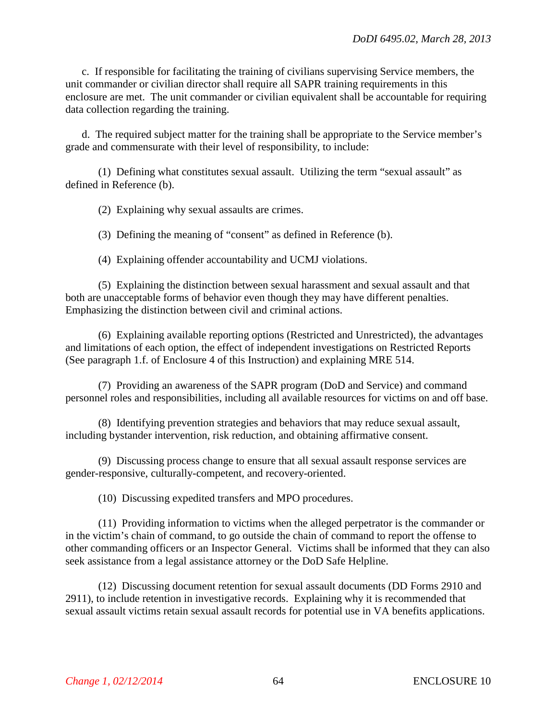c. If responsible for facilitating the training of civilians supervising Service members, the unit commander or civilian director shall require all SAPR training requirements in this enclosure are met. The unit commander or civilian equivalent shall be accountable for requiring data collection regarding the training.

d. The required subject matter for the training shall be appropriate to the Service member's grade and commensurate with their level of responsibility, to include:

(1) Defining what constitutes sexual assault. Utilizing the term "sexual assault" as defined in Reference (b).

(2) Explaining why sexual assaults are crimes.

(3) Defining the meaning of "consent" as defined in Reference (b).

(4) Explaining offender accountability and UCMJ violations.

(5) Explaining the distinction between sexual harassment and sexual assault and that both are unacceptable forms of behavior even though they may have different penalties. Emphasizing the distinction between civil and criminal actions.

(6) Explaining available reporting options (Restricted and Unrestricted), the advantages and limitations of each option, the effect of independent investigations on Restricted Reports (See paragraph 1.f. of Enclosure 4 of this Instruction) and explaining MRE 514.

(7) Providing an awareness of the SAPR program (DoD and Service) and command personnel roles and responsibilities, including all available resources for victims on and off base.

(8) Identifying prevention strategies and behaviors that may reduce sexual assault, including bystander intervention, risk reduction, and obtaining affirmative consent.

(9) Discussing process change to ensure that all sexual assault response services are gender-responsive, culturally-competent, and recovery-oriented.

(10) Discussing expedited transfers and MPO procedures.

(11) Providing information to victims when the alleged perpetrator is the commander or in the victim's chain of command, to go outside the chain of command to report the offense to other commanding officers or an Inspector General. Victims shall be informed that they can also seek assistance from a legal assistance attorney or the DoD Safe Helpline.

(12) Discussing document retention for sexual assault documents (DD Forms 2910 and 2911), to include retention in investigative records. Explaining why it is recommended that sexual assault victims retain sexual assault records for potential use in VA benefits applications.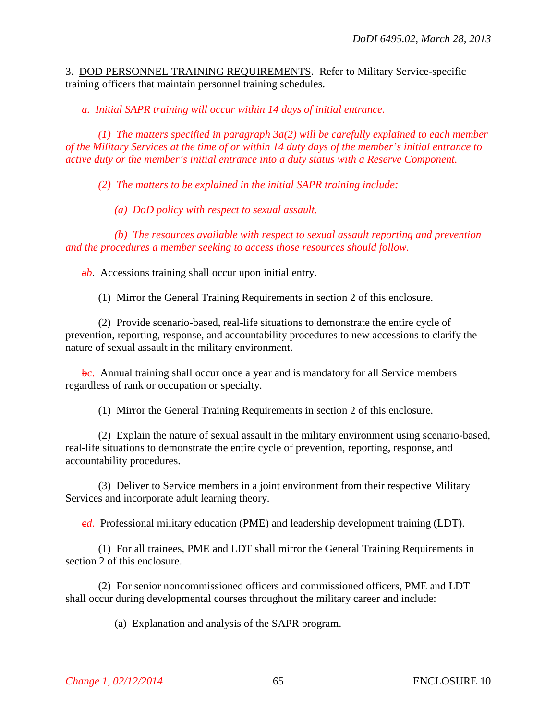3. DOD PERSONNEL TRAINING REQUIREMENTS. Refer to Military Service-specific training officers that maintain personnel training schedules.

*a. Initial SAPR training will occur within 14 days of initial entrance.*

*(1) The matters specified in paragraph 3a(2) will be carefully explained to each member of the Military Services at the time of or within 14 duty days of the member's initial entrance to active duty or the member's initial entrance into a duty status with a Reserve Component.*

*(2) The matters to be explained in the initial SAPR training include:*

*(a) DoD policy with respect to sexual assault.*

*(b) The resources available with respect to sexual assault reporting and prevention and the procedures a member seeking to access those resources should follow.*

a*b*. Accessions training shall occur upon initial entry.

(1) Mirror the General Training Requirements in section 2 of this enclosure.

(2) Provide scenario-based, real-life situations to demonstrate the entire cycle of prevention, reporting, response, and accountability procedures to new accessions to clarify the nature of sexual assault in the military environment.

**b**c. Annual training shall occur once a year and is mandatory for all Service members regardless of rank or occupation or specialty.

(1) Mirror the General Training Requirements in section 2 of this enclosure.

(2) Explain the nature of sexual assault in the military environment using scenario-based, real-life situations to demonstrate the entire cycle of prevention, reporting, response, and accountability procedures.

(3) Deliver to Service members in a joint environment from their respective Military Services and incorporate adult learning theory.

c*d*. Professional military education (PME) and leadership development training (LDT).

(1) For all trainees, PME and LDT shall mirror the General Training Requirements in section 2 of this enclosure.

(2) For senior noncommissioned officers and commissioned officers, PME and LDT shall occur during developmental courses throughout the military career and include:

(a) Explanation and analysis of the SAPR program.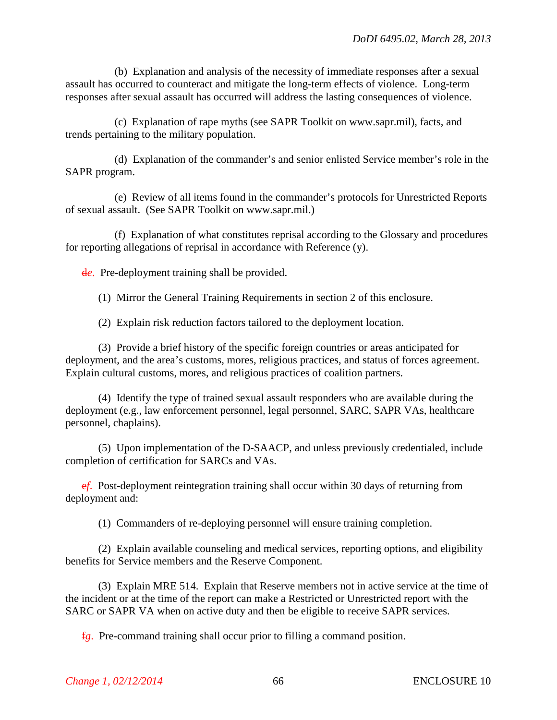(b) Explanation and analysis of the necessity of immediate responses after a sexual assault has occurred to counteract and mitigate the long-term effects of violence. Long-term responses after sexual assault has occurred will address the lasting consequences of violence.

(c) Explanation of rape myths (see SAPR Toolkit on www.sapr.mil), facts, and trends pertaining to the military population.

(d) Explanation of the commander's and senior enlisted Service member's role in the SAPR program.

(e) Review of all items found in the commander's protocols for Unrestricted Reports of sexual assault. (See SAPR Toolkit on www.sapr.mil.)

(f) Explanation of what constitutes reprisal according to the Glossary and procedures for reporting allegations of reprisal in accordance with Reference (y).

de. Pre-deployment training shall be provided.

(1) Mirror the General Training Requirements in section 2 of this enclosure.

(2) Explain risk reduction factors tailored to the deployment location.

(3) Provide a brief history of the specific foreign countries or areas anticipated for deployment, and the area's customs, mores, religious practices, and status of forces agreement. Explain cultural customs, mores, and religious practices of coalition partners.

(4) Identify the type of trained sexual assault responders who are available during the deployment (e.g., law enforcement personnel, legal personnel, SARC, SAPR VAs, healthcare personnel, chaplains).

(5) Upon implementation of the D-SAACP, and unless previously credentialed, include completion of certification for SARCs and VAs.

e*f*. Post-deployment reintegration training shall occur within 30 days of returning from deployment and:

(1) Commanders of re-deploying personnel will ensure training completion.

(2) Explain available counseling and medical services, reporting options, and eligibility benefits for Service members and the Reserve Component.

(3) Explain MRE 514. Explain that Reserve members not in active service at the time of the incident or at the time of the report can make a Restricted or Unrestricted report with the SARC or SAPR VA when on active duty and then be eligible to receive SAPR services.

f*g*. Pre-command training shall occur prior to filling a command position.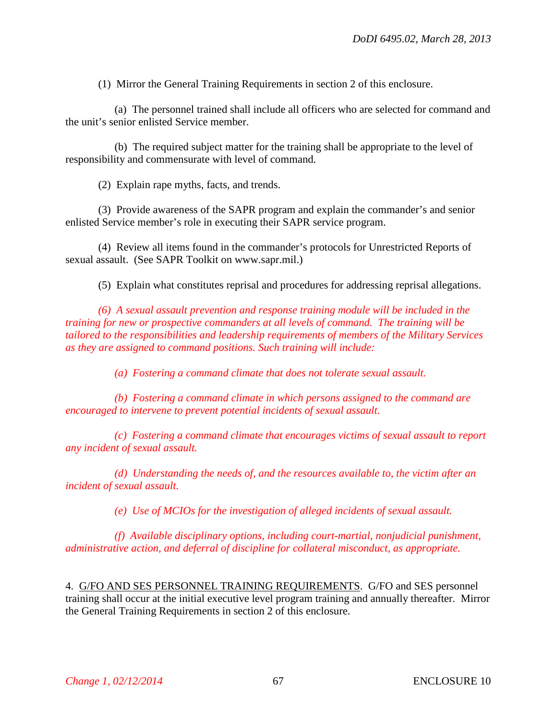(1) Mirror the General Training Requirements in section 2 of this enclosure.

(a) The personnel trained shall include all officers who are selected for command and the unit's senior enlisted Service member.

(b) The required subject matter for the training shall be appropriate to the level of responsibility and commensurate with level of command.

(2) Explain rape myths, facts, and trends.

(3) Provide awareness of the SAPR program and explain the commander's and senior enlisted Service member's role in executing their SAPR service program.

(4) Review all items found in the commander's protocols for Unrestricted Reports of sexual assault. (See SAPR Toolkit on www.sapr.mil.)

(5) Explain what constitutes reprisal and procedures for addressing reprisal allegations.

*(6) A sexual assault prevention and response training module will be included in the training for new or prospective commanders at all levels of command. The training will be tailored to the responsibilities and leadership requirements of members of the Military Services as they are assigned to command positions. Such training will include:*

*(a) Fostering a command climate that does not tolerate sexual assault.*

*(b) Fostering a command climate in which persons assigned to the command are encouraged to intervene to prevent potential incidents of sexual assault.*

*(c) Fostering a command climate that encourages victims of sexual assault to report any incident of sexual assault.*

*(d) Understanding the needs of, and the resources available to, the victim after an incident of sexual assault.*

*(e) Use of MCIOs for the investigation of alleged incidents of sexual assault.*

*(f) Available disciplinary options, including court-martial, nonjudicial punishment, administrative action, and deferral of discipline for collateral misconduct, as appropriate.*

4. G/FO AND SES PERSONNEL TRAINING REQUIREMENTS. G/FO and SES personnel training shall occur at the initial executive level program training and annually thereafter. Mirror the General Training Requirements in section 2 of this enclosure.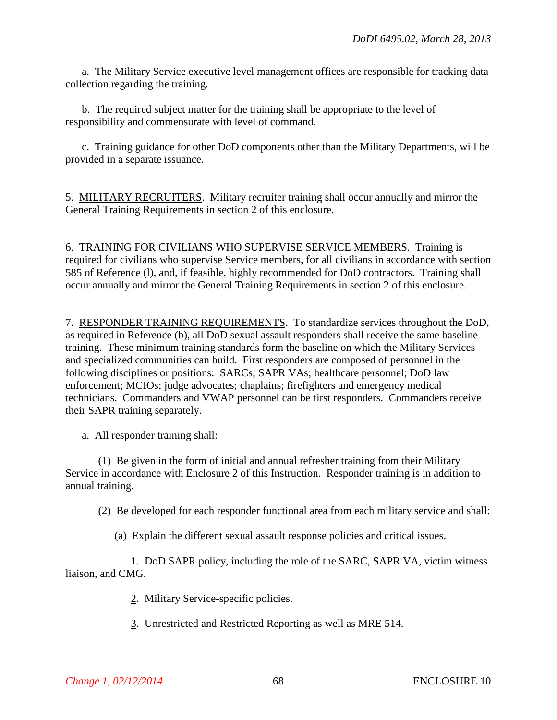a. The Military Service executive level management offices are responsible for tracking data collection regarding the training.

b. The required subject matter for the training shall be appropriate to the level of responsibility and commensurate with level of command.

c. Training guidance for other DoD components other than the Military Departments, will be provided in a separate issuance.

5. MILITARY RECRUITERS. Military recruiter training shall occur annually and mirror the General Training Requirements in section 2 of this enclosure.

6. TRAINING FOR CIVILIANS WHO SUPERVISE SERVICE MEMBERS. Training is required for civilians who supervise Service members, for all civilians in accordance with section 585 of Reference (l), and, if feasible, highly recommended for DoD contractors. Training shall occur annually and mirror the General Training Requirements in section 2 of this enclosure.

7. RESPONDER TRAINING REQUIREMENTS. To standardize services throughout the DoD, as required in Reference (b), all DoD sexual assault responders shall receive the same baseline training. These minimum training standards form the baseline on which the Military Services and specialized communities can build. First responders are composed of personnel in the following disciplines or positions: SARCs; SAPR VAs; healthcare personnel; DoD law enforcement; MCIOs; judge advocates; chaplains; firefighters and emergency medical technicians. Commanders and VWAP personnel can be first responders. Commanders receive their SAPR training separately.

a. All responder training shall:

(1) Be given in the form of initial and annual refresher training from their Military Service in accordance with Enclosure 2 of this Instruction. Responder training is in addition to annual training.

(2) Be developed for each responder functional area from each military service and shall:

(a) Explain the different sexual assault response policies and critical issues.

1. DoD SAPR policy, including the role of the SARC, SAPR VA, victim witness liaison, and CMG.

2. Military Service-specific policies.

3. Unrestricted and Restricted Reporting as well as MRE 514.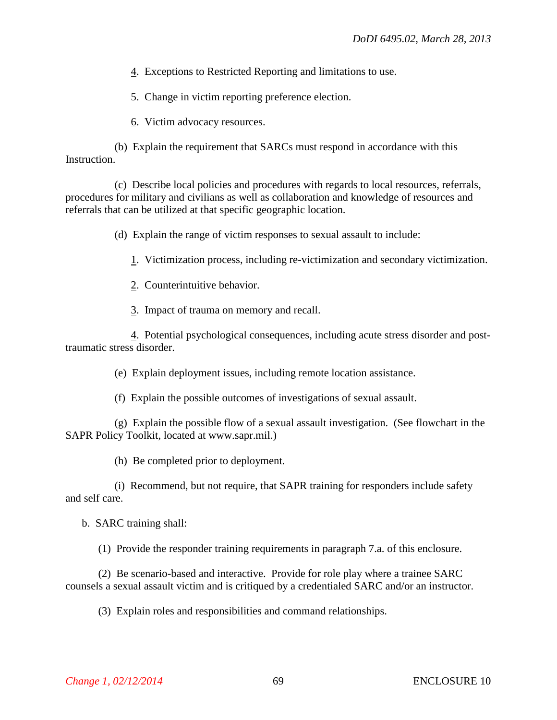4. Exceptions to Restricted Reporting and limitations to use.

5. Change in victim reporting preference election.

6. Victim advocacy resources.

(b) Explain the requirement that SARCs must respond in accordance with this **Instruction** 

(c) Describe local policies and procedures with regards to local resources, referrals, procedures for military and civilians as well as collaboration and knowledge of resources and referrals that can be utilized at that specific geographic location.

(d) Explain the range of victim responses to sexual assault to include:

1. Victimization process, including re-victimization and secondary victimization.

2. Counterintuitive behavior.

3. Impact of trauma on memory and recall.

4. Potential psychological consequences, including acute stress disorder and posttraumatic stress disorder.

(e) Explain deployment issues, including remote location assistance.

(f) Explain the possible outcomes of investigations of sexual assault.

(g) Explain the possible flow of a sexual assault investigation. (See flowchart in the SAPR Policy Toolkit, located at www.sapr.mil.)

(h) Be completed prior to deployment.

(i) Recommend, but not require, that SAPR training for responders include safety and self care.

b. SARC training shall:

(1) Provide the responder training requirements in paragraph 7.a. of this enclosure.

(2) Be scenario-based and interactive. Provide for role play where a trainee SARC counsels a sexual assault victim and is critiqued by a credentialed SARC and/or an instructor.

(3) Explain roles and responsibilities and command relationships.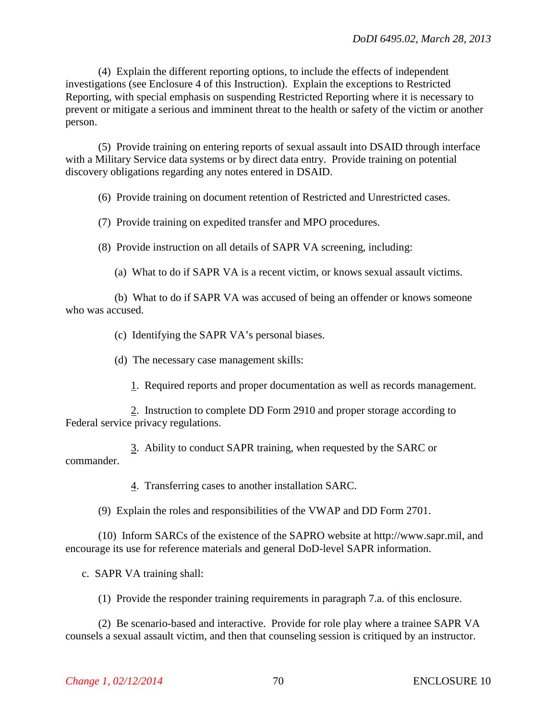(4) Explain the different reporting options, to include the effects of independent investigations (see Enclosure 4 of this Instruction). Explain the exceptions to Restricted Reporting, with special emphasis on suspending Restricted Reporting where it is necessary to prevent or mitigate a serious and imminent threat to the health or safety of the victim or another person.

(5) Provide training on entering reports of sexual assault into DSAID through interface with a Military Service data systems or by direct data entry. Provide training on potential discovery obligations regarding any notes entered in DSAID.

(6) Provide training on document retention of Restricted and Unrestricted cases.

(7) Provide training on expedited transfer and MPO procedures.

(8) Provide instruction on all details of SAPR VA screening, including:

(a) What to do if SAPR VA is a recent victim, or knows sexual assault victims.

(b) What to do if SAPR VA was accused of being an offender or knows someone who was accused.

(c) Identifying the SAPR VA's personal biases.

(d) The necessary case management skills:

1. Required reports and proper documentation as well as records management.

2. Instruction to complete DD Form 2910 and proper storage according to Federal service privacy regulations.

3. Ability to conduct SAPR training, when requested by the SARC or commander.

4. Transferring cases to another installation SARC.

(9) Explain the roles and responsibilities of the VWAP and DD Form 2701.

(10) Inform SARCs of the existence of the SAPRO website at http://www.sapr.mil, and encourage its use for reference materials and general DoD-level SAPR information.

c. SAPR VA training shall:

(1) Provide the responder training requirements in paragraph 7.a. of this enclosure.

(2) Be scenario-based and interactive. Provide for role play where a trainee SAPR VA counsels a sexual assault victim, and then that counseling session is critiqued by an instructor.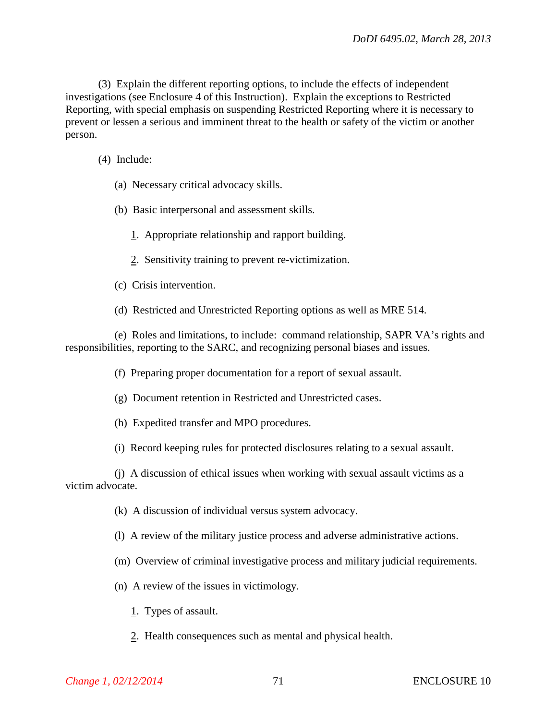(3) Explain the different reporting options, to include the effects of independent investigations (see Enclosure 4 of this Instruction). Explain the exceptions to Restricted Reporting, with special emphasis on suspending Restricted Reporting where it is necessary to prevent or lessen a serious and imminent threat to the health or safety of the victim or another person.

- (4) Include:
	- (a) Necessary critical advocacy skills.
	- (b) Basic interpersonal and assessment skills.
		- 1. Appropriate relationship and rapport building.
		- 2. Sensitivity training to prevent re-victimization.
	- (c) Crisis intervention.
	- (d) Restricted and Unrestricted Reporting options as well as MRE 514.

(e) Roles and limitations, to include: command relationship, SAPR VA's rights and responsibilities, reporting to the SARC, and recognizing personal biases and issues.

(f) Preparing proper documentation for a report of sexual assault.

- (g) Document retention in Restricted and Unrestricted cases.
- (h) Expedited transfer and MPO procedures.
- (i) Record keeping rules for protected disclosures relating to a sexual assault.

(j) A discussion of ethical issues when working with sexual assault victims as a victim advocate.

- (k) A discussion of individual versus system advocacy.
- (l) A review of the military justice process and adverse administrative actions.
- (m) Overview of criminal investigative process and military judicial requirements.
- (n) A review of the issues in victimology.
	- 1. Types of assault.
	- 2. Health consequences such as mental and physical health.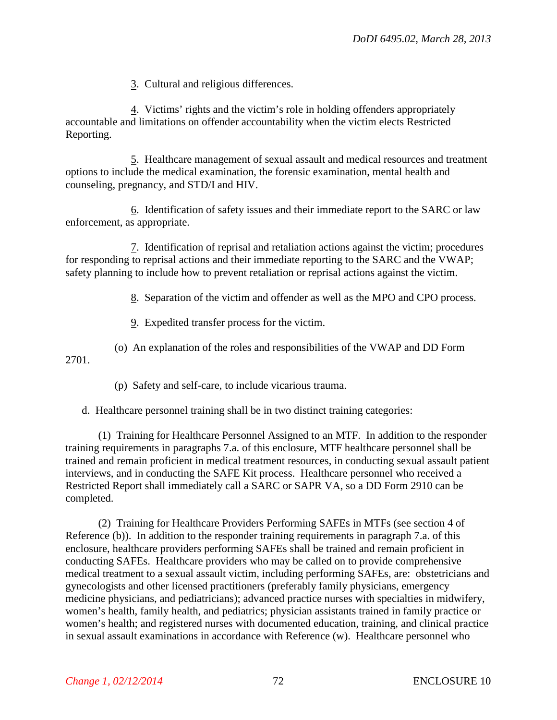3. Cultural and religious differences.

4. Victims' rights and the victim's role in holding offenders appropriately accountable and limitations on offender accountability when the victim elects Restricted Reporting.

5. Healthcare management of sexual assault and medical resources and treatment options to include the medical examination, the forensic examination, mental health and counseling, pregnancy, and STD/I and HIV.

6. Identification of safety issues and their immediate report to the SARC or law enforcement, as appropriate.

7. Identification of reprisal and retaliation actions against the victim; procedures for responding to reprisal actions and their immediate reporting to the SARC and the VWAP; safety planning to include how to prevent retaliation or reprisal actions against the victim.

8. Separation of the victim and offender as well as the MPO and CPO process.

9. Expedited transfer process for the victim.

(o) An explanation of the roles and responsibilities of the VWAP and DD Form 2701.

(p) Safety and self-care, to include vicarious trauma.

d. Healthcare personnel training shall be in two distinct training categories:

(1) Training for Healthcare Personnel Assigned to an MTF. In addition to the responder training requirements in paragraphs 7.a. of this enclosure, MTF healthcare personnel shall be trained and remain proficient in medical treatment resources, in conducting sexual assault patient interviews, and in conducting the SAFE Kit process. Healthcare personnel who received a Restricted Report shall immediately call a SARC or SAPR VA, so a DD Form 2910 can be completed.

(2) Training for Healthcare Providers Performing SAFEs in MTFs (see section 4 of Reference (b)). In addition to the responder training requirements in paragraph 7.a. of this enclosure, healthcare providers performing SAFEs shall be trained and remain proficient in conducting SAFEs. Healthcare providers who may be called on to provide comprehensive medical treatment to a sexual assault victim, including performing SAFEs, are: obstetricians and gynecologists and other licensed practitioners (preferably family physicians, emergency medicine physicians, and pediatricians); advanced practice nurses with specialties in midwifery, women's health, family health, and pediatrics; physician assistants trained in family practice or women's health; and registered nurses with documented education, training, and clinical practice in sexual assault examinations in accordance with Reference (w). Healthcare personnel who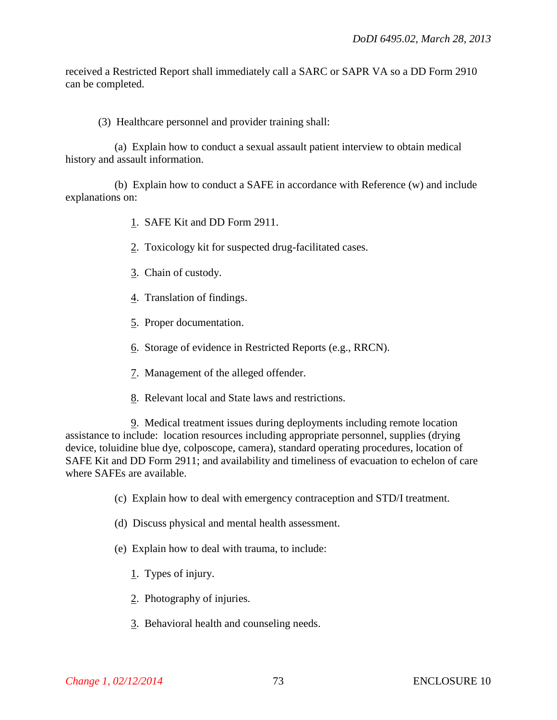received a Restricted Report shall immediately call a SARC or SAPR VA so a DD Form 2910 can be completed.

(3) Healthcare personnel and provider training shall:

(a) Explain how to conduct a sexual assault patient interview to obtain medical history and assault information.

(b) Explain how to conduct a SAFE in accordance with Reference (w) and include explanations on:

1. SAFE Kit and DD Form 2911.

2. Toxicology kit for suspected drug-facilitated cases.

- 3. Chain of custody.
- 4. Translation of findings.
- 5. Proper documentation.
- 6. Storage of evidence in Restricted Reports (e.g., RRCN).
- 7. Management of the alleged offender.
- 8. Relevant local and State laws and restrictions.

9. Medical treatment issues during deployments including remote location assistance to include: location resources including appropriate personnel, supplies (drying device, toluidine blue dye, colposcope, camera), standard operating procedures, location of SAFE Kit and DD Form 2911; and availability and timeliness of evacuation to echelon of care where SAFEs are available.

- (c) Explain how to deal with emergency contraception and STD/I treatment.
- (d) Discuss physical and mental health assessment.
- (e) Explain how to deal with trauma, to include:
	- 1. Types of injury.
	- 2. Photography of injuries.
	- 3. Behavioral health and counseling needs.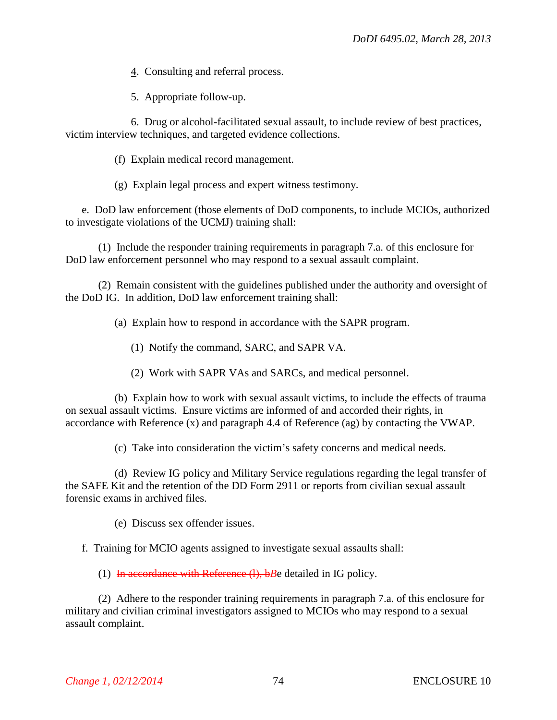4. Consulting and referral process.

5. Appropriate follow-up.

6. Drug or alcohol-facilitated sexual assault, to include review of best practices, victim interview techniques, and targeted evidence collections.

(f) Explain medical record management.

(g) Explain legal process and expert witness testimony.

e. DoD law enforcement (those elements of DoD components, to include MCIOs, authorized to investigate violations of the UCMJ) training shall:

(1) Include the responder training requirements in paragraph 7.a. of this enclosure for DoD law enforcement personnel who may respond to a sexual assault complaint.

(2) Remain consistent with the guidelines published under the authority and oversight of the DoD IG. In addition, DoD law enforcement training shall:

(a) Explain how to respond in accordance with the SAPR program.

- (1) Notify the command, SARC, and SAPR VA.
- (2) Work with SAPR VAs and SARCs, and medical personnel.

(b) Explain how to work with sexual assault victims, to include the effects of trauma on sexual assault victims. Ensure victims are informed of and accorded their rights, in accordance with Reference (x) and paragraph 4.4 of Reference (ag) by contacting the VWAP.

(c) Take into consideration the victim's safety concerns and medical needs.

(d) Review IG policy and Military Service regulations regarding the legal transfer of the SAFE Kit and the retention of the DD Form 2911 or reports from civilian sexual assault forensic exams in archived files.

(e) Discuss sex offender issues.

f. Training for MCIO agents assigned to investigate sexual assaults shall:

(1) In accordance with Reference (l), b*B*e detailed in IG policy.

(2) Adhere to the responder training requirements in paragraph 7.a. of this enclosure for military and civilian criminal investigators assigned to MCIOs who may respond to a sexual assault complaint.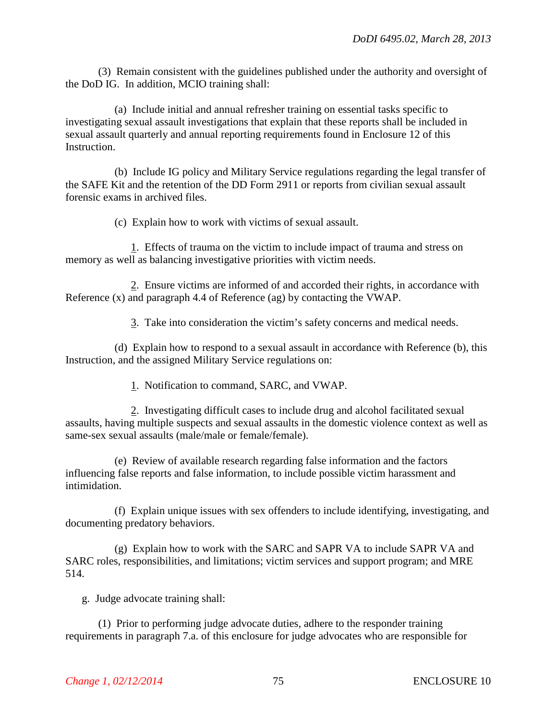(3) Remain consistent with the guidelines published under the authority and oversight of the DoD IG. In addition, MCIO training shall:

(a) Include initial and annual refresher training on essential tasks specific to investigating sexual assault investigations that explain that these reports shall be included in sexual assault quarterly and annual reporting requirements found in Enclosure 12 of this Instruction.

(b) Include IG policy and Military Service regulations regarding the legal transfer of the SAFE Kit and the retention of the DD Form 2911 or reports from civilian sexual assault forensic exams in archived files.

(c) Explain how to work with victims of sexual assault.

1. Effects of trauma on the victim to include impact of trauma and stress on memory as well as balancing investigative priorities with victim needs.

2. Ensure victims are informed of and accorded their rights, in accordance with Reference (x) and paragraph 4.4 of Reference (ag) by contacting the VWAP.

3. Take into consideration the victim's safety concerns and medical needs.

(d) Explain how to respond to a sexual assault in accordance with Reference (b), this Instruction, and the assigned Military Service regulations on:

1. Notification to command, SARC, and VWAP.

2. Investigating difficult cases to include drug and alcohol facilitated sexual assaults, having multiple suspects and sexual assaults in the domestic violence context as well as same-sex sexual assaults (male/male or female/female).

(e) Review of available research regarding false information and the factors influencing false reports and false information, to include possible victim harassment and intimidation.

(f) Explain unique issues with sex offenders to include identifying, investigating, and documenting predatory behaviors.

(g) Explain how to work with the SARC and SAPR VA to include SAPR VA and SARC roles, responsibilities, and limitations; victim services and support program; and MRE 514.

g. Judge advocate training shall:

(1) Prior to performing judge advocate duties, adhere to the responder training requirements in paragraph 7.a. of this enclosure for judge advocates who are responsible for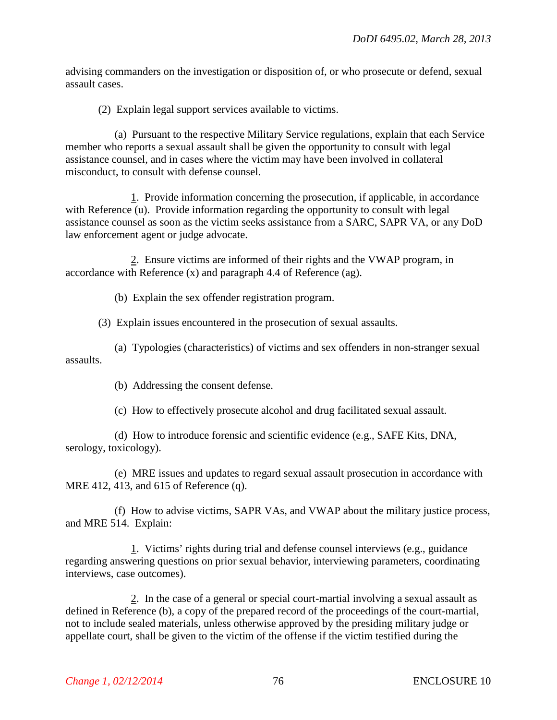advising commanders on the investigation or disposition of, or who prosecute or defend, sexual assault cases.

(2) Explain legal support services available to victims.

(a) Pursuant to the respective Military Service regulations, explain that each Service member who reports a sexual assault shall be given the opportunity to consult with legal assistance counsel, and in cases where the victim may have been involved in collateral misconduct, to consult with defense counsel.

1. Provide information concerning the prosecution, if applicable, in accordance with Reference (u). Provide information regarding the opportunity to consult with legal assistance counsel as soon as the victim seeks assistance from a SARC, SAPR VA, or any DoD law enforcement agent or judge advocate.

2. Ensure victims are informed of their rights and the VWAP program, in accordance with Reference (x) and paragraph 4.4 of Reference (ag).

(b) Explain the sex offender registration program.

(3) Explain issues encountered in the prosecution of sexual assaults.

(a) Typologies (characteristics) of victims and sex offenders in non-stranger sexual assaults.

(b) Addressing the consent defense.

(c) How to effectively prosecute alcohol and drug facilitated sexual assault.

(d) How to introduce forensic and scientific evidence (e.g., SAFE Kits, DNA, serology, toxicology).

(e) MRE issues and updates to regard sexual assault prosecution in accordance with MRE 412, 413, and 615 of Reference (q).

(f) How to advise victims, SAPR VAs, and VWAP about the military justice process, and MRE 514. Explain:

1. Victims' rights during trial and defense counsel interviews (e.g., guidance regarding answering questions on prior sexual behavior, interviewing parameters, coordinating interviews, case outcomes).

2. In the case of a general or special court-martial involving a sexual assault as defined in Reference (b), a copy of the prepared record of the proceedings of the court-martial, not to include sealed materials, unless otherwise approved by the presiding military judge or appellate court, shall be given to the victim of the offense if the victim testified during the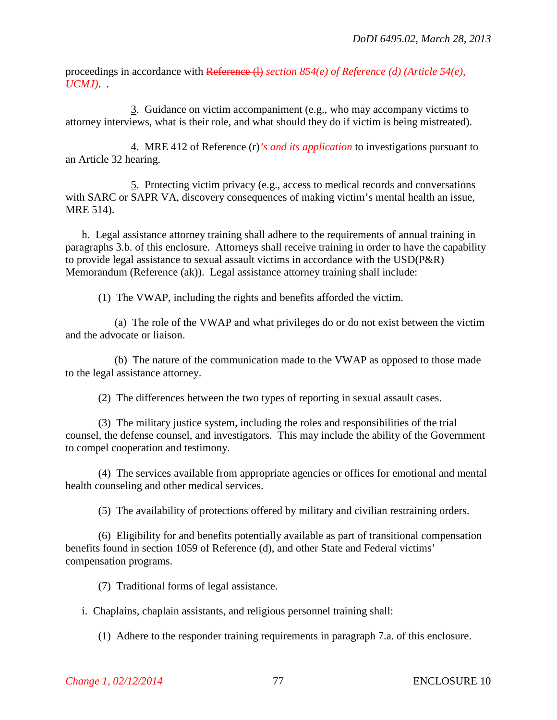proceedings in accordance with Reference (H) *section 854(e)* of *Reference (d)* (*Article 54(e)*, *UCMJ)*. .

3. Guidance on victim accompaniment (e.g., who may accompany victims to attorney interviews, what is their role, and what should they do if victim is being mistreated).

4. MRE 412 of Reference (r)*'s and its application* to investigations pursuant to an Article 32 hearing.

5. Protecting victim privacy (e.g., access to medical records and conversations with SARC or SAPR VA, discovery consequences of making victim's mental health an issue, MRE 514).

h. Legal assistance attorney training shall adhere to the requirements of annual training in paragraphs 3.b. of this enclosure. Attorneys shall receive training in order to have the capability to provide legal assistance to sexual assault victims in accordance with the USD(P&R) Memorandum (Reference (ak)). Legal assistance attorney training shall include:

(1) The VWAP, including the rights and benefits afforded the victim.

(a) The role of the VWAP and what privileges do or do not exist between the victim and the advocate or liaison.

(b) The nature of the communication made to the VWAP as opposed to those made to the legal assistance attorney.

(2) The differences between the two types of reporting in sexual assault cases.

(3) The military justice system, including the roles and responsibilities of the trial counsel, the defense counsel, and investigators. This may include the ability of the Government to compel cooperation and testimony.

(4) The services available from appropriate agencies or offices for emotional and mental health counseling and other medical services.

(5) The availability of protections offered by military and civilian restraining orders.

(6) Eligibility for and benefits potentially available as part of transitional compensation benefits found in section 1059 of Reference (d), and other State and Federal victims' compensation programs.

(7) Traditional forms of legal assistance.

i. Chaplains, chaplain assistants, and religious personnel training shall:

(1) Adhere to the responder training requirements in paragraph 7.a. of this enclosure.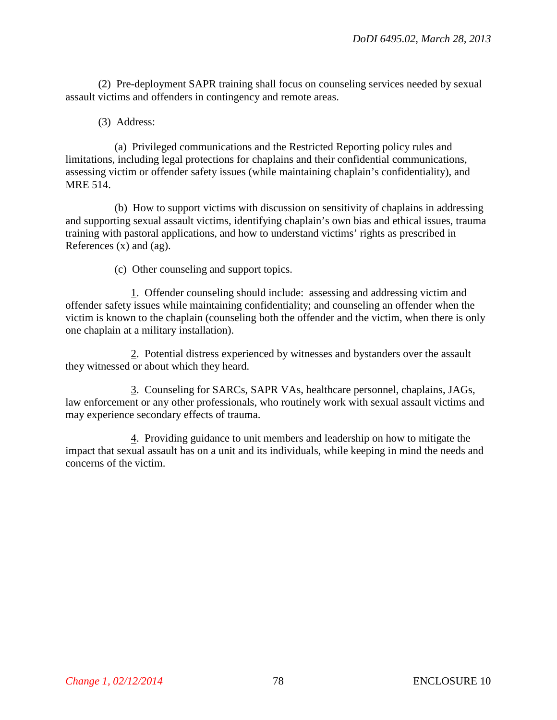(2) Pre-deployment SAPR training shall focus on counseling services needed by sexual assault victims and offenders in contingency and remote areas.

(3) Address:

(a) Privileged communications and the Restricted Reporting policy rules and limitations, including legal protections for chaplains and their confidential communications, assessing victim or offender safety issues (while maintaining chaplain's confidentiality), and MRE 514.

(b) How to support victims with discussion on sensitivity of chaplains in addressing and supporting sexual assault victims, identifying chaplain's own bias and ethical issues, trauma training with pastoral applications, and how to understand victims' rights as prescribed in References (x) and (ag).

(c) Other counseling and support topics.

1. Offender counseling should include: assessing and addressing victim and offender safety issues while maintaining confidentiality; and counseling an offender when the victim is known to the chaplain (counseling both the offender and the victim, when there is only one chaplain at a military installation).

2. Potential distress experienced by witnesses and bystanders over the assault they witnessed or about which they heard.

3. Counseling for SARCs, SAPR VAs, healthcare personnel, chaplains, JAGs, law enforcement or any other professionals, who routinely work with sexual assault victims and may experience secondary effects of trauma.

4. Providing guidance to unit members and leadership on how to mitigate the impact that sexual assault has on a unit and its individuals, while keeping in mind the needs and concerns of the victim.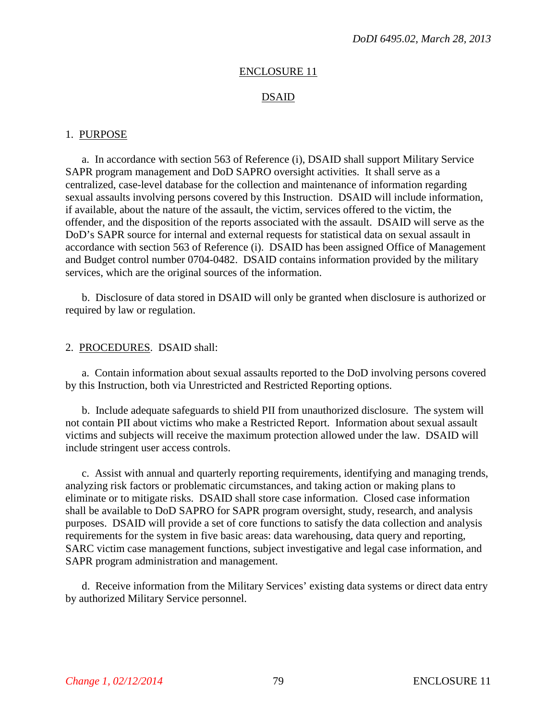### ENCLOSURE 11

# DSAID

#### 1. PURPOSE

a. In accordance with section 563 of Reference (i), DSAID shall support Military Service SAPR program management and DoD SAPRO oversight activities. It shall serve as a centralized, case-level database for the collection and maintenance of information regarding sexual assaults involving persons covered by this Instruction. DSAID will include information, if available, about the nature of the assault, the victim, services offered to the victim, the offender, and the disposition of the reports associated with the assault. DSAID will serve as the DoD's SAPR source for internal and external requests for statistical data on sexual assault in accordance with section 563 of Reference (i). DSAID has been assigned Office of Management and Budget control number 0704-0482. DSAID contains information provided by the military services, which are the original sources of the information.

b. Disclosure of data stored in DSAID will only be granted when disclosure is authorized or required by law or regulation.

### 2. PROCEDURES. DSAID shall:

a. Contain information about sexual assaults reported to the DoD involving persons covered by this Instruction, both via Unrestricted and Restricted Reporting options.

b. Include adequate safeguards to shield PII from unauthorized disclosure. The system will not contain PII about victims who make a Restricted Report. Information about sexual assault victims and subjects will receive the maximum protection allowed under the law. DSAID will include stringent user access controls.

c. Assist with annual and quarterly reporting requirements, identifying and managing trends, analyzing risk factors or problematic circumstances, and taking action or making plans to eliminate or to mitigate risks. DSAID shall store case information. Closed case information shall be available to DoD SAPRO for SAPR program oversight, study, research, and analysis purposes. DSAID will provide a set of core functions to satisfy the data collection and analysis requirements for the system in five basic areas: data warehousing, data query and reporting, SARC victim case management functions, subject investigative and legal case information, and SAPR program administration and management.

d. Receive information from the Military Services' existing data systems or direct data entry by authorized Military Service personnel.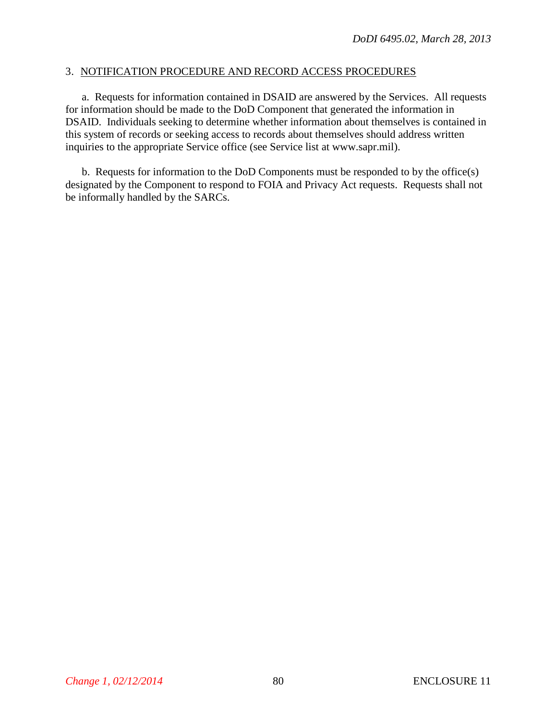### 3. NOTIFICATION PROCEDURE AND RECORD ACCESS PROCEDURES

a. Requests for information contained in DSAID are answered by the Services. All requests for information should be made to the DoD Component that generated the information in DSAID. Individuals seeking to determine whether information about themselves is contained in this system of records or seeking access to records about themselves should address written inquiries to the appropriate Service office (see Service list at www.sapr.mil).

b. Requests for information to the DoD Components must be responded to by the office(s) designated by the Component to respond to FOIA and Privacy Act requests. Requests shall not be informally handled by the SARCs.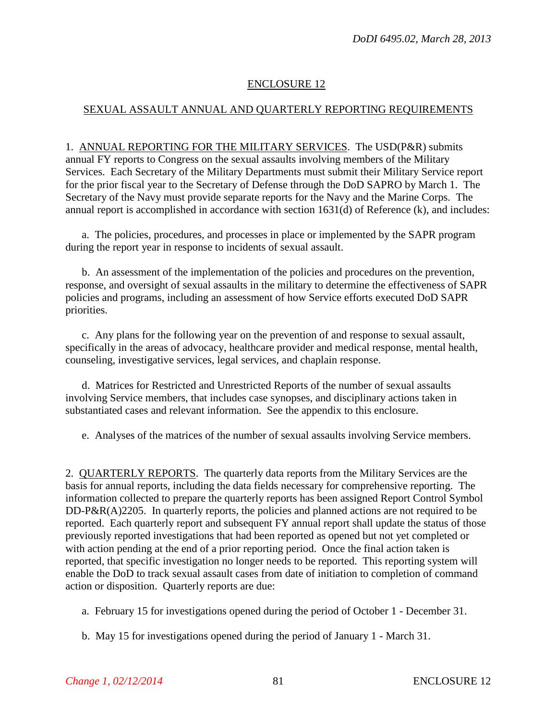# ENCLOSURE 12

# SEXUAL ASSAULT ANNUAL AND QUARTERLY REPORTING REQUIREMENTS

1. ANNUAL REPORTING FOR THE MILITARY SERVICES. The USD(P&R) submits annual FY reports to Congress on the sexual assaults involving members of the Military Services. Each Secretary of the Military Departments must submit their Military Service report for the prior fiscal year to the Secretary of Defense through the DoD SAPRO by March 1. The Secretary of the Navy must provide separate reports for the Navy and the Marine Corps. The annual report is accomplished in accordance with section 1631(d) of Reference (k), and includes:

a. The policies, procedures, and processes in place or implemented by the SAPR program during the report year in response to incidents of sexual assault.

b. An assessment of the implementation of the policies and procedures on the prevention, response, and oversight of sexual assaults in the military to determine the effectiveness of SAPR policies and programs, including an assessment of how Service efforts executed DoD SAPR priorities.

c. Any plans for the following year on the prevention of and response to sexual assault, specifically in the areas of advocacy, healthcare provider and medical response, mental health, counseling, investigative services, legal services, and chaplain response.

d. Matrices for Restricted and Unrestricted Reports of the number of sexual assaults involving Service members, that includes case synopses, and disciplinary actions taken in substantiated cases and relevant information. See the appendix to this enclosure.

e. Analyses of the matrices of the number of sexual assaults involving Service members.

2. QUARTERLY REPORTS. The quarterly data reports from the Military Services are the basis for annual reports, including the data fields necessary for comprehensive reporting. The information collected to prepare the quarterly reports has been assigned Report Control Symbol DD-P&R(A)2205. In quarterly reports, the policies and planned actions are not required to be reported. Each quarterly report and subsequent FY annual report shall update the status of those previously reported investigations that had been reported as opened but not yet completed or with action pending at the end of a prior reporting period. Once the final action taken is reported, that specific investigation no longer needs to be reported. This reporting system will enable the DoD to track sexual assault cases from date of initiation to completion of command action or disposition. Quarterly reports are due:

- a. February 15 for investigations opened during the period of October 1 December 31.
- b. May 15 for investigations opened during the period of January 1 March 31.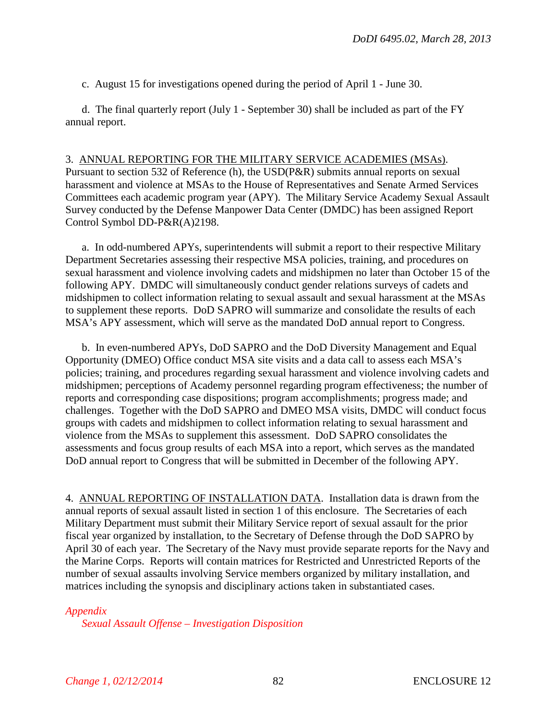c. August 15 for investigations opened during the period of April 1 - June 30.

d. The final quarterly report (July 1 - September 30) shall be included as part of the FY annual report.

#### 3. ANNUAL REPORTING FOR THE MILITARY SERVICE ACADEMIES (MSAs).

Pursuant to section 532 of Reference (h), the USD(P&R) submits annual reports on sexual harassment and violence at MSAs to the House of Representatives and Senate Armed Services Committees each academic program year (APY). The Military Service Academy Sexual Assault Survey conducted by the Defense Manpower Data Center (DMDC) has been assigned Report Control Symbol DD-P&R(A)2198.

a. In odd-numbered APYs, superintendents will submit a report to their respective Military Department Secretaries assessing their respective MSA policies, training, and procedures on sexual harassment and violence involving cadets and midshipmen no later than October 15 of the following APY. DMDC will simultaneously conduct gender relations surveys of cadets and midshipmen to collect information relating to sexual assault and sexual harassment at the MSAs to supplement these reports. DoD SAPRO will summarize and consolidate the results of each MSA's APY assessment, which will serve as the mandated DoD annual report to Congress.

b. In even-numbered APYs, DoD SAPRO and the DoD Diversity Management and Equal Opportunity (DMEO) Office conduct MSA site visits and a data call to assess each MSA's policies; training, and procedures regarding sexual harassment and violence involving cadets and midshipmen; perceptions of Academy personnel regarding program effectiveness; the number of reports and corresponding case dispositions; program accomplishments; progress made; and challenges. Together with the DoD SAPRO and DMEO MSA visits, DMDC will conduct focus groups with cadets and midshipmen to collect information relating to sexual harassment and violence from the MSAs to supplement this assessment. DoD SAPRO consolidates the assessments and focus group results of each MSA into a report, which serves as the mandated DoD annual report to Congress that will be submitted in December of the following APY.

4. ANNUAL REPORTING OF INSTALLATION DATA. Installation data is drawn from the annual reports of sexual assault listed in section 1 of this enclosure. The Secretaries of each Military Department must submit their Military Service report of sexual assault for the prior fiscal year organized by installation, to the Secretary of Defense through the DoD SAPRO by April 30 of each year. The Secretary of the Navy must provide separate reports for the Navy and the Marine Corps. Reports will contain matrices for Restricted and Unrestricted Reports of the number of sexual assaults involving Service members organized by military installation, and matrices including the synopsis and disciplinary actions taken in substantiated cases.

#### *Appendix*

*Sexual Assault Offense – Investigation Disposition*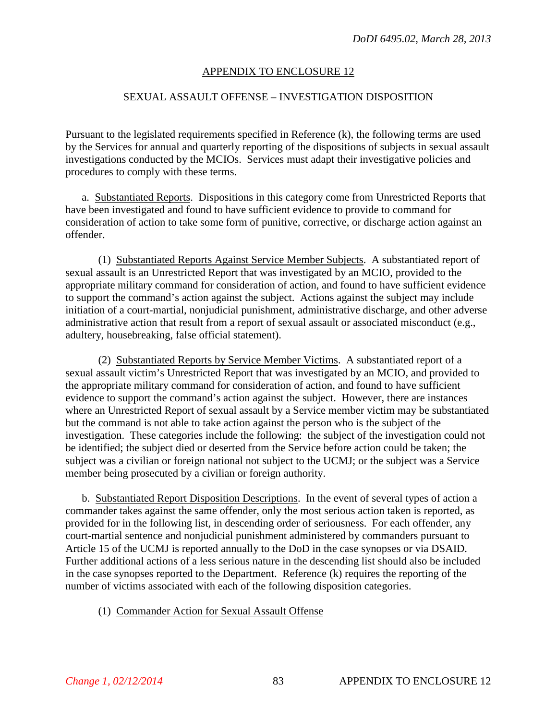# APPENDIX TO ENCLOSURE 12

# SEXUAL ASSAULT OFFENSE – INVESTIGATION DISPOSITION

Pursuant to the legislated requirements specified in Reference (k), the following terms are used by the Services for annual and quarterly reporting of the dispositions of subjects in sexual assault investigations conducted by the MCIOs. Services must adapt their investigative policies and procedures to comply with these terms.

a. Substantiated Reports. Dispositions in this category come from Unrestricted Reports that have been investigated and found to have sufficient evidence to provide to command for consideration of action to take some form of punitive, corrective, or discharge action against an offender.

(1) Substantiated Reports Against Service Member Subjects. A substantiated report of sexual assault is an Unrestricted Report that was investigated by an MCIO, provided to the appropriate military command for consideration of action, and found to have sufficient evidence to support the command's action against the subject. Actions against the subject may include initiation of a court-martial, nonjudicial punishment, administrative discharge, and other adverse administrative action that result from a report of sexual assault or associated misconduct (e.g., adultery, housebreaking, false official statement).

(2) Substantiated Reports by Service Member Victims. A substantiated report of a sexual assault victim's Unrestricted Report that was investigated by an MCIO, and provided to the appropriate military command for consideration of action, and found to have sufficient evidence to support the command's action against the subject. However, there are instances where an Unrestricted Report of sexual assault by a Service member victim may be substantiated but the command is not able to take action against the person who is the subject of the investigation. These categories include the following: the subject of the investigation could not be identified; the subject died or deserted from the Service before action could be taken; the subject was a civilian or foreign national not subject to the UCMJ; or the subject was a Service member being prosecuted by a civilian or foreign authority.

b. Substantiated Report Disposition Descriptions. In the event of several types of action a commander takes against the same offender, only the most serious action taken is reported, as provided for in the following list, in descending order of seriousness. For each offender, any court-martial sentence and nonjudicial punishment administered by commanders pursuant to Article 15 of the UCMJ is reported annually to the DoD in the case synopses or via DSAID. Further additional actions of a less serious nature in the descending list should also be included in the case synopses reported to the Department. Reference (k) requires the reporting of the number of victims associated with each of the following disposition categories.

# (1) Commander Action for Sexual Assault Offense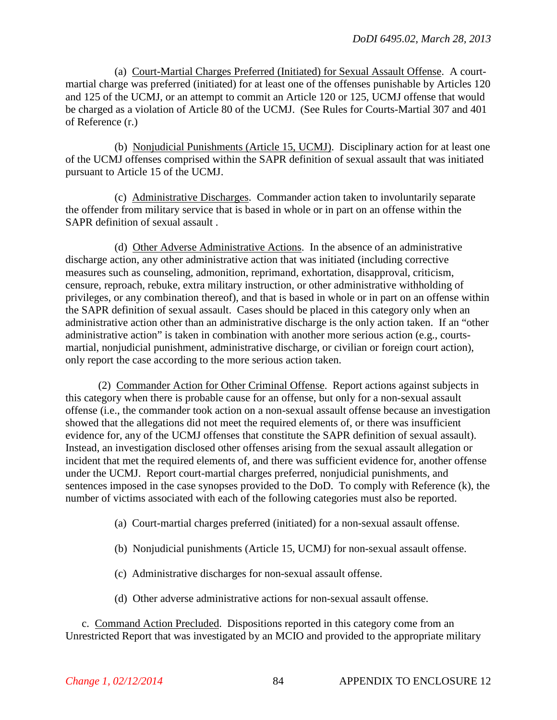(a) Court-Martial Charges Preferred (Initiated) for Sexual Assault Offense. A courtmartial charge was preferred (initiated) for at least one of the offenses punishable by Articles 120 and 125 of the UCMJ, or an attempt to commit an Article 120 or 125, UCMJ offense that would be charged as a violation of Article 80 of the UCMJ. (See Rules for Courts-Martial 307 and 401 of Reference (r.)

(b) Nonjudicial Punishments (Article 15, UCMJ). Disciplinary action for at least one of the UCMJ offenses comprised within the SAPR definition of sexual assault that was initiated pursuant to Article 15 of the UCMJ.

(c) Administrative Discharges. Commander action taken to involuntarily separate the offender from military service that is based in whole or in part on an offense within the SAPR definition of sexual assault .

(d) Other Adverse Administrative Actions. In the absence of an administrative discharge action, any other administrative action that was initiated (including corrective measures such as counseling, admonition, reprimand, exhortation, disapproval, criticism, censure, reproach, rebuke, extra military instruction, or other administrative withholding of privileges, or any combination thereof), and that is based in whole or in part on an offense within the SAPR definition of sexual assault. Cases should be placed in this category only when an administrative action other than an administrative discharge is the only action taken. If an "other administrative action" is taken in combination with another more serious action (e.g., courtsmartial, nonjudicial punishment, administrative discharge, or civilian or foreign court action), only report the case according to the more serious action taken.

(2) Commander Action for Other Criminal Offense. Report actions against subjects in this category when there is probable cause for an offense, but only for a non-sexual assault offense (i.e., the commander took action on a non-sexual assault offense because an investigation showed that the allegations did not meet the required elements of, or there was insufficient evidence for, any of the UCMJ offenses that constitute the SAPR definition of sexual assault). Instead, an investigation disclosed other offenses arising from the sexual assault allegation or incident that met the required elements of, and there was sufficient evidence for, another offense under the UCMJ. Report court-martial charges preferred, nonjudicial punishments, and sentences imposed in the case synopses provided to the DoD. To comply with Reference (k), the number of victims associated with each of the following categories must also be reported.

- (a) Court-martial charges preferred (initiated) for a non-sexual assault offense.
- (b) Nonjudicial punishments (Article 15, UCMJ) for non-sexual assault offense.
- (c) Administrative discharges for non-sexual assault offense.
- (d) Other adverse administrative actions for non-sexual assault offense.

c. Command Action Precluded. Dispositions reported in this category come from an Unrestricted Report that was investigated by an MCIO and provided to the appropriate military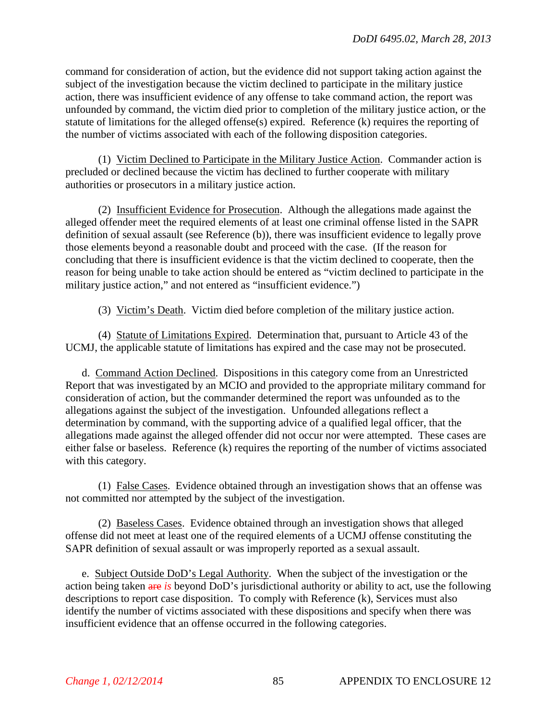command for consideration of action, but the evidence did not support taking action against the subject of the investigation because the victim declined to participate in the military justice action, there was insufficient evidence of any offense to take command action, the report was unfounded by command, the victim died prior to completion of the military justice action, or the statute of limitations for the alleged offense(s) expired. Reference (k) requires the reporting of the number of victims associated with each of the following disposition categories.

(1) Victim Declined to Participate in the Military Justice Action. Commander action is precluded or declined because the victim has declined to further cooperate with military authorities or prosecutors in a military justice action.

(2) Insufficient Evidence for Prosecution. Although the allegations made against the alleged offender meet the required elements of at least one criminal offense listed in the SAPR definition of sexual assault (see Reference (b)), there was insufficient evidence to legally prove those elements beyond a reasonable doubt and proceed with the case. (If the reason for concluding that there is insufficient evidence is that the victim declined to cooperate, then the reason for being unable to take action should be entered as "victim declined to participate in the military justice action," and not entered as "insufficient evidence.")

(3) Victim's Death. Victim died before completion of the military justice action.

(4) Statute of Limitations Expired. Determination that, pursuant to Article 43 of the UCMJ, the applicable statute of limitations has expired and the case may not be prosecuted.

d. Command Action Declined. Dispositions in this category come from an Unrestricted Report that was investigated by an MCIO and provided to the appropriate military command for consideration of action, but the commander determined the report was unfounded as to the allegations against the subject of the investigation. Unfounded allegations reflect a determination by command, with the supporting advice of a qualified legal officer, that the allegations made against the alleged offender did not occur nor were attempted. These cases are either false or baseless. Reference (k) requires the reporting of the number of victims associated with this category.

(1) False Cases. Evidence obtained through an investigation shows that an offense was not committed nor attempted by the subject of the investigation.

(2) Baseless Cases. Evidence obtained through an investigation shows that alleged offense did not meet at least one of the required elements of a UCMJ offense constituting the SAPR definition of sexual assault or was improperly reported as a sexual assault.

e. Subject Outside DoD's Legal Authority. When the subject of the investigation or the action being taken are *is* beyond DoD's jurisdictional authority or ability to act, use the following descriptions to report case disposition. To comply with Reference (k), Services must also identify the number of victims associated with these dispositions and specify when there was insufficient evidence that an offense occurred in the following categories.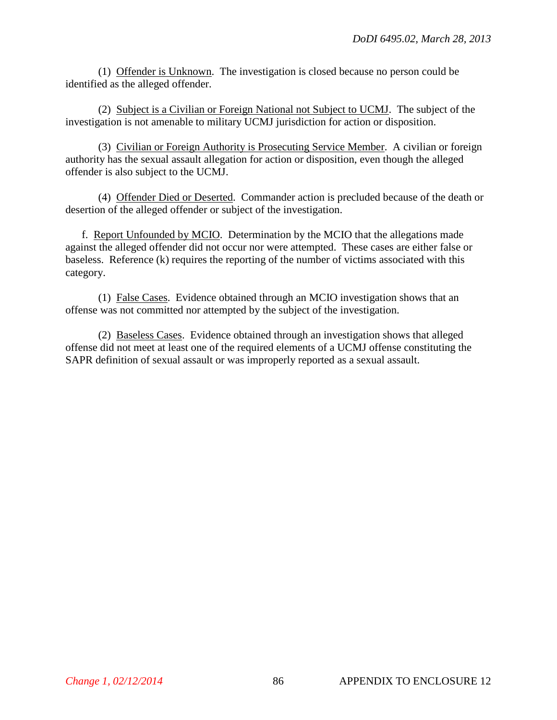(1) Offender is Unknown. The investigation is closed because no person could be identified as the alleged offender.

(2) Subject is a Civilian or Foreign National not Subject to UCMJ. The subject of the investigation is not amenable to military UCMJ jurisdiction for action or disposition.

(3) Civilian or Foreign Authority is Prosecuting Service Member. A civilian or foreign authority has the sexual assault allegation for action or disposition, even though the alleged offender is also subject to the UCMJ.

(4) Offender Died or Deserted. Commander action is precluded because of the death or desertion of the alleged offender or subject of the investigation.

f. Report Unfounded by MCIO. Determination by the MCIO that the allegations made against the alleged offender did not occur nor were attempted. These cases are either false or baseless. Reference (k) requires the reporting of the number of victims associated with this category.

(1) False Cases. Evidence obtained through an MCIO investigation shows that an offense was not committed nor attempted by the subject of the investigation.

(2) Baseless Cases. Evidence obtained through an investigation shows that alleged offense did not meet at least one of the required elements of a UCMJ offense constituting the SAPR definition of sexual assault or was improperly reported as a sexual assault.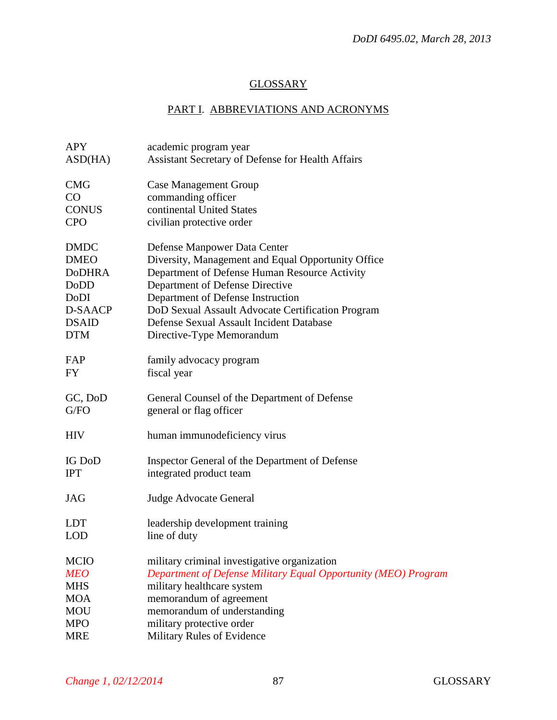# **GLOSSARY**

# PART I. ABBREVIATIONS AND ACRONYMS

| <b>APY</b>    | academic program year                                          |
|---------------|----------------------------------------------------------------|
| ASD(HA)       | Assistant Secretary of Defense for Health Affairs              |
| <b>CMG</b>    | <b>Case Management Group</b>                                   |
| $\rm CO$      | commanding officer                                             |
| <b>CONUS</b>  | continental United States                                      |
| <b>CPO</b>    | civilian protective order                                      |
| <b>DMDC</b>   | Defense Manpower Data Center                                   |
| <b>DMEO</b>   | Diversity, Management and Equal Opportunity Office             |
| <b>DoDHRA</b> | Department of Defense Human Resource Activity                  |
| DoDD          | Department of Defense Directive                                |
| DoDI          | Department of Defense Instruction                              |
| D-SAACP       | DoD Sexual Assault Advocate Certification Program              |
| <b>DSAID</b>  | Defense Sexual Assault Incident Database                       |
| <b>DTM</b>    | Directive-Type Memorandum                                      |
| FAP           | family advocacy program                                        |
| FY            | fiscal year                                                    |
| GC, DoD       | General Counsel of the Department of Defense                   |
| G/FO          | general or flag officer                                        |
| <b>HIV</b>    | human immunodeficiency virus                                   |
| <b>IG DoD</b> | Inspector General of the Department of Defense                 |
| <b>IPT</b>    | integrated product team                                        |
| JAG           | <b>Judge Advocate General</b>                                  |
| <b>LDT</b>    | leadership development training                                |
| <b>LOD</b>    | line of duty                                                   |
| <b>MCIO</b>   | military criminal investigative organization                   |
| <b>MEO</b>    | Department of Defense Military Equal Opportunity (MEO) Program |
| <b>MHS</b>    | military healthcare system                                     |
| <b>MOA</b>    | memorandum of agreement                                        |
| <b>MOU</b>    | memorandum of understanding                                    |
| <b>MPO</b>    | military protective order                                      |
| <b>MRE</b>    | Military Rules of Evidence                                     |
|               |                                                                |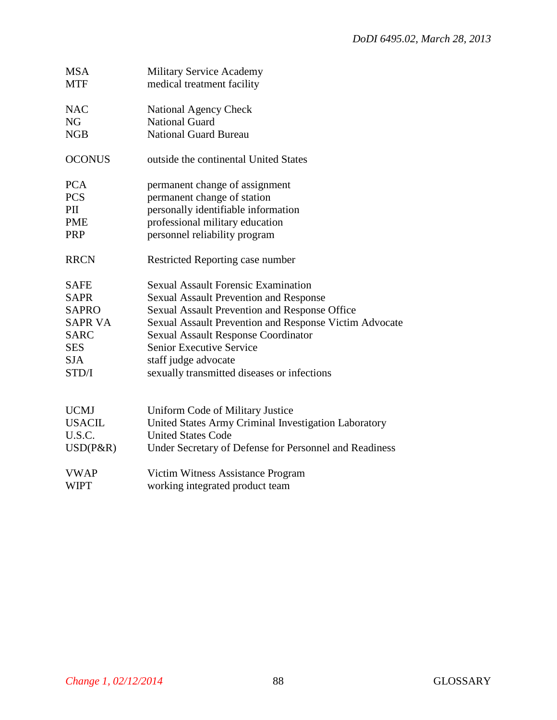| <b>MSA</b>     | Military Service Academy                               |
|----------------|--------------------------------------------------------|
| <b>MTF</b>     | medical treatment facility                             |
|                |                                                        |
| <b>NAC</b>     | National Agency Check                                  |
| <b>NG</b>      | <b>National Guard</b>                                  |
| <b>NGB</b>     | <b>National Guard Bureau</b>                           |
| <b>OCONUS</b>  | outside the continental United States                  |
| <b>PCA</b>     | permanent change of assignment                         |
| <b>PCS</b>     | permanent change of station                            |
| PII            | personally identifiable information                    |
| <b>PME</b>     | professional military education                        |
| PRP            | personnel reliability program                          |
| <b>RRCN</b>    | Restricted Reporting case number                       |
| <b>SAFE</b>    | <b>Sexual Assault Forensic Examination</b>             |
| <b>SAPR</b>    | <b>Sexual Assault Prevention and Response</b>          |
| <b>SAPRO</b>   | Sexual Assault Prevention and Response Office          |
| <b>SAPR VA</b> | Sexual Assault Prevention and Response Victim Advocate |
| <b>SARC</b>    | <b>Sexual Assault Response Coordinator</b>             |
| <b>SES</b>     | <b>Senior Executive Service</b>                        |
| <b>SJA</b>     | staff judge advocate                                   |
| STD/I          | sexually transmitted diseases or infections            |
|                |                                                        |
| <b>UCMJ</b>    | Uniform Code of Military Justice                       |
| <b>USACIL</b>  | United States Army Criminal Investigation Laboratory   |
| U.S.C.         | <b>United States Code</b>                              |
| $USD(P\&R)$    | Under Secretary of Defense for Personnel and Readiness |
| <b>VWAP</b>    | Victim Witness Assistance Program                      |
| <b>WIPT</b>    | working integrated product team                        |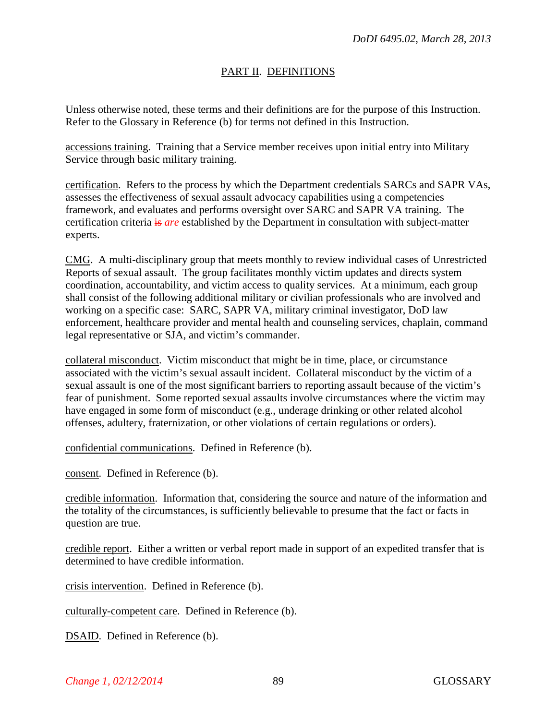# PART II. DEFINITIONS

Unless otherwise noted, these terms and their definitions are for the purpose of this Instruction. Refer to the Glossary in Reference (b) for terms not defined in this Instruction.

accessions training. Training that a Service member receives upon initial entry into Military Service through basic military training.

certification. Refers to the process by which the Department credentials SARCs and SAPR VAs, assesses the effectiveness of sexual assault advocacy capabilities using a competencies framework, and evaluates and performs oversight over SARC and SAPR VA training. The certification criteria is *are* established by the Department in consultation with subject-matter experts.

CMG. A multi-disciplinary group that meets monthly to review individual cases of Unrestricted Reports of sexual assault. The group facilitates monthly victim updates and directs system coordination, accountability, and victim access to quality services. At a minimum, each group shall consist of the following additional military or civilian professionals who are involved and working on a specific case: SARC, SAPR VA, military criminal investigator, DoD law enforcement, healthcare provider and mental health and counseling services, chaplain, command legal representative or SJA, and victim's commander.

collateral misconduct. Victim misconduct that might be in time, place, or circumstance associated with the victim's sexual assault incident. Collateral misconduct by the victim of a sexual assault is one of the most significant barriers to reporting assault because of the victim's fear of punishment. Some reported sexual assaults involve circumstances where the victim may have engaged in some form of misconduct (e.g., underage drinking or other related alcohol offenses, adultery, fraternization, or other violations of certain regulations or orders).

confidential communications. Defined in Reference (b).

consent. Defined in Reference (b).

credible information. Information that, considering the source and nature of the information and the totality of the circumstances, is sufficiently believable to presume that the fact or facts in question are true.

credible report. Either a written or verbal report made in support of an expedited transfer that is determined to have credible information.

crisis intervention. Defined in Reference (b).

culturally-competent care. Defined in Reference (b).

DSAID. Defined in Reference (b).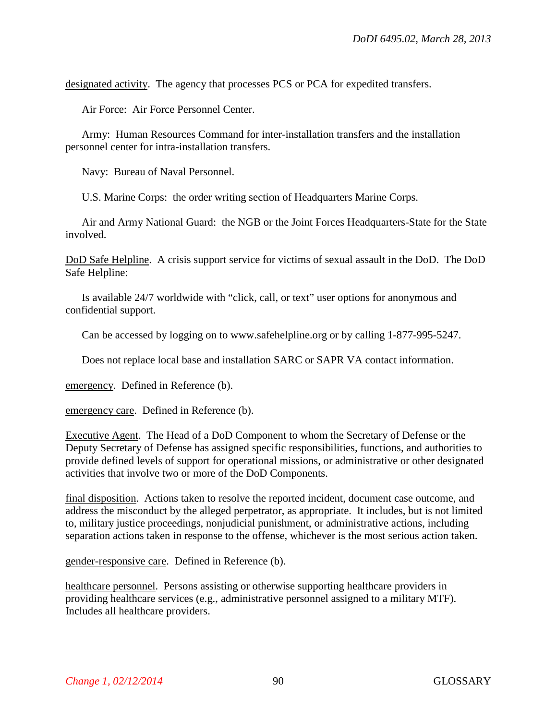designated activity. The agency that processes PCS or PCA for expedited transfers.

Air Force: Air Force Personnel Center.

Army: Human Resources Command for inter-installation transfers and the installation personnel center for intra-installation transfers.

Navy: Bureau of Naval Personnel.

U.S. Marine Corps: the order writing section of Headquarters Marine Corps.

Air and Army National Guard: the NGB or the Joint Forces Headquarters-State for the State involved.

DoD Safe Helpline. A crisis support service for victims of sexual assault in the DoD. The DoD Safe Helpline:

Is available 24/7 worldwide with "click, call, or text" user options for anonymous and confidential support.

Can be accessed by logging on to www.safehelpline.org or by calling 1-877-995-5247.

Does not replace local base and installation SARC or SAPR VA contact information.

emergency. Defined in Reference (b).

emergency care. Defined in Reference (b).

Executive Agent. The Head of a DoD Component to whom the Secretary of Defense or the Deputy Secretary of Defense has assigned specific responsibilities, functions, and authorities to provide defined levels of support for operational missions, or administrative or other designated activities that involve two or more of the DoD Components.

final disposition. Actions taken to resolve the reported incident, document case outcome, and address the misconduct by the alleged perpetrator, as appropriate. It includes, but is not limited to, military justice proceedings, nonjudicial punishment, or administrative actions, including separation actions taken in response to the offense, whichever is the most serious action taken.

gender-responsive care. Defined in Reference (b).

healthcare personnel. Persons assisting or otherwise supporting healthcare providers in providing healthcare services (e.g., administrative personnel assigned to a military MTF). Includes all healthcare providers.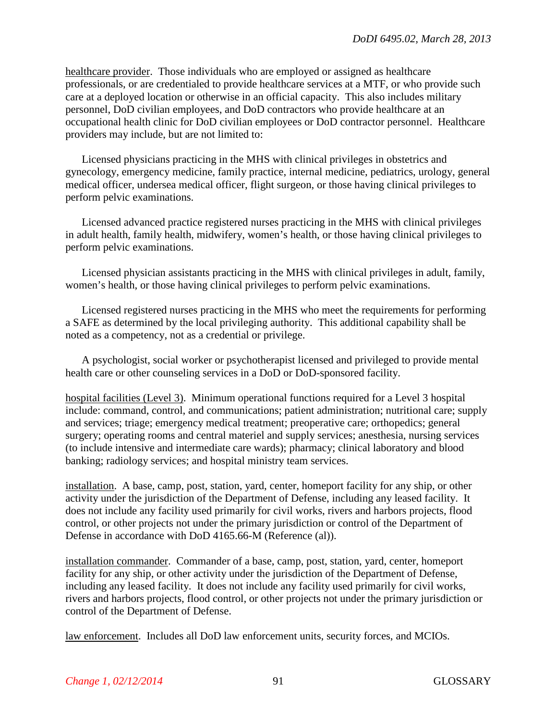healthcare provider. Those individuals who are employed or assigned as healthcare professionals, or are credentialed to provide healthcare services at a MTF, or who provide such care at a deployed location or otherwise in an official capacity. This also includes military personnel, DoD civilian employees, and DoD contractors who provide healthcare at an occupational health clinic for DoD civilian employees or DoD contractor personnel. Healthcare providers may include, but are not limited to:

Licensed physicians practicing in the MHS with clinical privileges in obstetrics and gynecology, emergency medicine, family practice, internal medicine, pediatrics, urology, general medical officer, undersea medical officer, flight surgeon, or those having clinical privileges to perform pelvic examinations.

Licensed advanced practice registered nurses practicing in the MHS with clinical privileges in adult health, family health, midwifery, women's health, or those having clinical privileges to perform pelvic examinations.

Licensed physician assistants practicing in the MHS with clinical privileges in adult, family, women's health, or those having clinical privileges to perform pelvic examinations.

Licensed registered nurses practicing in the MHS who meet the requirements for performing a SAFE as determined by the local privileging authority. This additional capability shall be noted as a competency, not as a credential or privilege.

A psychologist, social worker or psychotherapist licensed and privileged to provide mental health care or other counseling services in a DoD or DoD-sponsored facility.

hospital facilities (Level 3). Minimum operational functions required for a Level 3 hospital include: command, control, and communications; patient administration; nutritional care; supply and services; triage; emergency medical treatment; preoperative care; orthopedics; general surgery; operating rooms and central materiel and supply services; anesthesia, nursing services (to include intensive and intermediate care wards); pharmacy; clinical laboratory and blood banking; radiology services; and hospital ministry team services.

installation. A base, camp, post, station, yard, center, homeport facility for any ship, or other activity under the jurisdiction of the Department of Defense, including any leased facility. It does not include any facility used primarily for civil works, rivers and harbors projects, flood control, or other projects not under the primary jurisdiction or control of the Department of Defense in accordance with DoD 4165.66-M (Reference (al)).

installation commander. Commander of a base, camp, post, station, yard, center, homeport facility for any ship, or other activity under the jurisdiction of the Department of Defense, including any leased facility. It does not include any facility used primarily for civil works, rivers and harbors projects, flood control, or other projects not under the primary jurisdiction or control of the Department of Defense.

law enforcement. Includes all DoD law enforcement units, security forces, and MCIOs.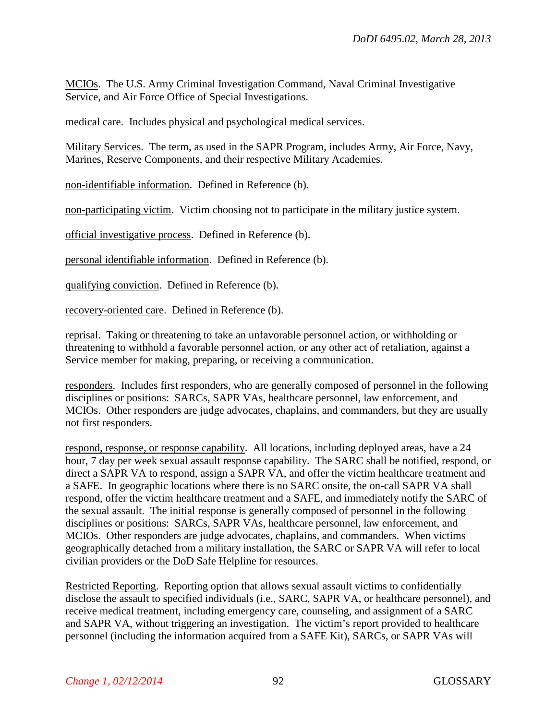MCIOs. The U.S. Army Criminal Investigation Command, Naval Criminal Investigative Service, and Air Force Office of Special Investigations.

medical care. Includes physical and psychological medical services.

Military Services. The term, as used in the SAPR Program, includes Army, Air Force, Navy, Marines, Reserve Components, and their respective Military Academies.

non-identifiable information. Defined in Reference (b).

non-participating victim. Victim choosing not to participate in the military justice system.

official investigative process. Defined in Reference (b).

personal identifiable information. Defined in Reference (b).

qualifying conviction. Defined in Reference (b).

recovery-oriented care. Defined in Reference (b).

reprisal. Taking or threatening to take an unfavorable personnel action, or withholding or threatening to withhold a favorable personnel action, or any other act of retaliation, against a Service member for making, preparing, or receiving a communication.

responders. Includes first responders, who are generally composed of personnel in the following disciplines or positions: SARCs, SAPR VAs, healthcare personnel, law enforcement, and MCIOs. Other responders are judge advocates, chaplains, and commanders, but they are usually not first responders.

respond, response, or response capability. All locations, including deployed areas, have a 24 hour, 7 day per week sexual assault response capability. The SARC shall be notified, respond, or direct a SAPR VA to respond, assign a SAPR VA, and offer the victim healthcare treatment and a SAFE. In geographic locations where there is no SARC onsite, the on-call SAPR VA shall respond, offer the victim healthcare treatment and a SAFE, and immediately notify the SARC of the sexual assault. The initial response is generally composed of personnel in the following disciplines or positions: SARCs, SAPR VAs, healthcare personnel, law enforcement, and MCIOs. Other responders are judge advocates, chaplains, and commanders. When victims geographically detached from a military installation, the SARC or SAPR VA will refer to local civilian providers or the DoD Safe Helpline for resources.

Restricted Reporting. Reporting option that allows sexual assault victims to confidentially disclose the assault to specified individuals (i.e., SARC, SAPR VA, or healthcare personnel), and receive medical treatment, including emergency care, counseling, and assignment of a SARC and SAPR VA, without triggering an investigation. The victim's report provided to healthcare personnel (including the information acquired from a SAFE Kit), SARCs, or SAPR VAs will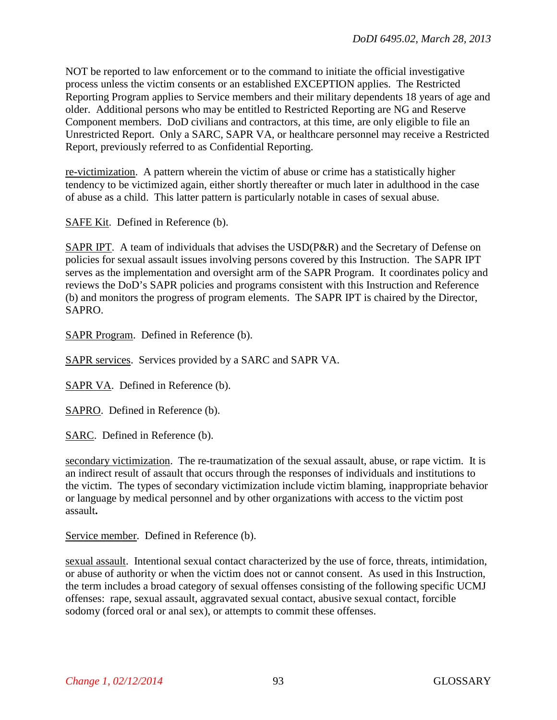NOT be reported to law enforcement or to the command to initiate the official investigative process unless the victim consents or an established EXCEPTION applies. The Restricted Reporting Program applies to Service members and their military dependents 18 years of age and older. Additional persons who may be entitled to Restricted Reporting are NG and Reserve Component members. DoD civilians and contractors, at this time, are only eligible to file an Unrestricted Report. Only a SARC, SAPR VA, or healthcare personnel may receive a Restricted Report, previously referred to as Confidential Reporting.

re-victimization. A pattern wherein the victim of abuse or crime has a statistically higher tendency to be victimized again, either shortly thereafter or much later in adulthood in the case of abuse as a child. This latter pattern is particularly notable in cases of sexual abuse.

SAFE Kit. Defined in Reference (b).

SAPR IPT. A team of individuals that advises the USD(P&R) and the Secretary of Defense on policies for sexual assault issues involving persons covered by this Instruction. The SAPR IPT serves as the implementation and oversight arm of the SAPR Program. It coordinates policy and reviews the DoD's SAPR policies and programs consistent with this Instruction and Reference (b) and monitors the progress of program elements. The SAPR IPT is chaired by the Director, SAPRO.

SAPR Program. Defined in Reference (b).

SAPR services. Services provided by a SARC and SAPR VA.

SAPR VA. Defined in Reference (b).

SAPRO. Defined in Reference (b).

SARC. Defined in Reference (b).

secondary victimization. The re-traumatization of the sexual assault, abuse, or rape victim. It is an indirect result of assault that occurs through the responses of individuals and institutions to the victim. The types of secondary victimization include victim blaming, inappropriate behavior or language by medical personnel and by other organizations with access to the victim post assault**.**

Service member. Defined in Reference (b).

sexual assault. Intentional sexual contact characterized by the use of force, threats, intimidation, or abuse of authority or when the victim does not or cannot consent. As used in this Instruction, the term includes a broad category of sexual offenses consisting of the following specific UCMJ offenses: rape, sexual assault, aggravated sexual contact, abusive sexual contact, forcible sodomy (forced oral or anal sex), or attempts to commit these offenses.